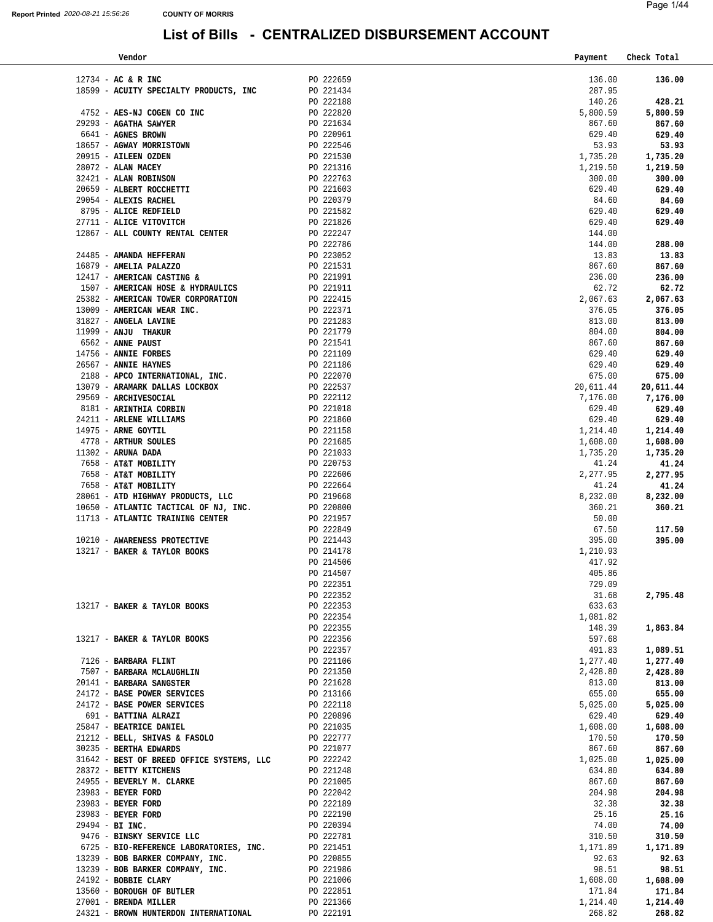| Vendor                                                                                                                         |                                     | Payment   | Check Total |
|--------------------------------------------------------------------------------------------------------------------------------|-------------------------------------|-----------|-------------|
|                                                                                                                                |                                     |           |             |
| $12734 - AC & R$ INC                                                                                                           | PO 222659                           | 136.00    | 136.00      |
| 18599 - ACUITY SPECIALTY PRODUCTS, INC                                                                                         | PO 221434                           | 287.95    |             |
|                                                                                                                                | PO 222188                           | 140.26    | 428.21      |
| 4752 - AES-NJ COGEN CO INC                                                                                                     | PO 222820                           | 5,800.59  | 5,800.59    |
|                                                                                                                                |                                     | 867.60    | 867.60      |
|                                                                                                                                |                                     | 629.40    | 629.40      |
|                                                                                                                                |                                     | 53.93     | 53.93       |
|                                                                                                                                |                                     | 1,735.20  | 1,735.20    |
|                                                                                                                                |                                     | 1,219.50  | 1,219.50    |
|                                                                                                                                |                                     | 300.00    | 300.00      |
|                                                                                                                                |                                     | 629.40    | 629.40      |
|                                                                                                                                |                                     | 84.60     | 84.60       |
|                                                                                                                                |                                     | 629.40    | 629.40      |
|                                                                                                                                |                                     | 629.40    | 629.40      |
| 12867 - ALL COUNTY RENTAL CENTER                                                                                               |                                     | 144.00    |             |
|                                                                                                                                | PO 222786                           | 144.00    | 288.00      |
| 24485 - AMANDA HEFFERAN                                                                                                        | PO 223052                           | 13.83     | 13.83       |
| 16879 - AMELIA PALAZZO                                                                                                         | $PO$ 221531                         | 867.60    | 867.60      |
| 12417 - AMERICAN CASTING &                                                                                                     |                                     | 236.00    | 236.00      |
| $12417$ - AMERICAN CASTING & $\blacksquare$ PO 221991<br>1507 - AMERICAN HOSE & HYDRAULICS PO 221911                           |                                     | 62.72     | 62.72       |
| 25382 - AMERICAN TOWER CORPORATION                                                                                             | PO 222415                           | 2,067.63  | 2,067.63    |
| 13009 - AMERICAN WEAR INC.                                                                                                     |                                     | 376.05    | 376.05      |
| 31827 - ANGELA LAVINE                                                                                                          |                                     | 813.00    | 813.00      |
| 11999 - ANJU THAKUR                                                                                                            |                                     | 804.00    | 804.00      |
| 6562 - ANNE PAUST                                                                                                              |                                     | 867.60    | 867.60      |
| <b>INC.</b><br>PO 222371<br>PO 221283<br>PO 221779<br>PO 221541<br>PO 221109<br>PO 221109<br>PO 221186<br>14756 - ANNIE FORBES |                                     | 629.40    | 629.40      |
| 26567 - ANNIE HAYNES                                                                                                           |                                     | 629.40    | 629.40      |
|                                                                                                                                |                                     | 675.00    | 675.00      |
| 2188 - APCO INTERNATIONAL, INC.<br>13079 - ARAMARK DALLAS LOCKBOX PO 222537                                                    |                                     | 20,611.44 | 20,611.44   |
| 29569 - ARCHIVESOCIAL                                                                                                          | PO 222112                           | 7,176.00  | 7,176.00    |
| 8181 - ARINTHIA CORBIN                                                                                                         | PO 221018                           | 629.40    | 629.40      |
| 24211 - ARLENE WILLIAMS                                                                                                        | PO 221860                           | 629.40    | 629.40      |
| 14975 - ARNE GOYTIL                                                                                                            | PO 221158                           | 1,214.40  | 1,214.40    |
| 4778 - ARTHUR SOULES                                                                                                           | PO 221685                           | 1,608.00  | 1,608.00    |
| $11302$ - ARUNA DADA                                                                                                           | PO 221033                           | 1,735.20  | 1,735.20    |
| 7658 - AT&T MOBILITY                                                                                                           | PO 220753                           | 41.24     | 41.24       |
| 7658 - AT&T MOBILITY                                                                                                           |                                     | 2,277.95  | 2,277.95    |
| 7658 - AT&T MOBILITY                                                                                                           | PO 222606<br>PO 222664<br>PO 219668 | 41.24     | 41.24       |
| 28061 - ATD HIGHWAY PRODUCTS, LLC                                                                                              |                                     | 8,232.00  | 8,232.00    |
|                                                                                                                                |                                     | 360.21    | 360.21      |
| 10650 - ATLANTIC TACTICAL OF NJ, INC. $PQ$ 220800<br>11713 - ATLANTIC TRAINING CENTER<br>PO 221957                             |                                     | 50.00     |             |
|                                                                                                                                | $-222849$                           | 67.50     | 117.50      |
| 10210 - AWARENESS PROTECTIVE                                                                                                   |                                     | 395.00    | 395.00      |
| 13217 - BAKER & TAYLOR BOOKS                                                                                                   | PO 214178                           | 1,210.93  |             |
|                                                                                                                                | PO 214506                           | 417.92    |             |
|                                                                                                                                | PO 214507                           | 405.86    |             |
|                                                                                                                                | PO 222351                           | 729.09    |             |
|                                                                                                                                | PO 222352                           | 31.68     | 2,795.48    |
| 13217 - BAKER & TAYLOR BOOKS                                                                                                   | PO 222353                           | 633.63    |             |
|                                                                                                                                | PO 222354                           | 1,081.82  |             |
|                                                                                                                                | PO 222355                           | 148.39    | 1,863.84    |
| 13217 - BAKER & TAYLOR BOOKS                                                                                                   | PO 222356                           | 597.68    |             |
|                                                                                                                                | PO 222357                           | 491.83    | 1,089.51    |
| 7126 - BARBARA FLINT                                                                                                           | PO 221106                           | 1,277.40  | 1,277.40    |
| 7507 - BARBARA MCLAUGHLIN                                                                                                      | PO 221350                           | 2,428.80  | 2,428.80    |
| 20141 - BARBARA SANGSTER                                                                                                       | PO 221628                           | 813.00    | 813.00      |
| 24172 - BASE POWER SERVICES                                                                                                    | PO 213166                           | 655.00    | 655.00      |
| 24172 - BASE POWER SERVICES                                                                                                    | PO 222118                           | 5,025.00  | 5,025.00    |
| 691 - BATTINA ALRAZI                                                                                                           | PO 220896                           | 629.40    | 629.40      |
| 25847 - BEATRICE DANIEL                                                                                                        | PO 221035                           | 1,608.00  | 1,608.00    |
| 21212 - BELL, SHIVAS & FASOLO                                                                                                  | PO 222777                           | 170.50    | 170.50      |
| 30235 - BERTHA EDWARDS                                                                                                         | PO 221077                           | 867.60    | 867.60      |
| 31642 - BEST OF BREED OFFICE SYSTEMS, LLC                                                                                      | PO 222242                           | 1,025.00  | 1,025.00    |
| 28372 - BETTY KITCHENS                                                                                                         | PO 221248                           | 634.80    | 634.80      |
| 24955 - BEVERLY M. CLARKE                                                                                                      | PO 221005                           | 867.60    | 867.60      |
| 23983 - BEYER FORD                                                                                                             | PO 222042                           | 204.98    | 204.98      |
| 23983 - BEYER FORD                                                                                                             | PO 222189                           | 32.38     | 32.38       |
| 23983 - BEYER FORD                                                                                                             | PO 222190                           | 25.16     | 25.16       |
| $29494 - BI$ INC.                                                                                                              | PO 220394                           | 74.00     | 74.00       |
| 9476 - BINSKY SERVICE LLC                                                                                                      | PO 222781                           | 310.50    | 310.50      |
| 6725 - BIO-REFERENCE LABORATORIES, INC.                                                                                        | PO 221451                           | 1,171.89  | 1,171.89    |
| 13239 - BOB BARKER COMPANY, INC.                                                                                               | PO 220855                           | 92.63     | 92.63       |
| 13239 - BOB BARKER COMPANY, INC.                                                                                               | PO 221986                           | 98.51     | 98.51       |
| 24192 - BOBBIE CLARY                                                                                                           | PO 221006                           | 1,608.00  | 1,608.00    |
| 13560 - BOROUGH OF BUTLER                                                                                                      | PO 222851                           | 171.84    | 171.84      |
| 27001 - BRENDA MILLER                                                                                                          | PO 221366                           | 1,214.40  | 1,214.40    |
| 24321 - BROWN HUNTERDON INTERNATIONAL                                                                                          | PO 222191                           | 268.82    | 268.82      |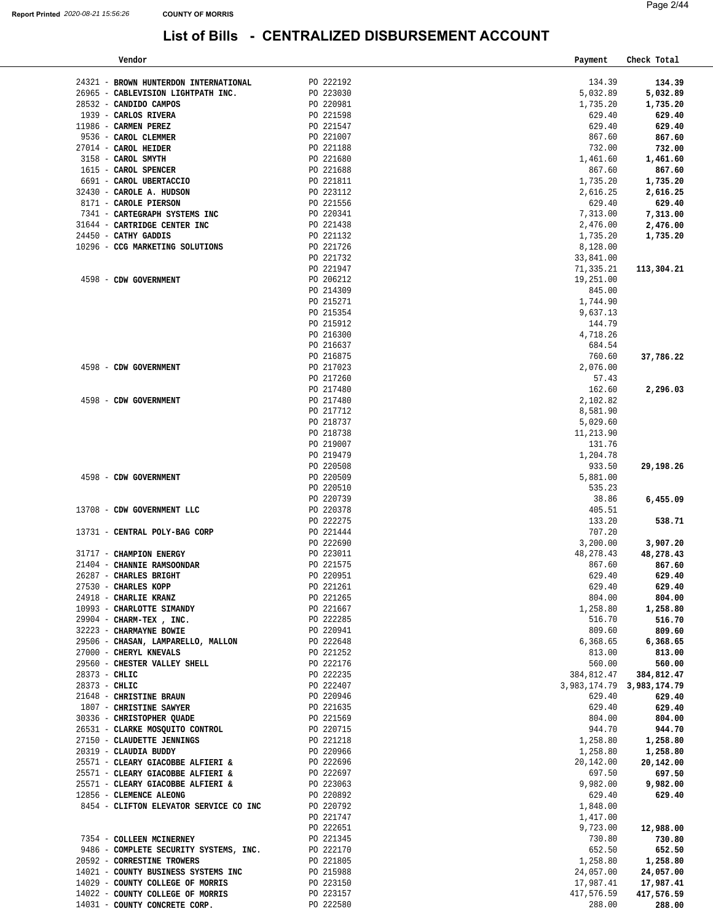| Vendor                                                       |                        | Payment                   | Check Total          |
|--------------------------------------------------------------|------------------------|---------------------------|----------------------|
|                                                              |                        |                           |                      |
| 24321 - BROWN HUNTERDON INTERNATIONAL                        | PO 222192              | 134.39                    | 134.39               |
| 26965 - CABLEVISION LIGHTPATH INC.                           | PO 223030              | 5,032.89                  | 5,032.89             |
| 28532 - CANDIDO CAMPOS                                       | PO 220981              | 1,735.20                  | 1,735.20             |
| 1939 - CARLOS RIVERA                                         | PO 221598              | 629.40                    | 629.40               |
| 11986 - CARMEN PEREZ                                         | PO 221547              | 629.40                    | 629.40               |
| 9536 - CAROL CLEMMER                                         | PO 221007              | 867.60                    | 867.60               |
| 27014 - CAROL HEIDER                                         | PO 221188              | 732.00                    | 732.00               |
| 3158 - CAROL SMYTH                                           | PO 221680              | 1,461.60                  | 1,461.60             |
| 1615 - CAROL SPENCER                                         | PO 221688              | 867.60                    | 867.60               |
| 6691 - CAROL UBERTACCIO                                      | PO 221811              | 1,735.20                  | 1,735.20             |
| 32430 - CAROLE A. HUDSON                                     | PO 223112              | 2,616.25                  | 2,616.25             |
| 8171 - CAROLE PIERSON                                        | PO 221556              |                           |                      |
|                                                              |                        | 629.40                    | 629.40               |
| 7341 - CARTEGRAPH SYSTEMS INC                                | PO 220341              | 7,313.00                  | 7,313.00             |
| 31644 - CARTRIDGE CENTER INC                                 | PO 221438              | 2,476.00                  | 2,476.00             |
| 24450 - CATHY GADDIS                                         | PO 221132              | 1,735.20                  | 1,735.20             |
| 10296 - CCG MARKETING SOLUTIONS                              | PO 221726              | 8,128.00                  |                      |
|                                                              | PO 221732              | 33,841.00                 |                      |
|                                                              | PO 221947              | 71,335.21                 | 113,304.21           |
| 4598 - CDW GOVERNMENT                                        | PO 206212              | 19,251.00                 |                      |
|                                                              | PO 214309              | 845.00                    |                      |
|                                                              | PO 215271              | 1,744.90                  |                      |
|                                                              | PO 215354              | 9,637.13                  |                      |
|                                                              | PO 215912              | 144.79                    |                      |
|                                                              | PO 216300              | 4,718.26                  |                      |
|                                                              | PO 216637              | 684.54                    |                      |
|                                                              | PO 216875              | 760.60                    | 37,786.22            |
| 4598 - CDW GOVERNMENT                                        | PO 217023              | 2,076.00                  |                      |
|                                                              | PO 217260              | 57.43                     |                      |
|                                                              | PO 217480              | 162.60                    | 2,296.03             |
| 4598 - CDW GOVERNMENT                                        | PO 217480              |                           |                      |
|                                                              |                        | 2,102.82                  |                      |
|                                                              | PO 217712              | 8,581.90                  |                      |
|                                                              | PO 218737              | 5,029.60                  |                      |
|                                                              | PO 218738              | 11,213.90                 |                      |
|                                                              | PO 219007              | 131.76                    |                      |
|                                                              | PO 219479              | 1,204.78                  |                      |
|                                                              | PO 220508              | 933.50                    | 29,198.26            |
| 4598 - CDW GOVERNMENT                                        | PO 220509              | 5,881.00                  |                      |
|                                                              | PO 220510              | 535.23                    |                      |
|                                                              | PO 220739              | 38.86                     | 6,455.09             |
| 13708 - CDW GOVERNMENT LLC                                   | PO 220378              | 405.51                    |                      |
|                                                              | PO 222275              | 133.20                    | 538.71               |
| 13731 - CENTRAL POLY-BAG CORP                                | PO 221444              | 707.20                    |                      |
|                                                              | PO 222690              | 3,200.00                  | 3,907.20             |
| 31717 - CHAMPION ENERGY                                      | PO 223011              | 48,278.43                 | 48,278.43            |
| 21404 - CHANNIE RAMSOONDAR                                   | PO 221575              | 867.60                    | 867.60               |
| 26287 - CHARLES BRIGHT                                       | PO 220951              | 629.40                    | 629.40               |
| 27530 - CHARLES KOPP                                         | PO 221261              | 629.40                    | 629.40               |
| 24918 - CHARLIE KRANZ                                        | PO 221265              | 804.00                    | 804.00               |
| 10993 - CHARLOTTE SIMANDY                                    | PO 221667              | 1,258.80                  | 1,258.80             |
| 29904 - CHARM-TEX, INC.                                      | PO 222285              | 516.70                    | 516.70               |
| 32223 - CHARMAYNE BOWIE                                      | PO 220941              | 809.60                    | 809.60               |
| 29506 - CHANAINE BOWLE<br>29506 - CHASAN, LAMPARELLO, MALLON | PO 222648              | 6,368.65                  | 6,368.65             |
| 27000 - CHERYL KNEVALS                                       |                        | 813.00                    |                      |
| 29560 - CHESTER VALLEY SHELL                                 | PO 221252<br>PO 222176 |                           | 813.00               |
|                                                              | PO 222235              | 560.00                    | 560.00<br>384,812.47 |
| 28373 - CHLIC                                                |                        | 384,812.47                |                      |
| 28373 - CHLIC                                                | PO 222407              | 3,983,174.79 3,983,174.79 |                      |
| 21648 - CHRISTINE BRAUN                                      | PO 220946              | 629.40                    | 629.40               |
| 1807 - CHRISTINE SAWYER                                      | PO 221635              | 629.40                    | 629.40               |
| 30336 - CHRISTOPHER QUADE                                    | PO 221569              | 804.00                    | 804.00               |
| 26531 - CLARKE MOSQUITO CONTROL                              | PO 220715              | 944.70                    | 944.70               |
| 27150 - CLAUDETTE JENNINGS                                   | PO 221218              | 1,258.80                  | 1,258.80             |
| 20319 - CLAUDIA BUDDY                                        | PO 220966              | 1,258.80                  | 1,258.80             |
| 25571 - CLEARY GIACOBBE ALFIERI &                            | PO 222696              | 20,142.00                 | 20,142.00            |
| 25571 - CLEARY GIACOBBE ALFIERI &                            | PO 222697              | 697.50                    | 697.50               |
| 25571 - CLEARY GIACOBBE ALFIERI &                            | PO 223063              | 9,982.00                  | 9,982.00             |
| 12856 - CLEMENCE ALEONG                                      | PO 220892              | 629.40                    | 629.40               |
| 8454 - CLIFTON ELEVATOR SERVICE CO INC                       | PO 220792              | 1,848.00                  |                      |
|                                                              | PO 221747              | 1,417.00                  |                      |
|                                                              | PO 222651              | 9,723.00                  | 12,988.00            |
| 7354 - COLLEEN MCINERNEY                                     | PO 221345              | 730.80                    | 730.80               |
| 9486 - COMPLETE SECURITY SYSTEMS, INC.                       | PO 222170              | 652.50                    | 652.50               |
| 20592 - CORRESTINE TROWERS                                   | PO 221805              | 1,258.80                  | 1,258.80             |
| 14021 - COUNTY BUSINESS SYSTEMS INC                          | PO 215988              | 24,057.00                 |                      |
|                                                              |                        |                           | 24,057.00            |
| 14029 - COUNTY COLLEGE OF MORRIS                             | PO 223150              | 17,987.41                 | 17,987.41            |
| 14022 - COUNTY COLLEGE OF MORRIS                             | PO 223157              | 417,576.59                | 417,576.59           |
| 14031 - COUNTY CONCRETE CORP.                                | PO 222580              | 288.00                    | 288.00               |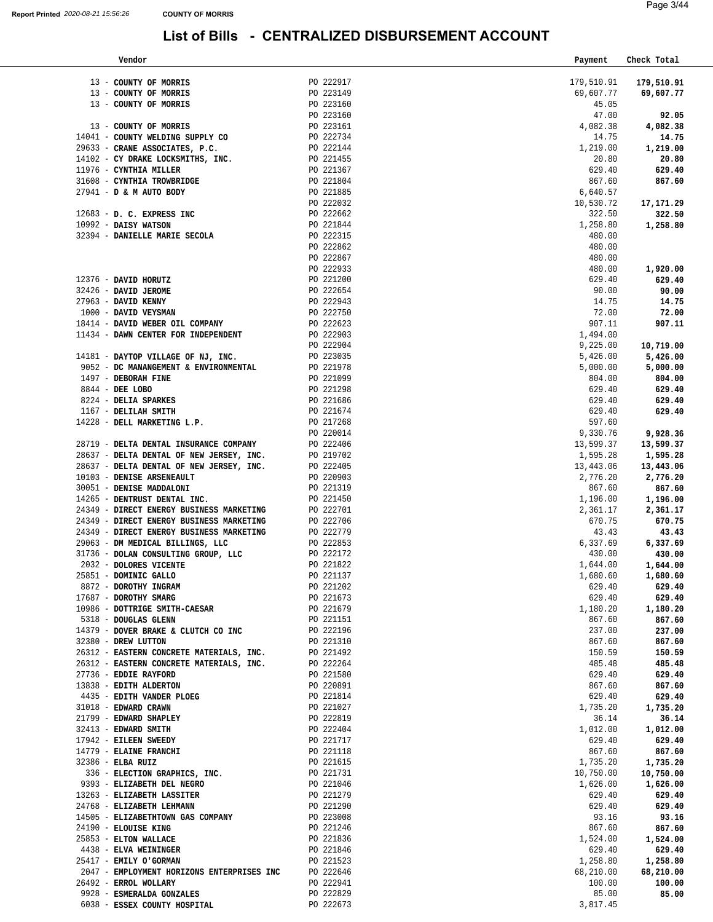| Page 3/44 |
|-----------|
|           |
|           |

| Vendor                                                                                                                                                                                                                                         |                        | Payment               | Check Total           |
|------------------------------------------------------------------------------------------------------------------------------------------------------------------------------------------------------------------------------------------------|------------------------|-----------------------|-----------------------|
|                                                                                                                                                                                                                                                |                        |                       |                       |
| 13 - COUNTY OF MORRIS                                                                                                                                                                                                                          | PO 222917              | 179,510.91            | 179,510.91            |
| 13 - COUNTY OF MORRIS                                                                                                                                                                                                                          | PO 223149              | 69,607.77             | 69,607.77             |
| 13 - COUNTY OF MORRIS                                                                                                                                                                                                                          | PO 223160              | 45.05                 |                       |
| 13 - COUNTY OF MORRIS                                                                                                                                                                                                                          | PO 223160              | 47.00                 | 92.05                 |
| 14041 - COUNTY WELDING SUPPLY CO $_{\rm PQ}$ 222734                                                                                                                                                                                            | PO 223161              | 4,082.38<br>14.75     | 4,082.38<br>14.75     |
| PO 222734<br>29633 - CRANE ASSOCIATES, P.C.<br>14102 - CY DRAKE LOCKSMITHS, INC.<br>1976 - CYNTHIA MILLER<br>27941 - D & M AUTO BODY<br>27941 - D & M AUTO BODY<br>27941 - D & M AUTO BODY<br>27941 - D & M AUTO BODY<br>27941 - D & M AUTO BO |                        | 1,219.00              | 1,219.00              |
|                                                                                                                                                                                                                                                |                        | 20.80                 | 20.80                 |
|                                                                                                                                                                                                                                                |                        | 629.40                | 629.40                |
|                                                                                                                                                                                                                                                |                        | 867.60                | 867.60                |
|                                                                                                                                                                                                                                                |                        | 6,640.57              |                       |
|                                                                                                                                                                                                                                                |                        | 10,530.72             | 17,171.29             |
|                                                                                                                                                                                                                                                |                        | 322.50                | 322.50                |
|                                                                                                                                                                                                                                                |                        | 1,258.80              | 1,258.80              |
|                                                                                                                                                                                                                                                |                        | 480.00                |                       |
|                                                                                                                                                                                                                                                | PO 222862              | 480.00                |                       |
|                                                                                                                                                                                                                                                | PO 222867              | 480.00                |                       |
| PO 222933<br>PO 222933<br>PO 221200<br>PO 222654<br>PO 222943<br>PO 222943<br>PO 222750                                                                                                                                                        |                        | 480.00                | 1,920.00              |
| 12376 - DAVID HORUTZ                                                                                                                                                                                                                           |                        | 629.40                | 629.40                |
| 32426 - DAVID JEROME                                                                                                                                                                                                                           |                        | 90.00                 | 90.00                 |
| 27963 - DAVID KENNY                                                                                                                                                                                                                            |                        | 14.75                 | 14.75                 |
| 1000 - DAVID VEYSMAN                                                                                                                                                                                                                           |                        | 72.00                 | 72.00                 |
|                                                                                                                                                                                                                                                |                        | 907.11                | 907.11                |
| $\begin{tabular}{lllllllll} 18414 & - {\bf DAVID WEBER OIL COMPANY} & & & \mbox{} \texttt{PO} & 222623 \\ 11434 & - {\bf DANW CENTER FOR INDEPENDENT} & & \mbox{} \texttt{PO} & 222903 \\ \end{tabular}$                                       |                        | 1,494.00              |                       |
| 14181 - DAYTOP VILLAGE OF NJ, INC. $PQ$ 223035                                                                                                                                                                                                 |                        | 9,225.00              | 10,719.00             |
|                                                                                                                                                                                                                                                |                        | 5,426.00              | 5,426.00              |
| 9052 - DC MANANGEMENT & ENVIRONMENTAL ${\tt PO}$ 221978                                                                                                                                                                                        |                        | 5,000.00              | 5,000.00              |
|                                                                                                                                                                                                                                                |                        | 804.00                | 804.00                |
|                                                                                                                                                                                                                                                |                        | 629.40                | 629.40                |
| 1497 - DEBORAH FINE<br>8844 - DEE LOBO PO 221099<br>8224 - DELIA SPARKES<br>1167 - DELILAH SMITH<br>PO 221686<br>PO 221686<br>PO 221674                                                                                                        |                        | 629.40                | 629.40                |
|                                                                                                                                                                                                                                                |                        | 629.40                | 629.40                |
| 14228 - DELL MARKETING L.P.                                                                                                                                                                                                                    | PO 217268              | 597.60                |                       |
|                                                                                                                                                                                                                                                | PO 220014              | 9,330.76              | 9,928.36              |
| 28719 - DELTA DENTAL INSURANCE COMPANY PO 222406                                                                                                                                                                                               |                        | 13,599.37             | 13,599.37             |
| 28637 - DELTA DENTAL OF NEW JERSEY, INC. PO 219702<br>28637 - DELTA DENTAL OF NEW JERSEY, INC. PO 222405                                                                                                                                       |                        | 1,595.28<br>13,443.06 | 1,595.28<br>13,443.06 |
| 10103 - DENISE ARSENEAULT                                                                                                                                                                                                                      |                        | 2,776.20              | 2,776.20              |
| 30051 - DENISE MADDALONI                                                                                                                                                                                                                       | PO 220903<br>PO 221319 | 867.60                | 867.60                |
| 14265 - DENTRUST DENTAL INC.                                                                                                                                                                                                                   | PO 221450              | 1,196.00              | 1,196.00              |
| 24349 - DIRECT ENERGY BUSINESS MARKETING                                                                                                                                                                                                       | PO 222701              | 2,361.17              | 2,361.17              |
| 24349 - DIRECT ENERGY BUSINESS MARKETING PO 222706                                                                                                                                                                                             |                        | 670.75                | 670.75                |
|                                                                                                                                                                                                                                                |                        | 43.43                 | 43.43                 |
| $24349$ – $DIRECT$ ENERGY BUSINESS MARKETING $$$ $P0$ $222779$ $29063$ – $\:$ $DM$ $MBDICAL$ $BILLINGS$ , $LLC$ $\hspace{1.5cm}$ $P0$ $222853$                                                                                                 |                        | 6,337.69              | 6,337.69              |
| 31736 - DOLAN CONSULTING GROUP, LLC $PO$ 222172                                                                                                                                                                                                |                        | 430.00                | 430.00                |
| 2032 - DOLORES VICENTE                                                                                                                                                                                                                         | PO 221822              | 1,644.00              | 1,644.00              |
| 25851 - DOMINIC GALLO                                                                                                                                                                                                                          | PO 221137              | 1,680.60              | 1,680.60              |
| 8872 - DOROTHY INGRAM                                                                                                                                                                                                                          | PO 221202              | 629.40                | 629.40                |
| 17687 - DOROTHY SMARG                                                                                                                                                                                                                          | PO 221673              | 629.40                | 629.40                |
| 10986 - DOTTRIGE SMITH-CAESAR                                                                                                                                                                                                                  | PO 221679              | 1,180.20              | 1,180.20              |
| 5318 - DOUGLAS GLENN                                                                                                                                                                                                                           | PO 221151              | 867.60                | 867.60                |
| 14379 - DOVER BRAKE & CLUTCH CO INC                                                                                                                                                                                                            | PO 222196              | 237.00                | 237.00                |
| 32380 - DREW LUTTON                                                                                                                                                                                                                            | PO 221310              | 867.60                | 867.60                |
| 26312 - EASTERN CONCRETE MATERIALS, INC.                                                                                                                                                                                                       | PO 221492              | 150.59                | 150.59                |
| 26312 - EASTERN CONCRETE MATERIALS, INC.                                                                                                                                                                                                       | PO 222264              | 485.48                | 485.48                |
| 27736 - EDDIE RAYFORD                                                                                                                                                                                                                          | PO 221580              | 629.40                | 629.40                |
| 13838 - EDITH ALDERTON                                                                                                                                                                                                                         | PO 220891              | 867.60                | 867.60                |
| 4435 - EDITH VANDER PLOEG                                                                                                                                                                                                                      | PO 221814              | 629.40                | 629.40                |
| 31018 - EDWARD CRAWN<br>21799 - EDWARD SHAPLEY                                                                                                                                                                                                 | PO 221027<br>PO 222819 | 1,735.20<br>36.14     | 1,735.20<br>36.14     |
| 32413 - EDWARD SMITH                                                                                                                                                                                                                           |                        |                       |                       |
| 17942 - EILEEN SWEEDY                                                                                                                                                                                                                          | PO 222404<br>PO 221717 | 1,012.00<br>629.40    | 1,012.00<br>629.40    |
| 14779 - ELAINE FRANCHI                                                                                                                                                                                                                         | PO 221118              | 867.60                | 867.60                |
| 32386 - ELBA RUIZ                                                                                                                                                                                                                              | PO 221615              | 1,735.20              | 1,735.20              |
| 336 - ELECTION GRAPHICS, INC.                                                                                                                                                                                                                  | PO 221731              | 10,750.00             | 10,750.00             |
| 9393 - ELIZABETH DEL NEGRO                                                                                                                                                                                                                     | PO 221046              | 1,626.00              | 1,626.00              |
| 13263 - ELIZABETH LASSITER                                                                                                                                                                                                                     | PO 221279              | 629.40                | 629.40                |
| 24768 - ELIZABETH LEHMANN                                                                                                                                                                                                                      | PO 221290              | 629.40                | 629.40                |
| 14505 - ELIZABETHTOWN GAS COMPANY                                                                                                                                                                                                              | PO 223008              | 93.16                 | 93.16                 |
| 24190 - ELOUISE KING                                                                                                                                                                                                                           | PO 221246              | 867.60                | 867.60                |
| 25853 - ELTON WALLACE                                                                                                                                                                                                                          | PO 221836              | 1,524.00              | 1,524.00              |
| 4438 - ELVA WEININGER                                                                                                                                                                                                                          | PO 221846              | 629.40                | 629.40                |
| 25417 - EMILY O'GORMAN                                                                                                                                                                                                                         | PO 221523              | 1,258.80              | 1,258.80              |
| 2047 - EMPLOYMENT HORIZONS ENTERPRISES INC                                                                                                                                                                                                     | PO 222646              | 68,210.00             | 68,210.00             |
| 26492 - ERROL WOLLARY                                                                                                                                                                                                                          | PO 222941              | 100.00                | 100.00                |
| 9928 - ESMERALDA GONZALES                                                                                                                                                                                                                      | PO 222829              | 85.00                 | 85.00                 |
| 6038 - ESSEX COUNTY HOSPITAL                                                                                                                                                                                                                   | PO 222673              | 3,817.45              |                       |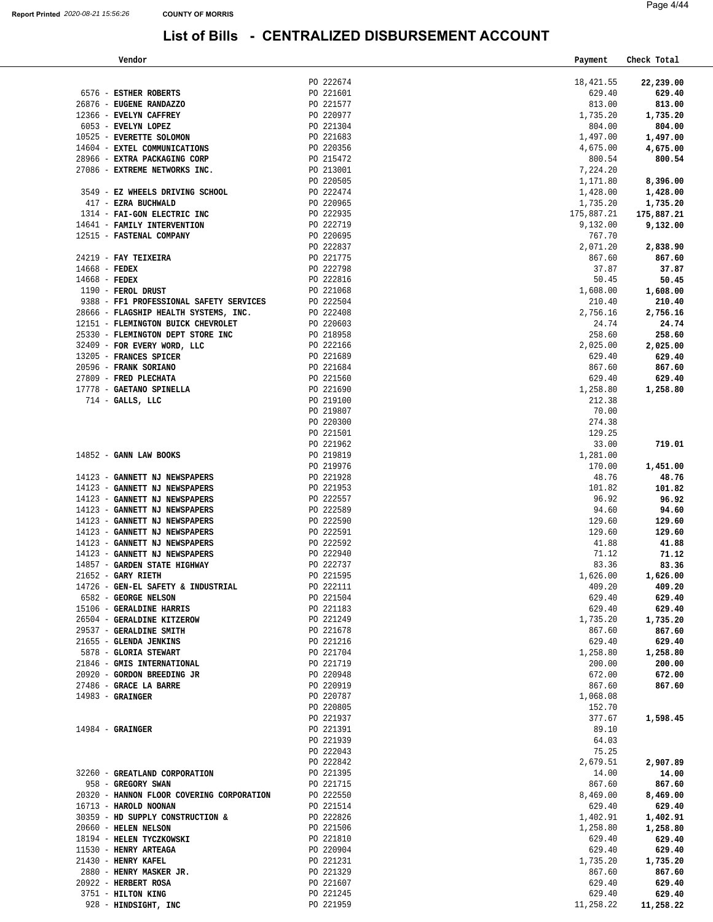928 - **HINDSIGHT, INC** 

#### **List of Bills - CENTRALIZED DISBURSEMENT ACCOUNT**

|                      | Vendor                                                                  |                        | Payment            | Check Total        |
|----------------------|-------------------------------------------------------------------------|------------------------|--------------------|--------------------|
|                      |                                                                         |                        |                    |                    |
|                      |                                                                         | PO 222674              | 18,421.55          | 22,239.00          |
|                      | 6576 - ESTHER ROBERTS                                                   | PO 221601              | 629.40             | 629.40             |
|                      | 26876 - EUGENE RANDAZZO<br>12366 - EVELYN CAFFREY                       | PO 221577              | 813.00             | 813.00             |
|                      | 6053 - EVELYN LOPEZ                                                     | PO 220977<br>PO 221304 | 1,735.20<br>804.00 | 1,735.20<br>804.00 |
|                      | 10525 - EVERETTE SOLOMON                                                | PO 221683              | 1,497.00           | 1,497.00           |
|                      | 14604 - EXTEL COMMUNICATIONS                                            | PO 220356              | 4,675.00           | 4,675.00           |
|                      | 28966 - EXTRA PACKAGING CORP                                            | PO 215472              | 800.54             | 800.54             |
|                      | 27086 - EXTREME NETWORKS INC.                                           | PO 213001              | 7,224.20           |                    |
|                      |                                                                         | PO 220505              | 1,171.80           | 8,396.00           |
|                      | 3549 - EZ WHEELS DRIVING SCHOOL                                         | PO 222474              | 1,428.00           | 1,428.00           |
|                      | 417 - EZRA BUCHWALD                                                     | PO 220965              | 1,735.20           | 1,735.20           |
|                      | 1314 - FAI-GON ELECTRIC INC                                             | PO 222935              | 175,887.21         | 175,887.21         |
|                      | 14641 - FAMILY INTERVENTION                                             | PO 222719              | 9,132.00           | 9,132.00           |
|                      | 12515 - FASTENAL COMPANY                                                | PO 220695              | 767.70             |                    |
|                      |                                                                         | PO 222837              | 2,071.20           | 2,838.90           |
|                      | 24219 - FAY TEIXEIRA                                                    | PO 221775              | 867.60             | 867.60             |
| 14668 - FEDEX        |                                                                         | PO 222798              | 37.87              | 37.87              |
| $14668$ - FEDEX      |                                                                         | PO 222816              | 50.45              | 50.45              |
|                      | 1190 - FEROL DRUST                                                      | PO 221068              | 1,608.00           | 1,608.00           |
|                      | 9388 - FF1 PROFESSIONAL SAFETY SERVICES                                 | PO 222504              | 210.40             | 210.40             |
|                      | 28666 - FLAGSHIP HEALTH SYSTEMS, INC.                                   | PO 222408              | 2,756.16           | 2,756.16           |
|                      | 12151 - FLEMINGTON BUICK CHEVROLET<br>25330 - FLEMINGTON DEPT STORE INC | PO 220603              | 24.74<br>258.60    | 24.74              |
|                      | 32409 - FOR EVERY WORD, LLC                                             | PO 218958<br>PO 222166 | 2,025.00           | 258.60             |
|                      | 13205 - FRANCES SPICER                                                  | PO 221689              | 629.40             | 2,025.00<br>629.40 |
|                      | 20596 - FRANK SORIANO                                                   | PO 221684              | 867.60             | 867.60             |
|                      | 27809 - FRED PLECHATA                                                   | PO 221560              | 629.40             | 629.40             |
|                      | 17778 - GAETANO SPINELLA                                                | PO 221690              | 1,258.80           | 1,258.80           |
|                      | $714$ - GALLS, LLC                                                      | PO 219100              | 212.38             |                    |
|                      |                                                                         | PO 219807              | 70.00              |                    |
|                      |                                                                         | PO 220300              | 274.38             |                    |
|                      |                                                                         | PO 221501              | 129.25             |                    |
|                      |                                                                         | PO 221962              | 33.00              | 719.01             |
|                      | $14852$ - GANN LAW BOOKS                                                | PO 219819              | 1,281.00           |                    |
|                      |                                                                         | PO 219976              | 170.00             | 1,451.00           |
|                      | 14123 - GANNETT NJ NEWSPAPERS                                           | PO 221928              | 48.76              | 48.76              |
|                      | 14123 - GANNETT NJ NEWSPAPERS                                           | PO 221953              | 101.82             | 101.82             |
|                      | 14123 - GANNETT NJ NEWSPAPERS<br>14123 - GANNETT NJ NEWSPAPERS          | PO 222557<br>PO 222589 | 96.92<br>94.60     | 96.92<br>94.60     |
|                      | 14123 - GANNETT NJ NEWSPAPERS                                           | PO 222590              | 129.60             | 129.60             |
|                      | 14123 - GANNETT NJ NEWSPAPERS                                           | PO 222591              | 129.60             | 129.60             |
|                      | 14123 - GANNETT NJ NEWSPAPERS                                           | PO 222592              | 41.88              | 41.88              |
|                      | 14123 - GANNETT NJ NEWSPAPERS                                           | PO 222940              | 71.12              | 71.12              |
|                      | 14857 - GARDEN STATE HIGHWAY                                            | PO 222737              | 83.36              | 83.36              |
| $21652$ - GARY RIETH |                                                                         | PO 221595              | 1,626.00           | 1,626.00           |
|                      | 14726 - GEN-EL SAFETY & INDUSTRIAL                                      | PO 222111              | 409.20             | 409.20             |
|                      | 6582 - GEORGE NELSON                                                    | PO 221504              | 629.40             | 629.40             |
|                      | 15106 - GERALDINE HARRIS                                                | PO 221183              | 629.40             | 629.40             |
|                      | 26504 - GERALDINE KITZEROW                                              | PO 221249              | 1,735.20           | 1,735.20           |
|                      | 29537 - GERALDINE SMITH<br>21655 - GLENDA JENKINS                       | PO 221678              | 867.60             | 867.60             |
|                      | 5878 - GLORIA STEWART                                                   | PO 221216<br>PO 221704 | 629.40<br>1,258.80 | 629.40<br>1,258.80 |
|                      | 21846 - GMIS INTERNATIONAL                                              | PO 221719              | 200.00             | 200.00             |
|                      | 20920 - GORDON BREEDING JR                                              | PO 220948              | 672.00             | 672.00             |
|                      | 27486 - GRACE LA BARRE                                                  | PO 220919              | 867.60             | 867.60             |
| $14983$ - GRAINGER   |                                                                         | PO 220787              | 1,068.08           |                    |
|                      |                                                                         | PO 220805              | 152.70             |                    |
|                      |                                                                         | PO 221937              | 377.67             | 1,598.45           |
| $14984$ - GRAINGER   |                                                                         | PO 221391              | 89.10              |                    |
|                      |                                                                         | PO 221939              | 64.03              |                    |
|                      |                                                                         | PO 222043              | 75.25              |                    |
|                      |                                                                         | PO 222842              | 2,679.51           | 2,907.89           |
|                      | 32260 - GREATLAND CORPORATION                                           | PO 221395              | 14.00              | 14.00              |
|                      | 958 - GREGORY SWAN<br>20320 - HANNON FLOOR COVERING CORPORATION         | PO 221715<br>PO 222550 | 867.60<br>8,469.00 | 867.60<br>8,469.00 |
|                      | 16713 - HAROLD NOONAN                                                   | PO 221514              | 629.40             | 629.40             |
|                      | 30359 - HD SUPPLY CONSTRUCTION &                                        | PO 222826              | 1,402.91           | 1,402.91           |
|                      | 20660 - HELEN NELSON                                                    | PO 221506              | 1,258.80           | 1,258.80           |
|                      | 18194 - HELEN TYCZKOWSKI                                                | PO 221810              | 629.40             | 629.40             |
|                      | 11530 - HENRY ARTEAGA                                                   | PO 220904              | 629.40             | 629.40             |
|                      | 21430 - HENRY KAFEL                                                     | PO 221231              | 1,735.20           | 1,735.20           |
|                      | 2880 - HENRY MASKER JR.                                                 | PO 221329              | 867.60             | 867.60             |
|                      | 20922 - HERBERT ROSA                                                    | PO 221607              | 629.40             | 629.40             |
|                      | 3751 - HILTON KING                                                      | PO 221245              | 629.40             | 629.40             |

PO 221959 [11,258.22](https://11,258.22) **[11,258.22](https://11,258.22)**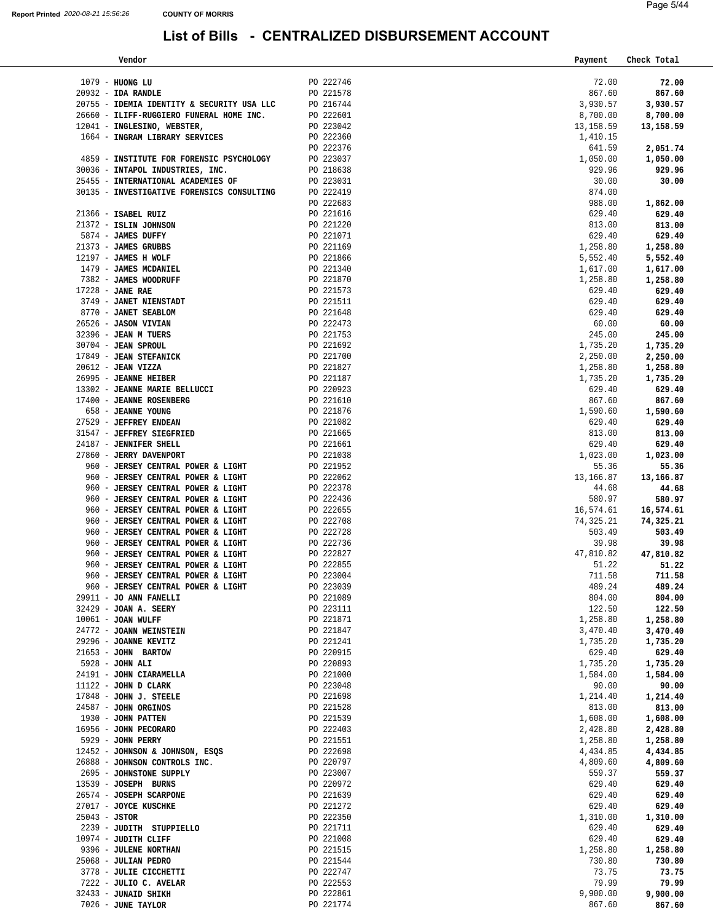| Vendor                                             |                        | Payment          | Check Total        |
|----------------------------------------------------|------------------------|------------------|--------------------|
|                                                    |                        |                  |                    |
| 1079 - HUONG LU                                    | PO 222746              | 72.00            | 72.00              |
| $20932 - IDA$ RANDLE                               | PO 221578              | 867.60           | 867.60             |
| 20755 - IDEMIA IDENTITY & SECURITY USA LLC         | PO 216744              | 3,930.57         | 3,930.57           |
| 26660 - ILIFF-RUGGIERO FUNERAL HOME INC.           | PO 222601              | 8,700.00         | 8,700.00           |
| 12041 - INGLESINO, WEBSTER,                        | PO 223042              | 13, 158.59       | 13,158.59          |
| 1664 - INGRAM LIBRARY SERVICES                     | PO 222360              | 1,410.15         |                    |
|                                                    | PO 222376              | 641.59           | 2,051.74           |
| 4859 - INSTITUTE FOR FORENSIC PSYCHOLOGY PO 223037 |                        | 1,050.00         | 1,050.00           |
| 30036 - INTAPOL INDUSTRIES, INC.                   | PO 218638<br>PO 223031 | 929.96           | 929.96             |
| 25455 - INTERNATIONAL ACADEMIES OF                 |                        | 30.00            | 30.00              |
| 30135 - INVESTIGATIVE FORENSICS CONSULTING         | PO 222419              | 874.00           |                    |
|                                                    | PO 222683              | 988.00           | 1,862.00           |
| 21366 - ISABEL RUIZ                                | PO 221616              | 629.40           | 629.40             |
| 21372 - ISLIN JOHNSON                              | PO 221220              | 813.00           | 813.00             |
| 5874 - JAMES DUFFY                                 | PO 221071              | 629.40           | 629.40             |
| 21373 - JAMES GRUBBS                               | PO 221169              | 1,258.80         | 1,258.80           |
| 12197 - JAMES H WOLF                               | PO 221866              | 5,552.40         | 5,552.40           |
| 1479 - JAMES MCDANIEL                              | PO 221340              | 1,617.00         | 1,617.00           |
| 7382 - JAMES WOODRUFF                              | PO 221870              | 1,258.80         | 1,258.80           |
| 17228 - JANE RAE                                   | PO 221573              | 629.40           | 629.40             |
| 3749 - JANET NIENSTADT                             | PO 221511              | 629.40           | 629.40             |
| 8770 - JANET SEABLOM                               | PO 221648              | 629.40           | 629.40             |
| 26526 - JASON VIVIAN                               | PO 222473              | 60.00            | 60.00              |
| 32396 - JEAN M TUERS                               | PO 221753              | 245.00           | 245.00             |
| 30704 - JEAN SPROUL                                | PO 221692              | 1,735.20         | 1,735.20           |
| 17849 - JEAN STEFANICK                             | PO 221700              | 2,250.00         | 2,250.00           |
| 20612 - JEAN VIZZA                                 | PO 221827              | 1,258.80         | 1,258.80           |
| 26995 - JEANNE HEIBER                              | PO 221187              | 1,735.20         | 1,735.20           |
| 13302 - JEANNE MARIE BELLUCCI                      | $PO$ 220923            | 629.40           | 629.40             |
| 17400 - JEANNE ROSENBERG                           | PO 221610              | 867.60           | 867.60             |
| 658 - JEANNE YOUNG                                 | PO 221876              | 1,590.60         | 1,590.60           |
| 27529 - JEFFREY ENDEAN                             | PO 221082              | 629.40           | 629.40             |
| 31547 - JEFFREY SIEGFRIED                          | PO 221665              | 813.00           | 813.00             |
| 24187 - JENNIFER SHELL                             | PO 221661              | 629.40           | 629.40             |
| 27860 - JERRY DAVENPORT                            | PO 221038              | 1,023.00         | 1,023.00           |
| 960 - JERSEY CENTRAL POWER & LIGHT                 | PO 221952              | 55.36            | 55.36              |
| 960 - JERSEY CENTRAL POWER & LIGHT                 |                        | 13,166.87        | 13,166.87          |
| 960 - JERSEY CENTRAL POWER & LIGHT                 | PO 222062<br>PO 222378 | 44.68            | 44.68              |
| 960 - JERSEY CENTRAL POWER & LIGHT                 | PO 222436              | 580.97           | 580.97             |
| 960 - JERSEY CENTRAL POWER & LIGHT                 | PO 222655              | 16,574.61        | 16,574.61          |
| 960 - JERSEY CENTRAL POWER & LIGHT                 | PO 222708              | 74,325.21        | 74,325.21          |
| 960 - JERSEY CENTRAL POWER & LIGHT                 | PO 222728              | 503.49           | 503.49             |
| 960 - JERSEY CENTRAL POWER & LIGHT                 | PO 222736              | 39.98            | 39.98              |
| 960 - JERSEY CENTRAL POWER & LIGHT                 | PO 222827              | 47,810.82        | 47,810.82          |
| 960 - JERSEY CENTRAL POWER & LIGHT                 | PO 222855              | 51.22            | 51.22              |
| 960 - JERSEY CENTRAL POWER & LIGHT                 | PO 223004              | 711.58           | 711.58             |
| 960 - JERSEY CENTRAL POWER & LIGHT                 | PO 223039              | 489.24           | 489.24             |
| 29911 - JO ANN FANELLI                             | PO 221089              | 804.00           | 804.00             |
| 32429 - JOAN A. SEERY                              | PO 223111              | 122.50           | 122.50             |
| 10061 - JOAN WULFF                                 | PO 221871              | 1,258.80         | 1,258.80           |
| 24772 - JOANN WEINSTEIN                            | PO 221847              | 3,470.40         | 3,470.40           |
| 29296 - JOANNE KEVITZ                              | PO 221241              | 1,735.20         | 1,735.20           |
| 21653 - JOHN BARTOW                                | PO 220915              | 629.40           | 629.40             |
| 5928 - JOHN ALI                                    | PO 220893              | 1,735.20         | 1,735.20           |
| 24191 - JOHN CIARAMELLA                            | PO 221000              | 1,584.00         | 1,584.00           |
| $11122 - JOHN D CLARK$                             | PO 223048              | 90.00            | 90.00              |
| 17848 - JOHN J. STEELE                             | PO 221698              | 1,214.40         | 1,214.40           |
| 24587 - JOHN ORGINOS                               | PO 221528              | 813.00           | 813.00             |
| 1930 - JOHN PATTEN                                 | PO 221539              | 1,608.00         | 1,608.00           |
| 16956 - JOHN PECORARO                              | PO 222403              | 2,428.80         | 2,428.80           |
| 5929 - JOHN PERRY                                  | PO 221551              | 1,258.80         | 1,258.80           |
| 12452 - JOHNSON & JOHNSON, ESQS                    | PO 222698              | 4,434.85         | 4,434.85           |
| 26888 - JOHNSON CONTROLS INC.                      | PO 220797              | 4,809.60         | 4,809.60           |
| 2695 - JOHNSTONE SUPPLY                            | PO 223007              | 559.37           | 559.37             |
| 13539 - JOSEPH BURNS                               | PO 220972              | 629.40           | 629.40             |
| 26574 - JOSEPH SCARPONE                            | PO 221639              | 629.40           | 629.40             |
| 27017 - JOYCE KUSCHKE                              | PO 221272              | 629.40           |                    |
|                                                    |                        |                  | 629.40             |
| $25043 - JSTOR$                                    | PO 222350              | 1,310.00         | 1,310.00           |
| 2239 - JUDITH STUPPIELLO<br>10974 - JUDITH CLIFF   | PO 221711<br>PO 221008 | 629.40<br>629.40 | 629.40             |
|                                                    |                        |                  | 629.40             |
| 9396 - JULENE NORTHAN<br>25068 - JULIAN PEDRO      | PO 221515              | 1,258.80         | 1,258.80<br>730.80 |
| 3778 - JULIE CICCHETTI                             | PO 221544<br>PO 222747 | 730.80<br>73.75  | 73.75              |
| 7222 - JULIO C. AVELAR                             | PO 222553              | 79.99            | 79.99              |
| 32433 - JUNAID SHIKH                               | PO 222861              | 9,900.00         | 9,900.00           |
| 7026 - JUNE TAYLOR                                 | PO 221774              | 867.60           | 867.60             |
|                                                    |                        |                  |                    |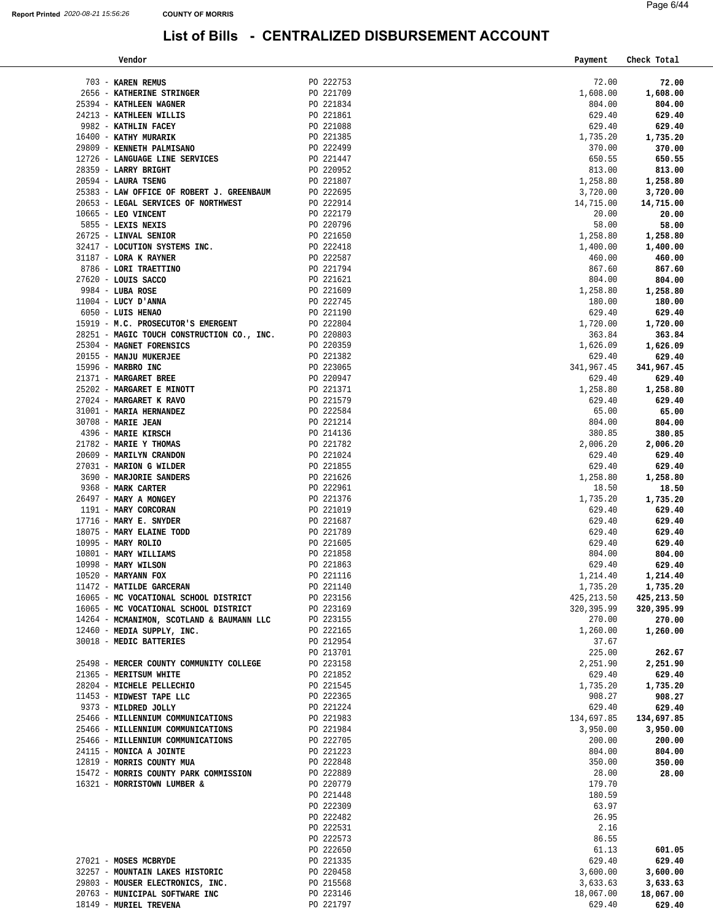| Vendor                                                                                                                                                                                                                                                                                                                                                                                                                                        |                        | Payment              | Check Total        |
|-----------------------------------------------------------------------------------------------------------------------------------------------------------------------------------------------------------------------------------------------------------------------------------------------------------------------------------------------------------------------------------------------------------------------------------------------|------------------------|----------------------|--------------------|
|                                                                                                                                                                                                                                                                                                                                                                                                                                               |                        |                      |                    |
| 703 - KAREN REMUS                                                                                                                                                                                                                                                                                                                                                                                                                             | PO 222753              | 72.00                | 72.00              |
|                                                                                                                                                                                                                                                                                                                                                                                                                                               |                        | 1,608.00             | 1,608.00           |
|                                                                                                                                                                                                                                                                                                                                                                                                                                               |                        | 804.00               | 804.00             |
|                                                                                                                                                                                                                                                                                                                                                                                                                                               |                        | 629.40               | 629.40             |
|                                                                                                                                                                                                                                                                                                                                                                                                                                               |                        | 629.40               | 629.40             |
| 0221709<br>2656 - KATHERINE STRINGER<br>2656 - KATHERINE STRINGER<br>2656 - KATHERINE STRINGER<br>2656 - KATHERINE STRINGER<br>2621394 - KATHERINE WERKINES<br>2982 - KATHERINE PALMISANO<br>2021861<br>2982 - KATHY MURARIK<br>29809 - KENNETH                                                                                                                                                                                               |                        | 1,735.20<br>370.00   | 1,735.20<br>370.00 |
|                                                                                                                                                                                                                                                                                                                                                                                                                                               |                        | 650.55               | 650.55             |
| 28359 - LARRY BRIGHT                                                                                                                                                                                                                                                                                                                                                                                                                          | PO 220952              | 813.00               | 813.00             |
| 20594 - LAURA TSENG                                                                                                                                                                                                                                                                                                                                                                                                                           | PO 221807              | 1,258.80             | 1,258.80           |
| 25383 - LAW OFFICE OF ROBERT J. GREENBAUM PO 222695                                                                                                                                                                                                                                                                                                                                                                                           |                        | 3,720.00             | 3,720.00           |
| 20653 - LEGAL SERVICES OF NORTHWEST                                                                                                                                                                                                                                                                                                                                                                                                           | PO 222914              | 14,715.00            | 14,715.00          |
| 10665 - LEO VINCENT                                                                                                                                                                                                                                                                                                                                                                                                                           | PO 222179              | 20.00                | 20.00              |
| 5855 - LEXIS NEXIS                                                                                                                                                                                                                                                                                                                                                                                                                            |                        | 58.00                | 58.00              |
| 26725 - LINVAL SENIOR                                                                                                                                                                                                                                                                                                                                                                                                                         | PO 220796<br>PO 221650 | 1,258.80             | 1,258.80           |
|                                                                                                                                                                                                                                                                                                                                                                                                                                               |                        | 1,400.00             | 1,400.00           |
| PO 221650<br>32417 - LOCUTION SYSTEMS INC.<br>31187 - LORA KRAYNER<br>8786 - LORI TRAETTINO<br>27620 - LOUIS SACCO<br>9984 - LUBA ROSE<br>1004 - LUCY D'ANNA<br>6050 - LUIS HENAO<br>90 22169<br>90 22169<br>90 221745<br>90 222745<br>90 222745<br>90 2                                                                                                                                                                                      |                        | 460.00               | 460.00             |
|                                                                                                                                                                                                                                                                                                                                                                                                                                               |                        | 867.60               | 867.60             |
|                                                                                                                                                                                                                                                                                                                                                                                                                                               |                        | 804.00               | 804.00             |
|                                                                                                                                                                                                                                                                                                                                                                                                                                               |                        | 1,258.80             | 1,258.80           |
|                                                                                                                                                                                                                                                                                                                                                                                                                                               |                        | 180.00               | 180.00             |
|                                                                                                                                                                                                                                                                                                                                                                                                                                               |                        | 629.40               | 629.40             |
|                                                                                                                                                                                                                                                                                                                                                                                                                                               |                        | 1,720.00             | 1,720.00           |
|                                                                                                                                                                                                                                                                                                                                                                                                                                               |                        | 363.84               | 363.84             |
|                                                                                                                                                                                                                                                                                                                                                                                                                                               |                        | 1,626.09             | 1,626.09           |
|                                                                                                                                                                                                                                                                                                                                                                                                                                               |                        | 629.40               | 629.40             |
|                                                                                                                                                                                                                                                                                                                                                                                                                                               |                        | 341,967.45<br>629.40 | 341,967.45         |
|                                                                                                                                                                                                                                                                                                                                                                                                                                               |                        | 1,258.80             | 629.40<br>1,258.80 |
|                                                                                                                                                                                                                                                                                                                                                                                                                                               |                        | 629.40               | 629.40             |
|                                                                                                                                                                                                                                                                                                                                                                                                                                               |                        | 65.00                | 65.00              |
|                                                                                                                                                                                                                                                                                                                                                                                                                                               |                        | 804.00               | 804.00             |
|                                                                                                                                                                                                                                                                                                                                                                                                                                               |                        | 380.85               | 380.85             |
|                                                                                                                                                                                                                                                                                                                                                                                                                                               |                        | 2,006.20             | 2,006.20           |
|                                                                                                                                                                                                                                                                                                                                                                                                                                               |                        | 629.40               | 629.40             |
|                                                                                                                                                                                                                                                                                                                                                                                                                                               |                        | 629.40               | 629.40             |
| $\begin{tabular}{c c c} \multicolumn{4}{c}{\textbf{.4GNE}} & \multicolumn{4}{c}{\textbf{.4GNE}} & \multicolumn{4}{c}{\textbf{.4GNE}} & \multicolumn{4}{c}{\textbf{.4GNE}} & \multicolumn{4}{c}{\textbf{.4GNE}} & \multicolumn{4}{c}{\textbf{.4GNE}} & \multicolumn{4}{c}{\textbf{.4GNE}} & \multicolumn{4}{c}{\textbf{.4GNE}} & \multicolumn{4}{c}{\textbf{.4GNE}} & \multicolumn{4}{c}{\textbf{.4GNE}} & \multicolumn{4}{c}{\textbf{.4GNE}}$ |                        | 1,258.80             | 1,258.80           |
|                                                                                                                                                                                                                                                                                                                                                                                                                                               |                        | 18.50                | 18.50              |
|                                                                                                                                                                                                                                                                                                                                                                                                                                               |                        | 1,735.20             | 1,735.20           |
|                                                                                                                                                                                                                                                                                                                                                                                                                                               |                        | 629.40               | 629.40             |
|                                                                                                                                                                                                                                                                                                                                                                                                                                               |                        | 629.40               | 629.40             |
|                                                                                                                                                                                                                                                                                                                                                                                                                                               |                        | 629.40               | 629.40             |
|                                                                                                                                                                                                                                                                                                                                                                                                                                               |                        | 629.40               | 629.40             |
|                                                                                                                                                                                                                                                                                                                                                                                                                                               |                        | 804.00<br>629.40     | 804.00<br>629.40   |
|                                                                                                                                                                                                                                                                                                                                                                                                                                               |                        | 1,214.40             | 1,214.40           |
|                                                                                                                                                                                                                                                                                                                                                                                                                                               |                        | 1,735.20             | 1,735.20           |
|                                                                                                                                                                                                                                                                                                                                                                                                                                               |                        | 425, 213.50          | 425,213.50         |
| 16065 - MC VOCATIONAL SCHOOL DISTRICT                                                                                                                                                                                                                                                                                                                                                                                                         | PO 223169              | 320,395.99           | 320,395.99         |
| 14264 - MCMANIMON, SCOTLAND & BAUMANN LLC                                                                                                                                                                                                                                                                                                                                                                                                     | PO 223155              | 270.00               | 270.00             |
| 12460 - MEDIA SUPPLY, INC.                                                                                                                                                                                                                                                                                                                                                                                                                    | PO 222165              | 1,260.00             | 1,260.00           |
| 30018 - MEDIC BATTERIES                                                                                                                                                                                                                                                                                                                                                                                                                       | PO 212954              | 37.67                |                    |
|                                                                                                                                                                                                                                                                                                                                                                                                                                               | PO 213701              | 225.00               | 262.67             |
| 25498 - MERCER COUNTY COMMUNITY COLLEGE                                                                                                                                                                                                                                                                                                                                                                                                       | PO 223158              | 2,251.90             | 2,251.90           |
| 21365 - MERITSUM WHITE                                                                                                                                                                                                                                                                                                                                                                                                                        | PO 221852              | 629.40               | 629.40             |
| 28204 - MICHELE PELLECHIO                                                                                                                                                                                                                                                                                                                                                                                                                     | PO 221545              | 1,735.20             | 1,735.20           |
| 11453 - MIDWEST TAPE LLC                                                                                                                                                                                                                                                                                                                                                                                                                      | PO 222365              | 908.27               | 908.27             |
| 9373 - MILDRED JOLLY                                                                                                                                                                                                                                                                                                                                                                                                                          | PO 221224              | 629.40               | 629.40             |
| 25466 - MILLENNIUM COMMUNICATIONS                                                                                                                                                                                                                                                                                                                                                                                                             | PO 221983              | 134,697.85           | 134,697.85         |
| 25466 - MILLENNIUM COMMUNICATIONS                                                                                                                                                                                                                                                                                                                                                                                                             | PO 221984              | 3,950.00             | 3,950.00           |
| 25466 - MILLENNIUM COMMUNICATIONS                                                                                                                                                                                                                                                                                                                                                                                                             | PO 222705              | 200.00               | 200.00             |
| 24115 - MONICA A JOINTE<br>12819 - MORRIS COUNTY MUA                                                                                                                                                                                                                                                                                                                                                                                          | PO 221223<br>PO 222848 | 804.00<br>350.00     | 804.00<br>350.00   |
| 15472 - MORRIS COUNTY PARK COMMISSION                                                                                                                                                                                                                                                                                                                                                                                                         | PO 222889              | 28.00                | 28.00              |
| 16321 - MORRISTOWN LUMBER &                                                                                                                                                                                                                                                                                                                                                                                                                   | PO 220779              | 179.70               |                    |
|                                                                                                                                                                                                                                                                                                                                                                                                                                               | PO 221448              | 180.59               |                    |
|                                                                                                                                                                                                                                                                                                                                                                                                                                               | PO 222309              | 63.97                |                    |
|                                                                                                                                                                                                                                                                                                                                                                                                                                               | PO 222482              | 26.95                |                    |
|                                                                                                                                                                                                                                                                                                                                                                                                                                               | PO 222531              | 2.16                 |                    |
|                                                                                                                                                                                                                                                                                                                                                                                                                                               | PO 222573              | 86.55                |                    |
|                                                                                                                                                                                                                                                                                                                                                                                                                                               | PO 222650              | 61.13                | 601.05             |
| 27021 - MOSES MCBRYDE                                                                                                                                                                                                                                                                                                                                                                                                                         | PO 221335              | 629.40               | 629.40             |
| 32257 - MOUNTAIN LAKES HISTORIC                                                                                                                                                                                                                                                                                                                                                                                                               | PO 220458              | 3,600.00             | 3,600.00           |
| 29803 - MOUSER ELECTRONICS, INC.                                                                                                                                                                                                                                                                                                                                                                                                              | PO 215568              | 3,633.63             | 3,633.63           |
| 20763 - MUNICIPAL SOFTWARE INC                                                                                                                                                                                                                                                                                                                                                                                                                | PO 223146              | 18,067.00            | 18,067.00          |
| 18149 - MURIEL TREVENA                                                                                                                                                                                                                                                                                                                                                                                                                        | PO 221797              | 629.40               | 629.40             |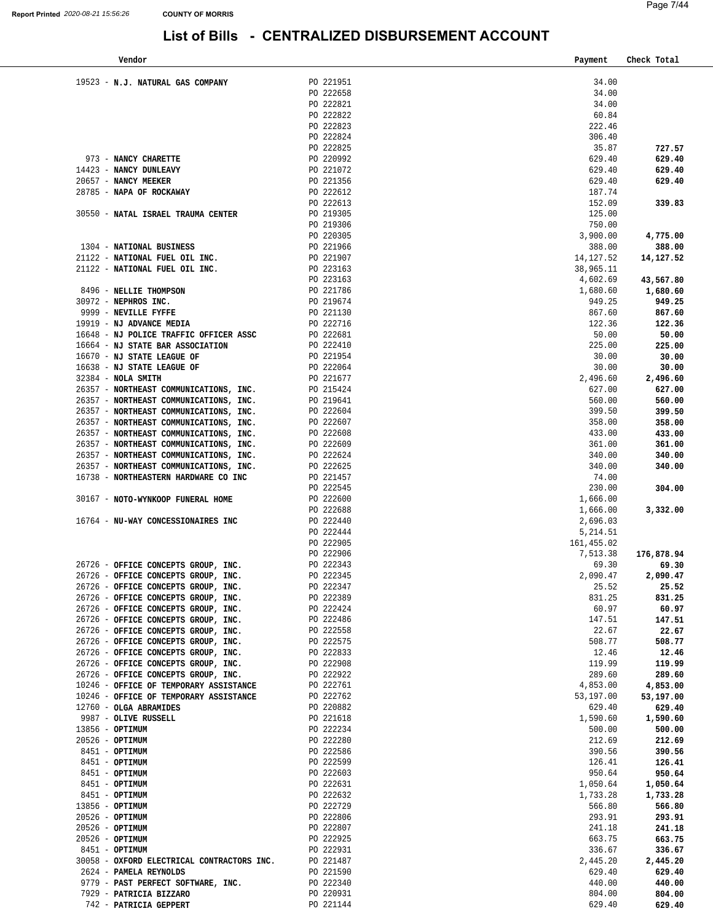| Vendor                                                         |                        | Payment              | Check Total      |
|----------------------------------------------------------------|------------------------|----------------------|------------------|
|                                                                |                        |                      |                  |
| 19523 - N.J. NATURAL GAS COMPANY                               | PO 221951              | 34.00                |                  |
|                                                                | PO 222658              | 34.00                |                  |
|                                                                | PO 222821              | 34.00                |                  |
|                                                                | PO 222822              | 60.84                |                  |
|                                                                | PO 222823              | 222.46               |                  |
|                                                                | PO 222824              | 306.40               |                  |
|                                                                | PO 222825              | 35.87                | 727.57           |
| 973 - NANCY CHARETTE                                           | PO 220992              | 629.40               | 629.40           |
| 14423 - NANCY DUNLEAVY                                         | PO 221072              | 629.40               | 629.40           |
| 20657 - NANCY MEEKER                                           | PO 221356              | 629.40               | 629.40           |
| 28785 - NAPA OF ROCKAWAY                                       | PO 222612              | 187.74               |                  |
|                                                                | PO 222613              | 152.09               | 339.83           |
| 30550 - NATAL ISRAEL TRAUMA CENTER                             | PO 219305              | 125.00               |                  |
|                                                                | PO 219306              | 750.00               |                  |
|                                                                | PO 220305              | 3,900.00             | 4,775.00         |
| 1304 - NATIONAL BUSINESS                                       | PO 221966              | 388.00               | 388.00           |
| 21122 - NATIONAL FUEL OIL INC.                                 | PO 221907              | 14,127.52            | 14,127.52        |
| 21122 - NATIONAL FUEL OIL INC.                                 | PO 223163              | 38,965.11            |                  |
|                                                                | PO 223163              | 4,602.69             | 43,567.80        |
| 8496 - NELLIE THOMPSON                                         | PO 221786              | 1,680.60             | 1,680.60         |
| 30972 - NEPHROS INC.                                           | PO 219674              | 949.25               | 949.25           |
| 9999 - NEVILLE FYFFE                                           | PO 221130              | 867.60               | 867.60           |
| 19919 - NJ ADVANCE MEDIA                                       | PO 222716              | 122.36               | 122.36           |
| 16648 - NJ POLICE TRAFFIC OFFICER ASSC                         | PO 222681              | 50.00                | 50.00            |
| 16664 - NJ STATE BAR ASSOCIATION<br>16670 - NJ STATE LEAGUE OF | PO 222410<br>PO 221954 | 225.00<br>30.00      | 225.00           |
| 16638 - NJ STATE LEAGUE OF                                     | PO 222064              |                      | 30.00            |
| $32384$ - NOLA SMITH                                           | PO 221677              | 30.00                | 30.00            |
| 26357 - NORTHEAST COMMUNICATIONS, INC.                         | PO 215424              | 2,496.60             | 2,496.60         |
| 26357 - NORTHEAST COMMUNICATIONS, INC.                         | PO 219641              | 627.00<br>560.00     | 627.00<br>560.00 |
| 26357 - NORTHEAST COMMUNICATIONS, INC.                         | PO 222604              | 399.50               | 399.50           |
| 26357 - NORTHEAST COMMUNICATIONS, INC.                         | PO 222607              | 358.00               | 358.00           |
| 26357 - NORTHEAST COMMUNICATIONS, INC.                         | PO 222608              | 433.00               | 433.00           |
| 26357 - NORTHEAST COMMUNICATIONS, INC.                         | PO 222609              | 361.00               | 361.00           |
| 26357 - NORTHEAST COMMUNICATIONS, INC.                         | PO 222624              | 340.00               | 340.00           |
| 26357 - NORTHEAST COMMUNICATIONS, INC.                         | PO 222625              | 340.00               | 340.00           |
| 16738 - NORTHEASTERN HARDWARE CO INC                           | PO 221457              | 74.00                |                  |
|                                                                | PO 222545              | 230.00               | 304.00           |
| 30167 - NOTO-WYNKOOP FUNERAL HOME                              | PO 222600              |                      |                  |
|                                                                | PO 222688              | 1,666.00<br>1,666.00 |                  |
| 16764 - NU-WAY CONCESSIONAIRES INC                             | PO 222440              | 2,696.03             | 3,332.00         |
|                                                                | PO 222444              | 5,214.51             |                  |
|                                                                | PO 222905              | 161,455.02           |                  |
|                                                                | PO 222906              | 7,513.38             | 176,878.94       |
| 26726 - OFFICE CONCEPTS GROUP, INC.                            | PO 222343              | 69.30                | 69.30            |
| 26726 - OFFICE CONCEPTS GROUP, INC.                            | PO 222345              | 2,090.47             | 2,090.47         |
| 26726 - OFFICE CONCEPTS GROUP, INC.                            | PO 222347              | 25.52                | 25.52            |
| 26726 - OFFICE CONCEPTS GROUP, INC.                            | PO 222389              | 831.25               | 831.25           |
| 26726 - OFFICE CONCEPTS GROUP, INC.                            | PO 222424              | 60.97                | 60.97            |
| 26726 - OFFICE CONCEPTS GROUP, INC.                            | PO 222486              | 147.51               | 147.51           |
| 26726 - OFFICE CONCEPTS GROUP, INC.                            | PO 222558              | 22.67                | 22.67            |
| 26726 - OFFICE CONCEPTS GROUP, INC.                            | PO 222575              | 508.77               | 508.77           |
| 26726 - OFFICE CONCEPTS GROUP, INC.                            | PO 222833              | 12.46                | 12.46            |
| 26726 - OFFICE CONCEPTS GROUP, INC.                            | PO 222908              | 119.99               | 119.99           |
| 26726 - OFFICE CONCEPTS GROUP, INC.                            | PO 222922              | 289.60               | 289.60           |
| 10246 - OFFICE OF TEMPORARY ASSISTANCE                         | PO 222761              | 4,853.00             | 4,853.00         |
| 10246 - OFFICE OF TEMPORARY ASSISTANCE                         | PO 222762              | 53,197.00            | 53,197.00        |
| 12760 - OLGA ABRAMIDES                                         | PO 220882              | 629.40               | 629.40           |
| 9987 - OLIVE RUSSELL                                           | PO 221618              | 1,590.60             | 1,590.60         |
| $13856 - OPTIMUM$                                              | PO 222234              | 500.00               | 500.00           |
| 20526 - OPTIMUM                                                | PO 222280              | 212.69               | 212.69           |
| 8451 - OPTIMUM                                                 | PO 222586              | 390.56               | 390.56           |
| 8451 - OPTIMUM                                                 | PO 222599              | 126.41               | 126.41           |
| 8451 - OPTIMUM                                                 | PO 222603              | 950.64               | 950.64           |
| 8451 - OPTIMUM                                                 | PO 222631              | 1,050.64             | 1,050.64         |
| 8451 - OPTIMUM                                                 | PO 222632              | 1,733.28             | 1,733.28         |
| 13856 - OPTIMUM                                                | PO 222729              | 566.80               | 566.80           |
| 20526 - OPTIMUM                                                | PO 222806              | 293.91               | 293.91           |
| $20526 - OPTIMUM$                                              | PO 222807              | 241.18               | 241.18           |
| 20526 - OPTIMUM                                                | PO 222925              | 663.75               | 663.75           |
| 8451 - OPTIMUM                                                 | PO 222931              | 336.67               | 336.67           |
| 30058 - OXFORD ELECTRICAL CONTRACTORS INC.                     | PO 221487              | 2,445.20             | 2,445.20         |
| 2624 - PAMELA REYNOLDS                                         | PO 221590              | 629.40               | 629.40           |
| 9779 - PAST PERFECT SOFTWARE, INC.                             | PO 222340              | 440.00               | 440.00           |
| 7929 - PATRICIA BIZZARO                                        | PO 220931              | 804.00               | 804.00           |
| 742 - PATRICIA GEPPERT                                         | PO 221144              | 629.40               | 629.40           |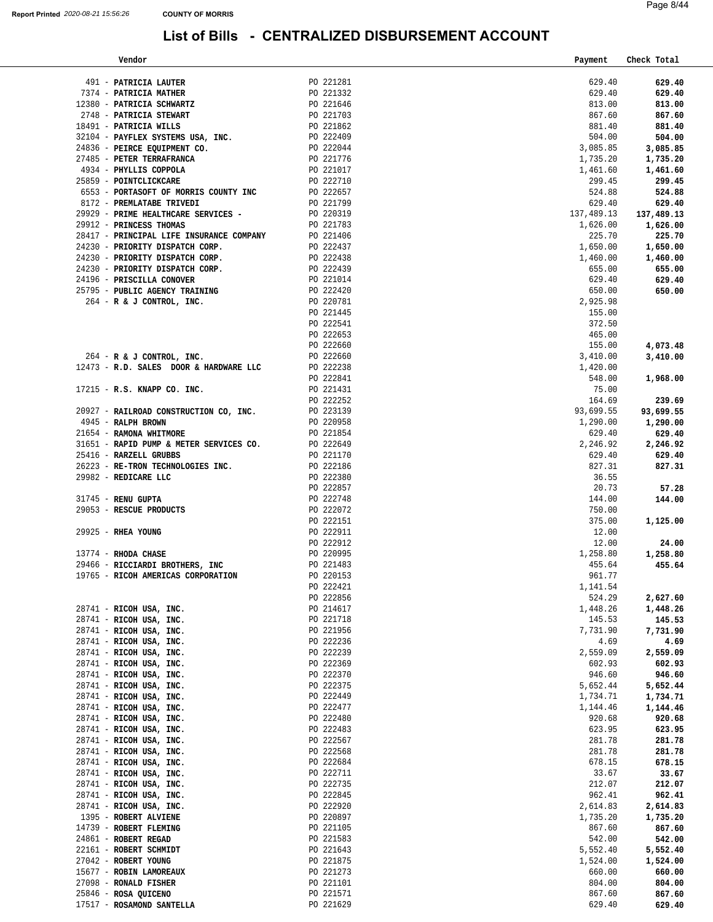| Vendor                                                                                                                                                                                                                                                                                                                                                                                                                                        |                                                                           | Payment    | Check Total |
|-----------------------------------------------------------------------------------------------------------------------------------------------------------------------------------------------------------------------------------------------------------------------------------------------------------------------------------------------------------------------------------------------------------------------------------------------|---------------------------------------------------------------------------|------------|-------------|
|                                                                                                                                                                                                                                                                                                                                                                                                                                               |                                                                           |            |             |
| $\begin{tabular}{lllllllllllll} \multicolumn{4}{c}{\textbf{491}} & \textbf{PARTICIA LAUTER} & \multicolumn{4}{c}{\textbf{221281}} \\ \multicolumn{4}{c}{\textbf{7374}} & \textbf{PARTICIA MATHER} & \multicolumn{4}{c}{\textbf{221332}} \\ \multicolumn{4}{c}{\textbf{12380}} & \textbf{PARTICIA SCHWARTZ} & \multicolumn{4}{c}{\textbf{221332}} \\ \multicolumn{4}{c}{\textbf{12380}} & \multicolumn{4}{c}{\textbf{12380}} & \multicolumn{4$ |                                                                           | 629.40     | 629.40      |
| 491 - PATRICIA LAUTER<br>7374 - PATRICIA MATHER<br>7374 - PATRICIA SCHWARTZ<br>72380 - PATRICIA SCHWARTZ<br>748 - PATRICIA STEWART<br>76 221646<br>7485 - PATRICIA WILLS<br>74836 - PEIRCE EQUIPMENT CO.<br>74836 - PEIRCE EQUIPMENT CO.<br>7485                                                                                                                                                                                              |                                                                           | 629.40     | 629.40      |
|                                                                                                                                                                                                                                                                                                                                                                                                                                               |                                                                           | 813.00     | 813.00      |
|                                                                                                                                                                                                                                                                                                                                                                                                                                               |                                                                           | 867.60     | 867.60      |
|                                                                                                                                                                                                                                                                                                                                                                                                                                               |                                                                           | 881.40     | 881.40      |
|                                                                                                                                                                                                                                                                                                                                                                                                                                               |                                                                           | 504.00     | 504.00      |
|                                                                                                                                                                                                                                                                                                                                                                                                                                               |                                                                           | 3,085.85   | 3,085.85    |
|                                                                                                                                                                                                                                                                                                                                                                                                                                               |                                                                           | 1,735.20   | 1,735.20    |
|                                                                                                                                                                                                                                                                                                                                                                                                                                               |                                                                           | 1,461.60   | 1,461.60    |
| 25859 - POINTCLICKCARE<br>6553 - PORTASOFT OF MORRIS COUNTY INC<br>0172 - PREMIATABE TRIVEDI (221799                                                                                                                                                                                                                                                                                                                                          |                                                                           | 299.45     | 299.45      |
|                                                                                                                                                                                                                                                                                                                                                                                                                                               |                                                                           | 524.88     | 524.88      |
|                                                                                                                                                                                                                                                                                                                                                                                                                                               |                                                                           | 629.40     | 629.40      |
| 29929 - PRIME HEALTHCARE SERVICES - PO 220319                                                                                                                                                                                                                                                                                                                                                                                                 |                                                                           | 137,489.13 | 137,489.13  |
|                                                                                                                                                                                                                                                                                                                                                                                                                                               |                                                                           | 1,626.00   | 1,626.00    |
| $\begin{tabular}{lllllllllll} 29912 & - & \textbf{PRINCESS} & \textbf{THOMAS} & \textbf{PO} & 221783 \\ 28417 & - & \textbf{PRINCIPAL} & \textbf{LIFE} & \textbf{INSURANCE} & \textbf{COMPANY} & \textbf{PO} & 221406 \\ \end{tabular}$                                                                                                                                                                                                       |                                                                           | 225.70     | 225.70      |
|                                                                                                                                                                                                                                                                                                                                                                                                                                               |                                                                           | 1,650.00   | 1,650.00    |
|                                                                                                                                                                                                                                                                                                                                                                                                                                               |                                                                           | 1,460.00   | 1,460.00    |
|                                                                                                                                                                                                                                                                                                                                                                                                                                               |                                                                           | 655.00     | 655.00      |
|                                                                                                                                                                                                                                                                                                                                                                                                                                               |                                                                           | 629.40     | 629.40      |
|                                                                                                                                                                                                                                                                                                                                                                                                                                               |                                                                           | 650.00     | 650.00      |
|                                                                                                                                                                                                                                                                                                                                                                                                                                               |                                                                           | 2,925.98   |             |
|                                                                                                                                                                                                                                                                                                                                                                                                                                               |                                                                           | 155.00     |             |
|                                                                                                                                                                                                                                                                                                                                                                                                                                               | PO 222541                                                                 | 372.50     |             |
|                                                                                                                                                                                                                                                                                                                                                                                                                                               | PO 222653                                                                 | 465.00     |             |
|                                                                                                                                                                                                                                                                                                                                                                                                                                               |                                                                           | 155.00     | 4,073.48    |
| $264$ - R & J CONTROL, INC.                                                                                                                                                                                                                                                                                                                                                                                                                   | PO 222660<br>PO 222660                                                    | 3,410.00   | 3,410.00    |
| 12473 - R.D. SALES DOOR & HARDWARE LLC PO 222238                                                                                                                                                                                                                                                                                                                                                                                              |                                                                           | 1,420.00   |             |
|                                                                                                                                                                                                                                                                                                                                                                                                                                               |                                                                           | 548.00     | 1,968.00    |
| 17215 - R.S. KNAPP CO. INC.                                                                                                                                                                                                                                                                                                                                                                                                                   |                                                                           | 75.00      |             |
|                                                                                                                                                                                                                                                                                                                                                                                                                                               | PO 222841<br>PO 221431<br>PO 22252<br>PO 223139<br>PO 220958<br>PO 221854 | 164.69     | 239.69      |
| 20927 - RAILROAD CONSTRUCTION CO, INC.                                                                                                                                                                                                                                                                                                                                                                                                        |                                                                           | 93,699.55  | 93,699.55   |
| 4945 - RALPH BROWN                                                                                                                                                                                                                                                                                                                                                                                                                            |                                                                           | 1,290.00   | 1,290.00    |
| 21654 - RAMONA WHITMORE                                                                                                                                                                                                                                                                                                                                                                                                                       |                                                                           | 629.40     | 629.40      |
| 21654 - RAMONA WHITMORE<br>31651 - RAPID PUMP & METER SERVICES CO. BO 222649<br>25416 - RARZELL GRUBBS<br>26223 - RE-TRON TECHNOLOGIES INC. BO 222186                                                                                                                                                                                                                                                                                         |                                                                           | 2,246.92   | 2,246.92    |
|                                                                                                                                                                                                                                                                                                                                                                                                                                               |                                                                           | 629.40     | 629.40      |
|                                                                                                                                                                                                                                                                                                                                                                                                                                               |                                                                           | 827.31     |             |
|                                                                                                                                                                                                                                                                                                                                                                                                                                               |                                                                           |            | 827.31      |
| 29982 - REPICARE LLC<br>29982 - REDICARE LLC<br>29982 - REDICARE LLC<br>29982 - REDICARE LLC<br>29982 - REDICARE LLC<br>299825 - RESCUE PRODUCTS<br>29925 - RHEA YOUNG<br>29925 - RHEA YOUNG<br>29456 - RICCIARDI BROTHERS, INC<br>29466 - RICCI                                                                                                                                                                                              |                                                                           | 36.55      |             |
|                                                                                                                                                                                                                                                                                                                                                                                                                                               |                                                                           | 20.73      | 57.28       |
|                                                                                                                                                                                                                                                                                                                                                                                                                                               |                                                                           | 144.00     | 144.00      |
|                                                                                                                                                                                                                                                                                                                                                                                                                                               |                                                                           | 750.00     |             |
|                                                                                                                                                                                                                                                                                                                                                                                                                                               |                                                                           | 375.00     | 1,125.00    |
|                                                                                                                                                                                                                                                                                                                                                                                                                                               |                                                                           | 12.00      |             |
|                                                                                                                                                                                                                                                                                                                                                                                                                                               |                                                                           | 12.00      | 24.00       |
|                                                                                                                                                                                                                                                                                                                                                                                                                                               |                                                                           | 1,258.80   | 1,258.80    |
|                                                                                                                                                                                                                                                                                                                                                                                                                                               |                                                                           | 455.64     | 455.64      |
| 19765 - RICOH AMERICAS CORPORATION                                                                                                                                                                                                                                                                                                                                                                                                            | PO 220153                                                                 | 961.77     |             |
|                                                                                                                                                                                                                                                                                                                                                                                                                                               | PO 222421                                                                 | 1,141.54   |             |
|                                                                                                                                                                                                                                                                                                                                                                                                                                               | PO 222856                                                                 | 524.29     | 2,627.60    |
| 28741 - RICOH USA, INC.                                                                                                                                                                                                                                                                                                                                                                                                                       | PO 214617                                                                 | 1,448.26   | 1,448.26    |
| 28741 - RICOH USA, INC.                                                                                                                                                                                                                                                                                                                                                                                                                       | PO 221718                                                                 | 145.53     | 145.53      |
| 28741 - RICOH USA, INC.                                                                                                                                                                                                                                                                                                                                                                                                                       | PO 221956                                                                 | 7,731.90   | 7,731.90    |
| 28741 - RICOH USA, INC.                                                                                                                                                                                                                                                                                                                                                                                                                       | PO 222236                                                                 | 4.69       | 4.69        |
| 28741 - RICOH USA, INC.                                                                                                                                                                                                                                                                                                                                                                                                                       | PO 222239                                                                 | 2,559.09   | 2,559.09    |
| $28741$ - RICOH USA, INC.                                                                                                                                                                                                                                                                                                                                                                                                                     | PO 222369                                                                 | 602.93     | 602.93      |
| $28741$ - RICOH USA, INC.                                                                                                                                                                                                                                                                                                                                                                                                                     | PO 222370                                                                 | 946.60     | 946.60      |
| 28741 - RICOH USA, INC.                                                                                                                                                                                                                                                                                                                                                                                                                       | PO 222375                                                                 | 5,652.44   | 5,652.44    |
| $28741$ - RICOH USA, INC.                                                                                                                                                                                                                                                                                                                                                                                                                     | PO 222449                                                                 | 1,734.71   | 1,734.71    |
| 28741 - RICOH USA, INC.                                                                                                                                                                                                                                                                                                                                                                                                                       | PO 222477                                                                 | 1,144.46   | 1,144.46    |
| 28741 - RICOH USA, INC.                                                                                                                                                                                                                                                                                                                                                                                                                       | PO 222480                                                                 | 920.68     | 920.68      |
| 28741 - RICOH USA, INC.                                                                                                                                                                                                                                                                                                                                                                                                                       | PO 222483                                                                 | 623.95     | 623.95      |
| 28741 - RICOH USA, INC.                                                                                                                                                                                                                                                                                                                                                                                                                       | PO 222567                                                                 | 281.78     | 281.78      |
| $28741$ - RICOH USA, INC.                                                                                                                                                                                                                                                                                                                                                                                                                     | PO 222568                                                                 | 281.78     | 281.78      |
| 28741 - RICOH USA, INC.                                                                                                                                                                                                                                                                                                                                                                                                                       | PO 222684                                                                 | 678.15     | 678.15      |
| $28741$ - RICOH USA, INC.                                                                                                                                                                                                                                                                                                                                                                                                                     | PO 222711                                                                 | 33.67      | 33.67       |
| $28741$ - RICOH USA, INC.                                                                                                                                                                                                                                                                                                                                                                                                                     | PO 222735                                                                 | 212.07     | 212.07      |
| 28741 - RICOH USA, INC.                                                                                                                                                                                                                                                                                                                                                                                                                       | PO 222845                                                                 | 962.41     | 962.41      |
| 28741 - RICOH USA, INC.                                                                                                                                                                                                                                                                                                                                                                                                                       | PO 222920                                                                 | 2,614.83   | 2,614.83    |
| 1395 - ROBERT ALVIENE                                                                                                                                                                                                                                                                                                                                                                                                                         | PO 220897                                                                 | 1,735.20   | 1,735.20    |
| 14739 - ROBERT FLEMING                                                                                                                                                                                                                                                                                                                                                                                                                        | PO 221105                                                                 | 867.60     | 867.60      |
| 24861 - ROBERT REGAD                                                                                                                                                                                                                                                                                                                                                                                                                          | PO 221583                                                                 | 542.00     | 542.00      |
| 22161 - ROBERT SCHMIDT                                                                                                                                                                                                                                                                                                                                                                                                                        | PO 221643                                                                 | 5,552.40   | 5,552.40    |
| 27042 - ROBERT YOUNG                                                                                                                                                                                                                                                                                                                                                                                                                          | PO 221875                                                                 | 1,524.00   | 1,524.00    |
| 15677 - ROBIN LAMOREAUX                                                                                                                                                                                                                                                                                                                                                                                                                       | PO 221273                                                                 | 660.00     |             |
|                                                                                                                                                                                                                                                                                                                                                                                                                                               |                                                                           |            | 660.00      |
| 27098 - RONALD FISHER                                                                                                                                                                                                                                                                                                                                                                                                                         | PO 221101                                                                 | 804.00     | 804.00      |
| 25846 - ROSA QUICENO                                                                                                                                                                                                                                                                                                                                                                                                                          | PO 221571                                                                 | 867.60     | 867.60      |
| 17517 - ROSAMOND SANTELLA                                                                                                                                                                                                                                                                                                                                                                                                                     | PO 221629                                                                 | 629.40     | 629.40      |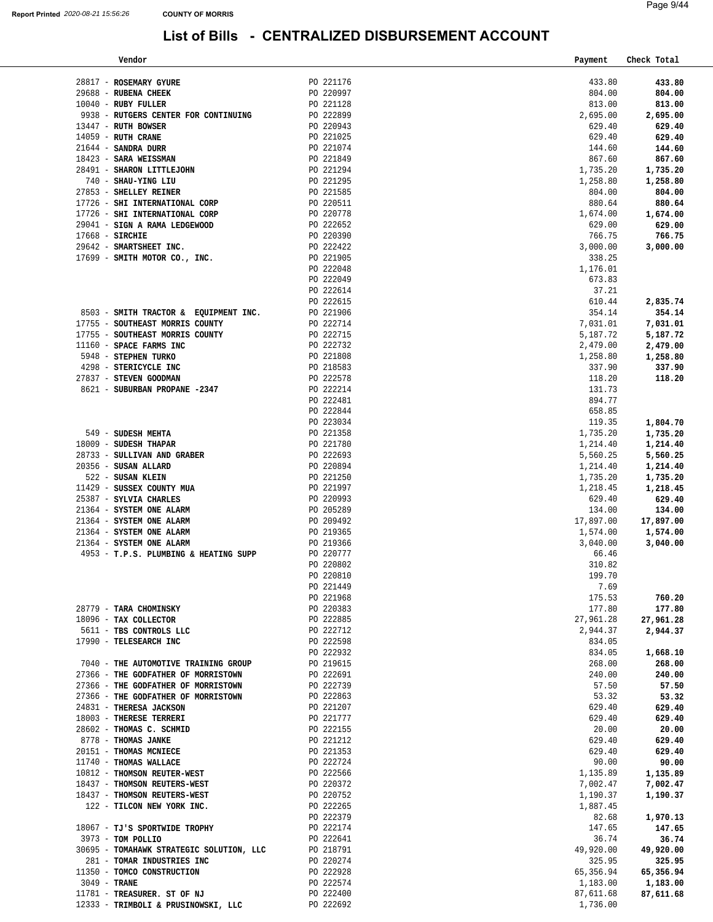| Vendor                                     |           | Payment   | Check Total |
|--------------------------------------------|-----------|-----------|-------------|
|                                            |           |           |             |
| 28817 - ROSEMARY GYURE                     | PO 221176 | 433.80    | 433.80      |
| 29688 - RUBENA CHEEK                       | PO 220997 | 804.00    | 804.00      |
| 10040 - RUBY FULLER                        | PO 221128 | 813.00    | 813.00      |
| 9938 - RUTGERS CENTER FOR CONTINUING       | PO 222899 | 2,695.00  | 2,695.00    |
| 13447 - RUTH BOWSER                        | PO 220943 | 629.40    | 629.40      |
| 14059 - RUTH CRANE                         | PO 221025 | 629.40    | 629.40      |
| 21644 - SANDRA DURR                        | PO 221074 | 144.60    | 144.60      |
| 18423 - SARA WEISSMAN                      | PO 221849 | 867.60    | 867.60      |
| 28491 - SHARON LITTLEJOHN                  | PO 221294 | 1,735.20  | 1,735.20    |
| 740 - SHAU-YING LIU                        | PO 221295 | 1,258.80  | 1,258.80    |
| 27853 - SHELLEY REINER                     | PO 221585 | 804.00    | 804.00      |
| 17726 - SHI INTERNATIONAL CORP             | PO 220511 | 880.64    | 880.64      |
| 17726 - SHI INTERNATIONAL CORP             | PO 220778 | 1,674.00  | 1,674.00    |
| 29041 - SIGN A RAMA LEDGEWOOD              | PO 222652 | 629.00    | 629.00      |
| $17668$ - SIRCHIE                          | PO 220390 | 766.75    | 766.75      |
| 29642 - SMARTSHEET INC.                    | PO 222422 | 3,000.00  | 3,000.00    |
| 17699 - SMITH MOTOR CO., INC.              | PO 221905 | 338.25    |             |
|                                            | PO 222048 | 1,176.01  |             |
|                                            | PO 222049 | 673.83    |             |
|                                            | PO 222614 | 37.21     |             |
|                                            | PO 222615 | 610.44    | 2,835.74    |
| 8503 - SMITH TRACTOR & EOUIPMENT INC.      | PO 221906 | 354.14    | 354.14      |
| 17755 - SOUTHEAST MORRIS COUNTY            | PO 222714 | 7,031.01  | 7,031.01    |
| 17755 - SOUTHEAST MORRIS COUNTY            | PO 222715 | 5,187.72  | 5,187.72    |
| 11160 - SPACE FARMS INC                    | PO 222732 | 2,479.00  | 2,479.00    |
| 5948 - STEPHEN TURKO                       | PO 221808 | 1,258.80  | 1,258.80    |
| 4298 - STERICYCLE INC                      | PO 218583 | 337.90    | 337.90      |
| 27837 - STEVEN GOODMAN                     | PO 222578 | 118.20    | 118.20      |
| 8621 - SUBURBAN PROPANE -2347              | PO 222214 | 131.73    |             |
|                                            | PO 222481 | 894.77    |             |
|                                            | PO 222844 | 658.85    |             |
|                                            | PO 223034 | 119.35    | 1,804.70    |
| 549 - SUDESH MEHTA                         | PO 221358 | 1,735.20  | 1,735.20    |
| 18009 - SUDESH THAPAR                      | PO 221780 | 1,214.40  | 1,214.40    |
| 28733 - SULLIVAN AND GRABER                | PO 222693 | 5,560.25  | 5,560.25    |
| 20356 - SUSAN ALLARD                       | PO 220894 | 1,214.40  | 1,214.40    |
| 522 - SUSAN KLEIN                          | PO 221250 | 1,735.20  | 1,735.20    |
| 11429 - SUSSEX COUNTY MUA                  | PO 221997 | 1,218.45  | 1,218.45    |
| 25387 - SYLVIA CHARLES                     | PO 220993 | 629.40    | 629.40      |
| 21364 - SYSTEM ONE ALARM                   | PO 205289 | 134.00    | 134.00      |
| 21364 - SYSTEM ONE ALARM                   | PO 209492 | 17,897.00 | 17,897.00   |
| 21364 - SYSTEM ONE ALARM                   | PO 219365 | 1,574.00  | 1,574.00    |
| 21364 - SYSTEM ONE ALARM                   | PO 219366 | 3,040.00  | 3,040.00    |
| 4953 - T.P.S. PLUMBING & HEATING SUPP      | PO 220777 | 66.46     |             |
|                                            | PO 220802 | 310.82    |             |
|                                            | PO 220810 | 199.70    |             |
|                                            | PO 221449 | 7.69      |             |
|                                            | PO 221968 | 175.53    | 760.20      |
| 28779 - TARA CHOMINSKY                     | PO 220383 | 177.80    | 177.80      |
| 18096 - TAX COLLECTOR                      | PO 222885 | 27,961.28 | 27,961.28   |
| 5611 - TBS CONTROLS LLC                    | PO 222712 | 2,944.37  | 2,944.37    |
| 17990 - TELESEARCH INC                     | PO 222598 | 834.05    |             |
|                                            | PO 222932 | 834.05    | 1,668.10    |
| 7040 - THE AUTOMOTIVE TRAINING GROUP       | PO 219615 | 268.00    | 268.00      |
| 27366 - THE GODFATHER OF MORRISTOWN        | PO 222691 | 240.00    | 240.00      |
| 27366 - THE GODFATHER OF MORRISTOWN        | PO 222739 | 57.50     | 57.50       |
| 27366 - THE GODFATHER OF MORRISTOWN        | PO 222863 | 53.32     | 53.32       |
| 24831 - THERESA JACKSON                    | PO 221207 | 629.40    | 629.40      |
| 18003 - THERESE TERRERI                    | PO 221777 | 629.40    | 629.40      |
| 28602 - THOMAS C. SCHMID                   | PO 222155 | 20.00     | 20.00       |
| 8778 - THOMAS JANKE                        | PO 221212 | 629.40    | 629.40      |
| 20151 - THOMAS MCNIECE                     | PO 221353 | 629.40    | 629.40      |
| 11740 - THOMAS WALLACE                     | PO 222724 | 90.00     | 90.00       |
| 10812 - THOMSON REUTER-WEST                | PO 222566 | 1,135.89  | 1,135.89    |
| 18437 - THOMSON REUTERS-WEST               | PO 220372 | 7,002.47  | 7,002.47    |
| 18437 - THOMSON REUTERS-WEST               | PO 220752 | 1,190.37  | 1,190.37    |
| 122 - TILCON NEW YORK INC.                 | PO 222265 | 1,887.45  |             |
|                                            | PO 222379 | 82.68     | 1,970.13    |
| 18067 - TJ'S SPORTWIDE TROPHY              | PO 222174 | 147.65    | 147.65      |
| 3973 - TOM POLLIO                          | PO 222641 | 36.74     | 36.74       |
| 30695 - TOMAHAWK STRATEGIC SOLUTION, LLC   | PO 218791 | 49,920.00 | 49,920.00   |
| 281 - TOMAR INDUSTRIES INC                 | PO 220274 | 325.95    |             |
|                                            |           |           | 325.95      |
| 11350 - TOMCO CONSTRUCTION<br>3049 - TRANE | PO 222928 | 65,356.94 | 65,356.94   |
|                                            | PO 222574 | 1,183.00  | 1,183.00    |
| 11781 - TREASURER. ST OF NJ                | PO 222400 | 87,611.68 | 87,611.68   |
| 12333 - TRIMBOLI & PRUSINOWSKI, LLC        | PO 222692 | 1,736.00  |             |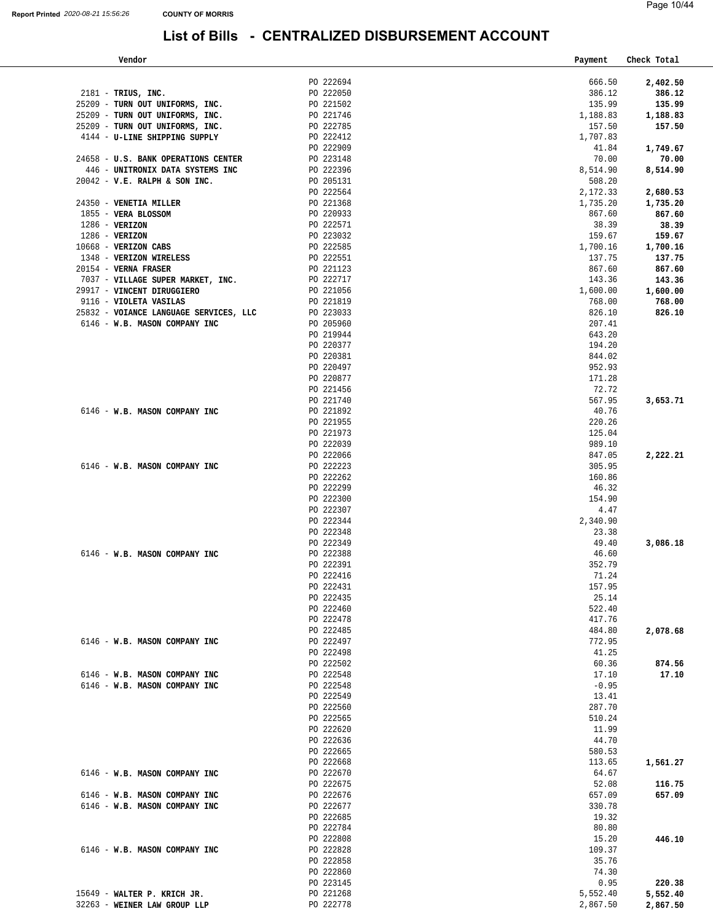| Vendor                                               |                        | Payment          | Check Total |
|------------------------------------------------------|------------------------|------------------|-------------|
|                                                      |                        |                  |             |
|                                                      | PO 222694              | 666.50           | 2,402.50    |
| 2181 - TRIUS, INC.                                   | PO 222050              | 386.12           | 386.12      |
| 25209 - TURN OUT UNIFORMS, INC.                      | PO 221502              | 135.99           | 135.99      |
| 25209 - TURN OUT UNIFORMS, INC.                      | PO 221746              | 1,188.83         | 1,188.83    |
| 25209 - TURN OUT UNIFORMS, INC.                      | PO 222785              | 157.50           | 157.50      |
| 4144 - U-LINE SHIPPING SUPPLY                        | PO 222412              | 1,707.83         |             |
|                                                      | PO 222909<br>PO 223148 | 41.84            | 1,749.67    |
| 24658 - U.S. BANK OPERATIONS CENTER                  |                        | 70.00            | 70.00       |
| 446 - UNITRONIX DATA SYSTEMS INC                     | PO 222396              | 8,514.90         | 8,514.90    |
| $20042 - V.E. RALPH & SON INC.$                      | PO 205131              | 508.20           |             |
|                                                      | PO 222564              | 2,172.33         | 2,680.53    |
| 24350 - VENETIA MILLER                               | PO 221368              | 1,735.20         | 1,735.20    |
| 1855 - VERA BLOSSOM                                  | PO 220933              | 867.60           | 867.60      |
| $1286 - VERIZON$                                     | PO 222571              | 38.39            | 38.39       |
| $1286 - VERIZON$                                     | PO 223032              | 159.67           | 159.67      |
| 10668 - VERIZON CABS                                 | PO 222585<br>PO 222551 | 1,700.16         | 1,700.16    |
| 1348 - VERIZON WIRELESS                              |                        | 137.75           | 137.75      |
| 20154 - VERNA FRASER                                 | PO 221123<br>PO 222717 | 867.60           | 867.60      |
| 7037 - VILLAGE SUPER MARKET, INC.                    |                        | 143.36           | 143.36      |
| 29917 - VINCENT DIRUGGIERO<br>9116 - VIOLETA VASILAS | PO 221056              | 1,600.00         | 1,600.00    |
|                                                      | PO 221819<br>PO 223033 | 768.00           | 768.00      |
| 25832 - VOIANCE LANGUAGE SERVICES, LLC               |                        | 826.10           | 826.10      |
| 6146 - W.B. MASON COMPANY INC                        | PO 205960              | 207.41           |             |
|                                                      | PO 219944              | 643.20           |             |
|                                                      | PO 220377<br>PO 220381 | 194.20           |             |
|                                                      | PO 220497              | 844.02<br>952.93 |             |
|                                                      | PO 220877              | 171.28           |             |
|                                                      | PO 221456              | 72.72            |             |
|                                                      | PO 221740              | 567.95           |             |
| 6146 - W.B. MASON COMPANY INC                        | PO 221892              | 40.76            | 3,653.71    |
|                                                      | PO 221955              | 220.26           |             |
|                                                      | PO 221973              | 125.04           |             |
|                                                      | PO 222039              | 989.10           |             |
|                                                      | PO 222066              | 847.05           | 2,222.21    |
| 6146 - W.B. MASON COMPANY INC                        | PO 222223              | 305.95           |             |
|                                                      | PO 222262              | 160.86           |             |
|                                                      | PO 222299              | 46.32            |             |
|                                                      | PO 222300              | 154.90           |             |
|                                                      | PO 222307              | 4.47             |             |
|                                                      | PO 222344              | 2,340.90         |             |
|                                                      | PO 222348              | 23.38            |             |
|                                                      | PO 222349              | 49.40            | 3,086.18    |
| 6146 - W.B. MASON COMPANY INC                        | PO 222388              | 46.60            |             |
|                                                      | PO 222391              | 352.79           |             |
|                                                      | PO 222416              | 71.24            |             |
|                                                      | PO 222431              | 157.95           |             |
|                                                      | PO 222435              | 25.14            |             |
|                                                      | PO 222460              | 522.40           |             |
|                                                      | PO 222478              | 417.76           |             |
|                                                      | PO 222485              | 484.80           | 2,078.68    |
| 6146 - W.B. MASON COMPANY INC                        | PO 222497              | 772.95           |             |
|                                                      | PO 222498              | 41.25            |             |
|                                                      | PO 222502              | 60.36            | 874.56      |
| 6146 - W.B. MASON COMPANY INC                        | PO 222548              | 17.10            | 17.10       |
| 6146 - W.B. MASON COMPANY INC                        | PO 222548              | $-0.95$          |             |
|                                                      | PO 222549              | 13.41            |             |
|                                                      | PO 222560              | 287.70           |             |
|                                                      | PO 222565              | 510.24           |             |
|                                                      | PO 222620              | 11.99            |             |
|                                                      | PO 222636              | 44.70            |             |
|                                                      | PO 222665              | 580.53           |             |
|                                                      | PO 222668              | 113.65           | 1,561.27    |
| 6146 - W.B. MASON COMPANY INC                        | PO 222670              | 64.67            |             |
|                                                      | PO 222675              | 52.08            | 116.75      |
| 6146 - W.B. MASON COMPANY INC                        | PO 222676              | 657.09           | 657.09      |
| 6146 - W.B. MASON COMPANY INC                        | PO 222677              | 330.78           |             |
|                                                      | PO 222685              | 19.32            |             |
|                                                      | PO 222784              | 80.80            |             |
|                                                      | PO 222808              | 15.20            | 446.10      |
| 6146 - W.B. MASON COMPANY INC                        | PO 222828              | 109.37           |             |
|                                                      | PO 222858              | 35.76            |             |
|                                                      | PO 222860              | 74.30            |             |
|                                                      | PO 223145              | 0.95             | 220.38      |
| 15649 - WALTER P. KRICH JR.                          | PO 221268              | 5,552.40         | 5,552.40    |
| 32263 - WEINER LAW GROUP LLP                         | PO 222778              | 2,867.50         | 2,867.50    |
|                                                      |                        |                  |             |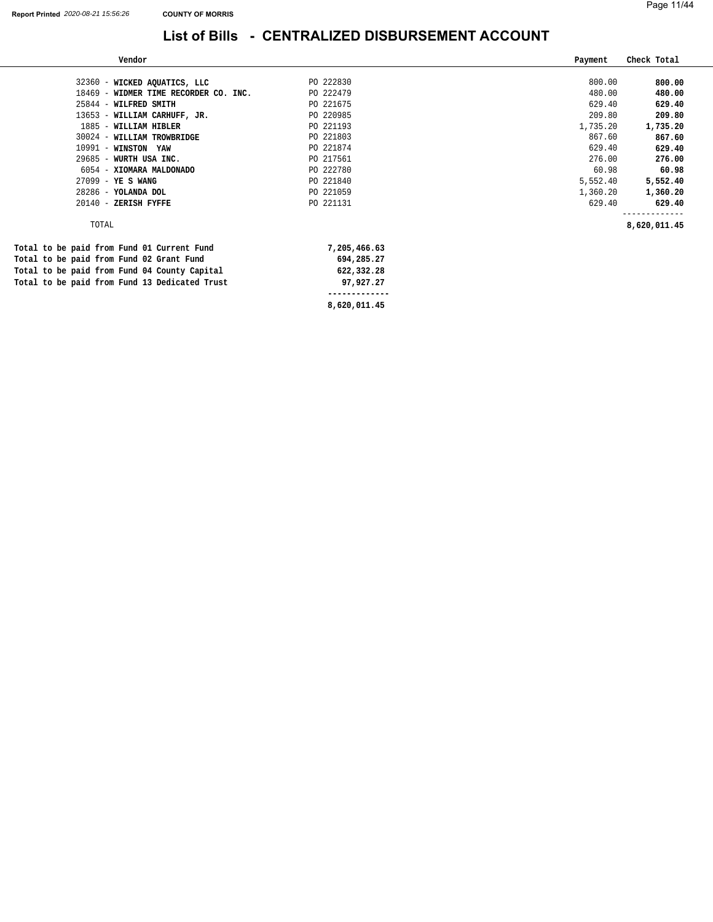-

#### **List of Bills - CENTRALIZED DISBURSEMENT ACCOUNT**

| Vendor                                        |              | Payment  | Check Total  |
|-----------------------------------------------|--------------|----------|--------------|
|                                               |              |          |              |
| 32360 - WICKED AQUATICS, LLC                  | PO 222830    | 800.00   | 800.00       |
| 18469 - WIDMER TIME RECORDER CO. INC.         | PO 222479    | 480.00   | 480.00       |
| 25844 - WILFRED SMITH                         | PO 221675    | 629.40   | 629.40       |
| 13653 - WILLIAM CARHUFF, JR.                  | PO 220985    | 209.80   | 209.80       |
| 1885 - WILLIAM HIBLER                         | PO 221193    | 1,735.20 | 1,735.20     |
| 30024 - WILLIAM TROWBRIDGE                    | PO 221803    | 867.60   | 867.60       |
| 10991 - WINSTON YAW                           | PO 221874    | 629.40   | 629.40       |
| $29685 -$<br>WURTH USA INC.                   | PO 217561    | 276.00   | 276.00       |
| 6054 - XIOMARA MALDONADO                      | PO 222780    | 60.98    | 60.98        |
| 27099 - YE S WANG                             | PO 221840    | 5,552.40 | 5,552.40     |
| 28286 - YOLANDA DOL                           | PO 221059    | 1,360.20 | 1,360.20     |
| 20140 - ZERISH FYFFE                          | PO 221131    | 629.40   | 629.40       |
| TOTAL                                         |              |          |              |
|                                               |              |          | 8,620,011.45 |
| Total to be paid from Fund 01 Current Fund    | 7,205,466.63 |          |              |
| Total to be paid from Fund 02 Grant Fund      | 694,285.27   |          |              |
| Total to be paid from Fund 04 County Capital  | 622,332.28   |          |              |
| Total to be paid from Fund 13 Dedicated Trust | 97,927.27    |          |              |

 **-------------**

**[8,620,011.45](https://8,620,011.45)**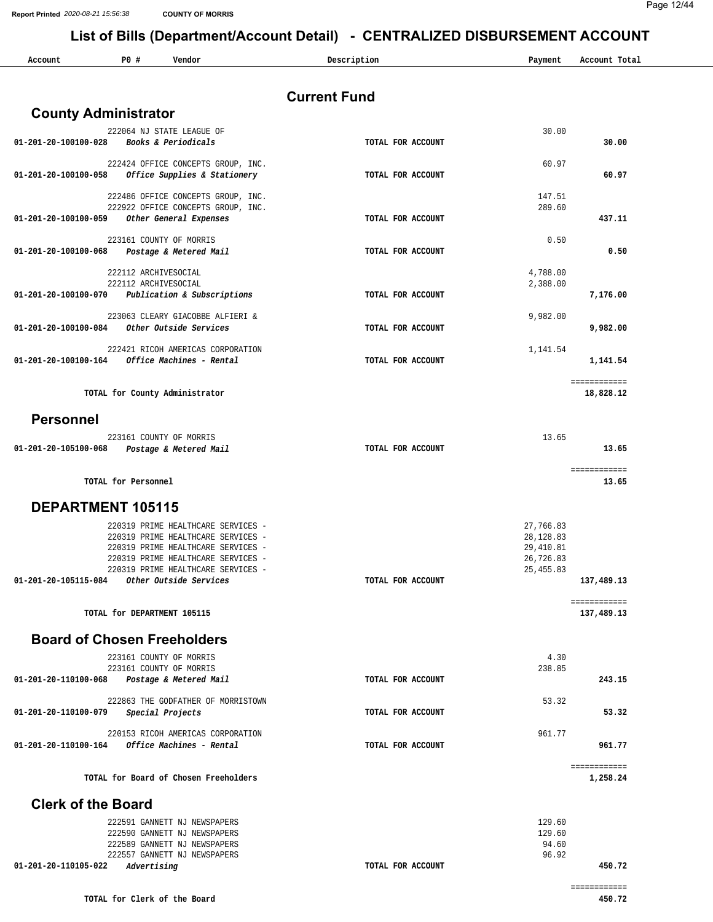|                                             |                             |                                                                          | LISTOI DIIIS (DEPARTITENTACCOUNT DETAIL) - CENTRALIZED DISBORSEMENT ACCOUNT |                         |                           |
|---------------------------------------------|-----------------------------|--------------------------------------------------------------------------|-----------------------------------------------------------------------------|-------------------------|---------------------------|
| Account                                     | P0#                         | Vendor                                                                   | Description                                                                 | Payment                 | Account Total             |
|                                             |                             |                                                                          |                                                                             |                         |                           |
|                                             |                             |                                                                          | <b>Current Fund</b>                                                         |                         |                           |
| <b>County Administrator</b>                 |                             |                                                                          |                                                                             |                         |                           |
| 01-201-20-100100-028                        |                             | 222064 NJ STATE LEAGUE OF<br>Books & Periodicals                         | TOTAL FOR ACCOUNT                                                           | 30.00                   | 30.00                     |
|                                             |                             |                                                                          |                                                                             |                         |                           |
| 01-201-20-100100-058                        |                             | 222424 OFFICE CONCEPTS GROUP, INC.<br>Office Supplies & Stationery       | TOTAL FOR ACCOUNT                                                           | 60.97                   | 60.97                     |
|                                             |                             |                                                                          |                                                                             |                         |                           |
|                                             |                             | 222486 OFFICE CONCEPTS GROUP, INC.<br>222922 OFFICE CONCEPTS GROUP, INC. |                                                                             | 147.51<br>289.60        |                           |
| 01-201-20-100100-059                        |                             | Other General Expenses                                                   | TOTAL FOR ACCOUNT                                                           |                         | 437.11                    |
|                                             |                             | 223161 COUNTY OF MORRIS                                                  |                                                                             | 0.50                    |                           |
| 01-201-20-100100-068                        |                             | Postage & Metered Mail                                                   | TOTAL FOR ACCOUNT                                                           |                         | 0.50                      |
|                                             | 222112 ARCHIVESOCIAL        |                                                                          |                                                                             | 4,788.00                |                           |
| 01-201-20-100100-070                        | 222112 ARCHIVESOCIAL        | Publication & Subscriptions                                              | TOTAL FOR ACCOUNT                                                           | 2,388.00                | 7,176.00                  |
|                                             |                             |                                                                          |                                                                             |                         |                           |
| 01-201-20-100100-084                        |                             | 223063 CLEARY GIACOBBE ALFIERI &<br>Other Outside Services               | TOTAL FOR ACCOUNT                                                           | 9,982.00                | 9,982.00                  |
|                                             |                             |                                                                          |                                                                             |                         |                           |
| $01 - 201 - 20 - 100100 - 164$              |                             | 222421 RICOH AMERICAS CORPORATION<br>Office Machines - Rental            | TOTAL FOR ACCOUNT                                                           | 1,141.54                | 1,141.54                  |
|                                             |                             |                                                                          |                                                                             |                         |                           |
|                                             |                             | TOTAL for County Administrator                                           |                                                                             |                         | ============<br>18,828.12 |
|                                             |                             |                                                                          |                                                                             |                         |                           |
| <b>Personnel</b>                            |                             |                                                                          |                                                                             |                         |                           |
| 01-201-20-105100-068                        |                             | 223161 COUNTY OF MORRIS                                                  | TOTAL FOR ACCOUNT                                                           | 13.65                   | 13.65                     |
|                                             |                             | Postage & Metered Mail                                                   |                                                                             |                         |                           |
|                                             | TOTAL for Personnel         |                                                                          |                                                                             |                         | ============<br>13.65     |
|                                             |                             |                                                                          |                                                                             |                         |                           |
| DEPARTMENT 105115                           |                             |                                                                          |                                                                             |                         |                           |
|                                             |                             | 220319 PRIME HEALTHCARE SERVICES -<br>220319 PRIME HEALTHCARE SERVICES - |                                                                             | 27,766.83<br>28, 128.83 |                           |
|                                             |                             | 220319 PRIME HEALTHCARE SERVICES -                                       |                                                                             | 29,410.81               |                           |
|                                             |                             | 220319 PRIME HEALTHCARE SERVICES<br>220319 PRIME HEALTHCARE SERVICES -   |                                                                             | 26,726.83<br>25, 455.83 |                           |
| 01-201-20-105115-084 Other Outside Services |                             |                                                                          | TOTAL FOR ACCOUNT                                                           |                         | 137,489.13                |
|                                             |                             |                                                                          |                                                                             |                         | ============              |
|                                             | TOTAL for DEPARTMENT 105115 |                                                                          |                                                                             |                         | 137,489.13                |
| <b>Board of Chosen Freeholders</b>          |                             |                                                                          |                                                                             |                         |                           |
|                                             |                             | 223161 COUNTY OF MORRIS                                                  |                                                                             | 4.30                    |                           |
|                                             |                             | 223161 COUNTY OF MORRIS                                                  |                                                                             | 238.85                  | 243.15                    |
| 01-201-20-110100-068                        |                             | Postage & Metered Mail                                                   | TOTAL FOR ACCOUNT                                                           |                         |                           |
| 01-201-20-110100-079                        |                             | 222863 THE GODFATHER OF MORRISTOWN<br>Special Projects                   | TOTAL FOR ACCOUNT                                                           | 53.32                   | 53.32                     |
|                                             |                             |                                                                          |                                                                             |                         |                           |
| 01-201-20-110100-164                        |                             | 220153 RICOH AMERICAS CORPORATION<br>Office Machines - Rental            | TOTAL FOR ACCOUNT                                                           | 961.77                  | 961.77                    |
|                                             |                             |                                                                          |                                                                             |                         |                           |
|                                             |                             | TOTAL for Board of Chosen Freeholders                                    |                                                                             |                         | ============<br>1,258.24  |
| <b>Clerk of the Board</b>                   |                             |                                                                          |                                                                             |                         |                           |
|                                             |                             |                                                                          |                                                                             |                         |                           |
|                                             |                             | 222591 GANNETT NJ NEWSPAPERS<br>222590 GANNETT NJ NEWSPAPERS             |                                                                             | 129.60<br>129.60        |                           |
|                                             |                             | 222589 GANNETT NJ NEWSPAPERS                                             |                                                                             | 94.60                   |                           |
| 01-201-20-110105-022                        | Advertising                 | 222557 GANNETT NJ NEWSPAPERS                                             | TOTAL FOR ACCOUNT                                                           | 96.92                   | 450.72                    |
|                                             |                             |                                                                          |                                                                             |                         |                           |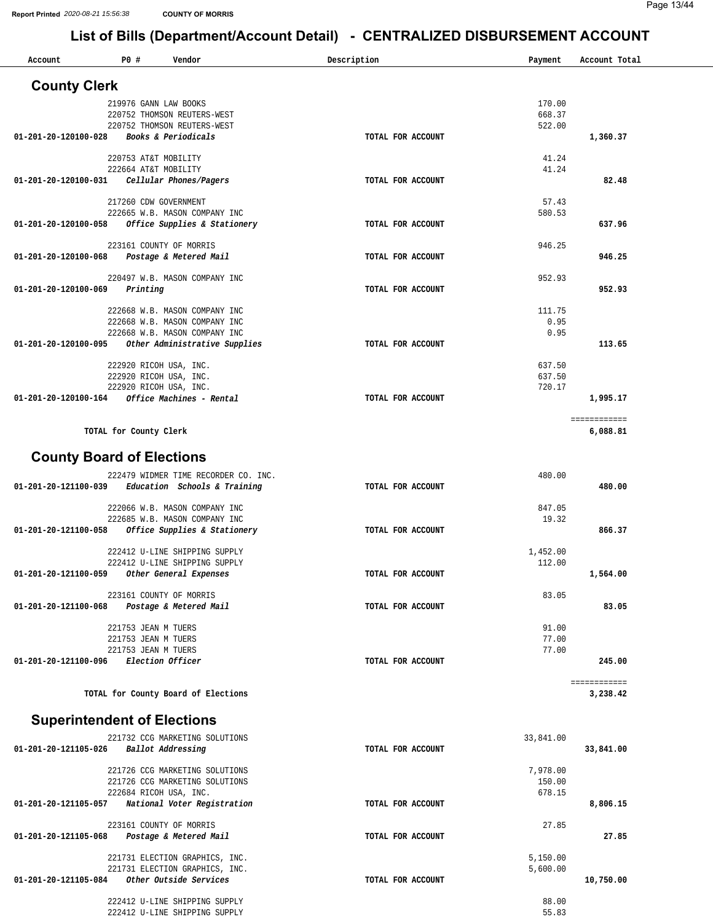| Account                            | PO#                                        | Vendor                                                           | Description       | Payment            | Account Total  |        |
|------------------------------------|--------------------------------------------|------------------------------------------------------------------|-------------------|--------------------|----------------|--------|
| <b>County Clerk</b>                |                                            |                                                                  |                   |                    |                |        |
|                                    | 219976 GANN LAW BOOKS                      |                                                                  |                   | 170.00             |                |        |
|                                    |                                            | 220752 THOMSON REUTERS-WEST<br>220752 THOMSON REUTERS-WEST       |                   | 668.37<br>522.00   |                |        |
| 01-201-20-120100-028               |                                            | Books & Periodicals                                              | TOTAL FOR ACCOUNT |                    | 1,360.37       |        |
|                                    | 220753 AT&T MOBILITY                       |                                                                  |                   |                    | 41.24          |        |
|                                    | 222664 AT&T MOBILITY                       |                                                                  |                   |                    | 41.24          |        |
| 01-201-20-120100-031               |                                            | Cellular Phones/Pagers                                           | TOTAL FOR ACCOUNT |                    |                | 82.48  |
|                                    | 217260 CDW GOVERNMENT                      |                                                                  |                   |                    | 57.43          |        |
| 01-201-20-120100-058               |                                            | 222665 W.B. MASON COMPANY INC<br>Office Supplies & Stationery    | TOTAL FOR ACCOUNT | 580.53             |                | 637.96 |
|                                    |                                            |                                                                  |                   |                    |                |        |
| 01-201-20-120100-068               |                                            | 223161 COUNTY OF MORRIS<br>Postage & Metered Mail                | TOTAL FOR ACCOUNT | 946.25             |                | 946.25 |
|                                    |                                            |                                                                  |                   |                    |                |        |
| 01-201-20-120100-069               | Printing                                   | 220497 W.B. MASON COMPANY INC                                    | TOTAL FOR ACCOUNT | 952.93             |                | 952.93 |
|                                    |                                            |                                                                  |                   |                    |                |        |
|                                    |                                            | 222668 W.B. MASON COMPANY INC<br>222668 W.B. MASON COMPANY INC   |                   | 111.75             | 0.95           |        |
|                                    |                                            | 222668 W.B. MASON COMPANY INC                                    |                   |                    | 0.95           |        |
| 01-201-20-120100-095               |                                            | Other Administrative Supplies                                    | TOTAL FOR ACCOUNT |                    |                | 113.65 |
|                                    |                                            | 222920 RICOH USA, INC.                                           |                   | 637.50             |                |        |
|                                    |                                            | 222920 RICOH USA, INC.                                           |                   | 637.50<br>720.17   |                |        |
| 01-201-20-120100-164               |                                            | 222920 RICOH USA, INC.<br>Office Machines - Rental               | TOTAL FOR ACCOUNT |                    | 1,995.17       |        |
|                                    |                                            |                                                                  |                   |                    | ============   |        |
|                                    | TOTAL for County Clerk                     |                                                                  |                   |                    | 6,088.81       |        |
|                                    |                                            |                                                                  |                   |                    |                |        |
| <b>County Board of Elections</b>   |                                            |                                                                  |                   |                    |                |        |
|                                    |                                            | 222479 WIDMER TIME RECORDER CO. INC.                             |                   | 480.00             |                |        |
| 01-201-20-121100-039               |                                            | Education Schools & Training                                     | TOTAL FOR ACCOUNT |                    |                | 480.00 |
|                                    |                                            | 222066 W.B. MASON COMPANY INC<br>222685 W.B. MASON COMPANY INC   |                   | 847.05             | 19.32          |        |
| 01-201-20-121100-058               |                                            | Office Supplies & Stationery                                     | TOTAL FOR ACCOUNT |                    |                | 866.37 |
|                                    |                                            | 222412 U-LINE SHIPPING SUPPLY                                    |                   | 1,452.00           |                |        |
|                                    |                                            | 222412 U-LINE SHIPPING SUPPLY                                    |                   | 112.00             |                |        |
| 01-201-20-121100-059               |                                            | Other General Expenses                                           | TOTAL FOR ACCOUNT |                    | 1,564.00       |        |
|                                    |                                            | 223161 COUNTY OF MORRIS                                          |                   |                    | 83.05          |        |
| 01-201-20-121100-068               |                                            | Postage & Metered Mail                                           | TOTAL FOR ACCOUNT |                    |                | 83.05  |
|                                    | 221753 JEAN M TUERS                        |                                                                  |                   |                    | 91.00          |        |
|                                    | 221753 JEAN M TUERS<br>221753 JEAN M TUERS |                                                                  |                   |                    | 77.00<br>77.00 |        |
| 01-201-20-121100-096               |                                            | Election Officer                                                 | TOTAL FOR ACCOUNT |                    |                | 245.00 |
|                                    |                                            |                                                                  |                   |                    | ============   |        |
|                                    |                                            | TOTAL for County Board of Elections                              |                   |                    | 3,238.42       |        |
| <b>Superintendent of Elections</b> |                                            |                                                                  |                   |                    |                |        |
|                                    |                                            |                                                                  |                   |                    |                |        |
| 01-201-20-121105-026               |                                            | 221732 CCG MARKETING SOLUTIONS<br>Ballot Addressing              | TOTAL FOR ACCOUNT | 33,841.00          | 33,841.00      |        |
|                                    |                                            |                                                                  |                   |                    |                |        |
|                                    |                                            | 221726 CCG MARKETING SOLUTIONS<br>221726 CCG MARKETING SOLUTIONS |                   | 7,978.00<br>150.00 |                |        |
|                                    |                                            | 222684 RICOH USA, INC.                                           |                   | 678.15             |                |        |
| 01-201-20-121105-057               |                                            | National Voter Registration                                      | TOTAL FOR ACCOUNT |                    | 8,806.15       |        |
|                                    |                                            | 223161 COUNTY OF MORRIS                                          |                   |                    | 27.85          |        |
| 01-201-20-121105-068               |                                            | Postage & Metered Mail                                           | TOTAL FOR ACCOUNT |                    |                | 27.85  |
|                                    |                                            | 221731 ELECTION GRAPHICS, INC.                                   |                   | 5,150.00           |                |        |
| 01-201-20-121105-084               |                                            | 221731 ELECTION GRAPHICS, INC.<br>Other Outside Services         | TOTAL FOR ACCOUNT | 5,600.00           | 10,750.00      |        |
|                                    |                                            |                                                                  |                   |                    |                |        |
|                                    |                                            | 222412 U-LINE SHIPPING SUPPLY<br>222412 U-LINE SHIPPING SUPPLY   |                   |                    | 88.00<br>55.83 |        |
|                                    |                                            |                                                                  |                   |                    |                |        |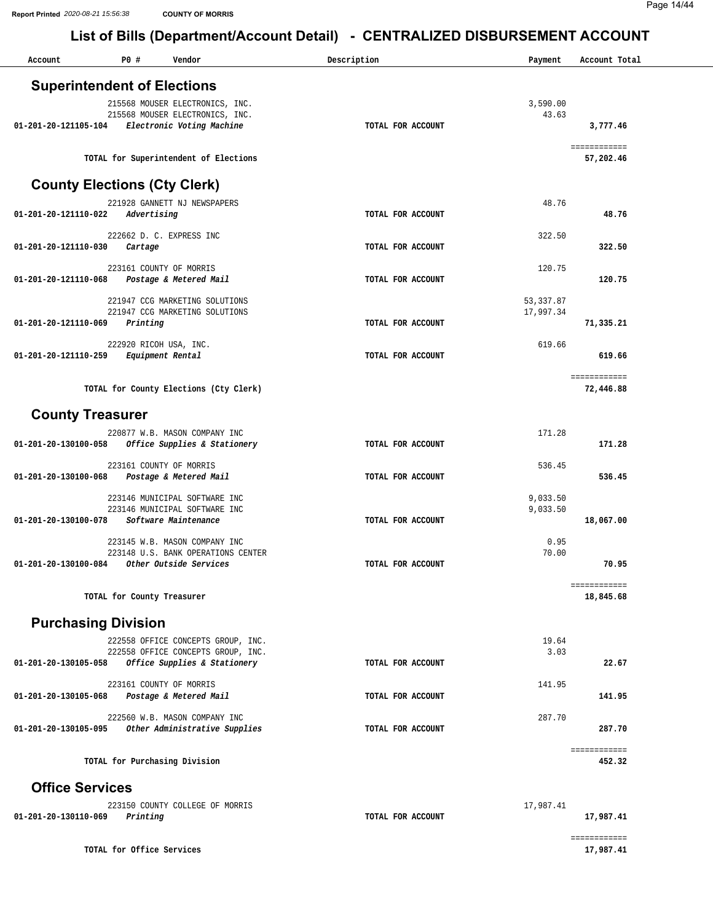| Account                             | P0 #                       | Vendor                                                              | Description |                   | Payment                 | Account Total |
|-------------------------------------|----------------------------|---------------------------------------------------------------------|-------------|-------------------|-------------------------|---------------|
| <b>Superintendent of Elections</b>  |                            |                                                                     |             |                   |                         |               |
|                                     |                            | 215568 MOUSER ELECTRONICS, INC.                                     |             |                   | 3,590.00                |               |
|                                     |                            | 215568 MOUSER ELECTRONICS, INC.                                     |             |                   | 43.63                   |               |
| 01-201-20-121105-104                |                            | Electronic Voting Machine                                           |             | TOTAL FOR ACCOUNT |                         | 3,777.46      |
|                                     |                            |                                                                     |             |                   |                         | ============  |
|                                     |                            | TOTAL for Superintendent of Elections                               |             |                   |                         | 57,202.46     |
| <b>County Elections (Cty Clerk)</b> |                            |                                                                     |             |                   |                         |               |
|                                     |                            | 221928 GANNETT NJ NEWSPAPERS                                        |             |                   | 48.76                   |               |
| 01-201-20-121110-022                | Advertising                |                                                                     |             | TOTAL FOR ACCOUNT |                         | 48.76         |
|                                     |                            | 222662 D. C. EXPRESS INC                                            |             |                   | 322.50                  |               |
| 01-201-20-121110-030                | Cartage                    |                                                                     |             | TOTAL FOR ACCOUNT |                         | 322.50        |
| 01-201-20-121110-068                |                            | 223161 COUNTY OF MORRIS<br>Postage & Metered Mail                   |             | TOTAL FOR ACCOUNT | 120.75                  | 120.75        |
|                                     |                            |                                                                     |             |                   |                         |               |
|                                     |                            | 221947 CCG MARKETING SOLUTIONS<br>221947 CCG MARKETING SOLUTIONS    |             |                   | 53, 337.87<br>17,997.34 |               |
| 01-201-20-121110-069                | Printing                   |                                                                     |             | TOTAL FOR ACCOUNT |                         | 71,335.21     |
|                                     | 222920 RICOH USA, INC.     |                                                                     |             |                   | 619.66                  |               |
| 01-201-20-121110-259                |                            | Equipment Rental                                                    |             | TOTAL FOR ACCOUNT |                         | 619.66        |
|                                     |                            |                                                                     |             |                   |                         | ============  |
|                                     |                            | TOTAL for County Elections (Cty Clerk)                              |             |                   |                         | 72,446.88     |
| <b>County Treasurer</b>             |                            |                                                                     |             |                   |                         |               |
|                                     |                            | 220877 W.B. MASON COMPANY INC                                       |             |                   | 171.28                  |               |
| 01-201-20-130100-058                |                            | Office Supplies & Stationery                                        |             | TOTAL FOR ACCOUNT |                         | 171.28        |
|                                     |                            | 223161 COUNTY OF MORRIS                                             |             |                   | 536.45                  |               |
| 01-201-20-130100-068                |                            | Postage & Metered Mail                                              |             | TOTAL FOR ACCOUNT |                         | 536.45        |
|                                     |                            | 223146 MUNICIPAL SOFTWARE INC                                       |             |                   | 9,033.50                |               |
| 01-201-20-130100-078                |                            | 223146 MUNICIPAL SOFTWARE INC<br>Software Maintenance               |             | TOTAL FOR ACCOUNT | 9,033.50                | 18,067.00     |
|                                     |                            |                                                                     |             |                   |                         |               |
|                                     |                            | 223145 W.B. MASON COMPANY INC<br>223148 U.S. BANK OPERATIONS CENTER |             |                   | 0.95<br>70.00           |               |
| 01-201-20-130100-084                |                            | Other Outside Services                                              |             | TOTAL FOR ACCOUNT |                         | 70.95         |
|                                     |                            |                                                                     |             |                   |                         | ============  |
|                                     | TOTAL for County Treasurer |                                                                     |             |                   |                         | 18,845.68     |
| <b>Purchasing Division</b>          |                            |                                                                     |             |                   |                         |               |
|                                     |                            | 222558 OFFICE CONCEPTS GROUP, INC.                                  |             |                   | 19.64                   |               |
| 01-201-20-130105-058                |                            | 222558 OFFICE CONCEPTS GROUP, INC.<br>Office Supplies & Stationery  |             | TOTAL FOR ACCOUNT | 3.03                    | 22.67         |
|                                     |                            |                                                                     |             |                   |                         |               |
| 01-201-20-130105-068                |                            | 223161 COUNTY OF MORRIS<br>Postage & Metered Mail                   |             | TOTAL FOR ACCOUNT | 141.95                  | 141.95        |
|                                     |                            | 222560 W.B. MASON COMPANY INC                                       |             |                   | 287.70                  |               |
|                                     |                            | 01-201-20-130105-095 Other Administrative Supplies                  |             | TOTAL FOR ACCOUNT |                         | 287.70        |
|                                     |                            |                                                                     |             |                   |                         | ============  |
|                                     |                            | TOTAL for Purchasing Division                                       |             |                   |                         | 452.32        |
| <b>Office Services</b>              |                            |                                                                     |             |                   |                         |               |
|                                     |                            | 223150 COUNTY COLLEGE OF MORRIS                                     |             |                   | 17,987.41               |               |
| 01-201-20-130110-069                | Printing                   |                                                                     |             | TOTAL FOR ACCOUNT |                         | 17,987.41     |
|                                     |                            |                                                                     |             |                   |                         | ============  |
|                                     | TOTAL for Office Services  |                                                                     |             |                   |                         | 17,987.41     |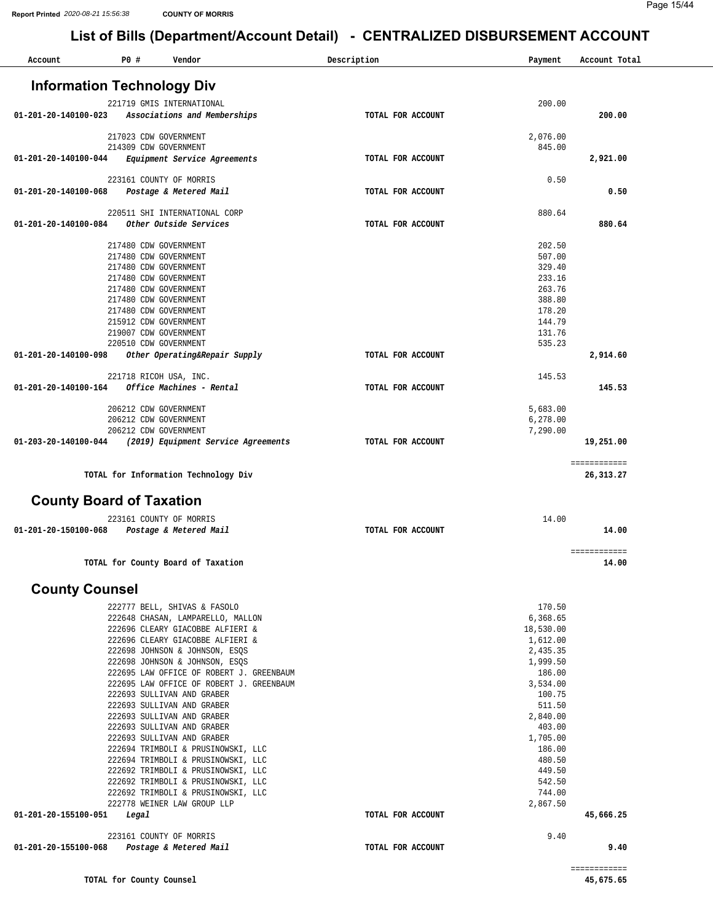| Account                           | P0 #  | Vendor                                                       | Description       | Payment            | Account Total             |
|-----------------------------------|-------|--------------------------------------------------------------|-------------------|--------------------|---------------------------|
| <b>Information Technology Div</b> |       |                                                              |                   |                    |                           |
|                                   |       |                                                              |                   |                    |                           |
| 01-201-20-140100-023              |       | 221719 GMIS INTERNATIONAL<br>Associations and Memberships    | TOTAL FOR ACCOUNT | 200.00             | 200.00                    |
|                                   |       |                                                              |                   |                    |                           |
|                                   |       | 217023 CDW GOVERNMENT                                        |                   | 2,076.00           |                           |
| 01-201-20-140100-044              |       | 214309 CDW GOVERNMENT<br>Equipment Service Agreements        | TOTAL FOR ACCOUNT | 845.00             | 2,921.00                  |
|                                   |       |                                                              |                   |                    |                           |
|                                   |       | 223161 COUNTY OF MORRIS                                      |                   | 0.50               |                           |
| 01-201-20-140100-068              |       | Postage & Metered Mail                                       | TOTAL FOR ACCOUNT |                    | 0.50                      |
|                                   |       | 220511 SHI INTERNATIONAL CORP                                |                   | 880.64             |                           |
| 01-201-20-140100-084              |       | Other Outside Services                                       | TOTAL FOR ACCOUNT |                    | 880.64                    |
|                                   |       | 217480 CDW GOVERNMENT                                        |                   | 202.50             |                           |
|                                   |       | 217480 CDW GOVERNMENT                                        |                   | 507.00             |                           |
|                                   |       | 217480 CDW GOVERNMENT                                        |                   | 329.40             |                           |
|                                   |       | 217480 CDW GOVERNMENT                                        |                   | 233.16             |                           |
|                                   |       | 217480 CDW GOVERNMENT                                        |                   | 263.76             |                           |
|                                   |       | 217480 CDW GOVERNMENT                                        |                   | 388.80             |                           |
|                                   |       | 217480 CDW GOVERNMENT                                        |                   | 178.20             |                           |
|                                   |       | 215912 CDW GOVERNMENT<br>219007 CDW GOVERNMENT               |                   | 144.79<br>131.76   |                           |
|                                   |       | 220510 CDW GOVERNMENT                                        |                   | 535.23             |                           |
| 01-201-20-140100-098              |       | Other Operating&Repair Supply                                | TOTAL FOR ACCOUNT |                    | 2,914.60                  |
|                                   |       |                                                              |                   |                    |                           |
| 01-201-20-140100-164              |       | 221718 RICOH USA, INC.<br>Office Machines - Rental           | TOTAL FOR ACCOUNT | 145.53             | 145.53                    |
|                                   |       |                                                              |                   |                    |                           |
|                                   |       | 206212 CDW GOVERNMENT                                        |                   | 5,683.00           |                           |
|                                   |       | 206212 CDW GOVERNMENT                                        |                   | 6,278.00           |                           |
| 01-203-20-140100-044              |       | 206212 CDW GOVERNMENT<br>(2019) Equipment Service Agreements | TOTAL FOR ACCOUNT | 7,290.00           | 19,251.00                 |
|                                   |       |                                                              |                   |                    |                           |
|                                   |       | TOTAL for Information Technology Div                         |                   |                    | ============<br>26,313.27 |
|                                   |       |                                                              |                   |                    |                           |
| <b>County Board of Taxation</b>   |       |                                                              |                   |                    |                           |
|                                   |       | 223161 COUNTY OF MORRIS                                      |                   | 14.00              |                           |
| 01-201-20-150100-068              |       | Postage & Metered Mail                                       | TOTAL FOR ACCOUNT |                    | 14.00                     |
|                                   |       |                                                              |                   |                    | ============              |
|                                   |       | TOTAL for County Board of Taxation                           |                   |                    | 14.00                     |
| <b>County Counsel</b>             |       |                                                              |                   |                    |                           |
|                                   |       | 222777 BELL, SHIVAS & FASOLO                                 |                   | 170.50             |                           |
|                                   |       | 222648 CHASAN, LAMPARELLO, MALLON                            |                   | 6,368.65           |                           |
|                                   |       | 222696 CLEARY GIACOBBE ALFIERI &                             |                   | 18,530.00          |                           |
|                                   |       | 222696 CLEARY GIACOBBE ALFIERI &                             |                   | 1,612.00           |                           |
|                                   |       | 222698 JOHNSON & JOHNSON, ESQS                               |                   | 2,435.35           |                           |
|                                   |       | 222698 JOHNSON & JOHNSON, ESQS                               |                   | 1,999.50           |                           |
|                                   |       | 222695 LAW OFFICE OF ROBERT J. GREENBAUM                     |                   | 186.00             |                           |
|                                   |       | 222695 LAW OFFICE OF ROBERT J. GREENBAUM                     |                   | 3,534.00           |                           |
|                                   |       | 222693 SULLIVAN AND GRABER                                   |                   | 100.75             |                           |
|                                   |       | 222693 SULLIVAN AND GRABER                                   |                   | 511.50             |                           |
|                                   |       | 222693 SULLIVAN AND GRABER                                   |                   | 2,840.00           |                           |
|                                   |       | 222693 SULLIVAN AND GRABER<br>222693 SULLIVAN AND GRABER     |                   | 403.00<br>1,705.00 |                           |
|                                   |       | 222694 TRIMBOLI & PRUSINOWSKI, LLC                           |                   | 186.00             |                           |
|                                   |       | 222694 TRIMBOLI & PRUSINOWSKI, LLC                           |                   | 480.50             |                           |
|                                   |       | 222692 TRIMBOLI & PRUSINOWSKI, LLC                           |                   | 449.50             |                           |
|                                   |       | 222692 TRIMBOLI & PRUSINOWSKI, LLC                           |                   | 542.50             |                           |
|                                   |       | 222692 TRIMBOLI & PRUSINOWSKI, LLC                           |                   | 744.00             |                           |
|                                   |       | 222778 WEINER LAW GROUP LLP                                  |                   | 2,867.50           |                           |
| 01-201-20-155100-051              | Legal |                                                              | TOTAL FOR ACCOUNT |                    | 45,666.25                 |
|                                   |       | 223161 COUNTY OF MORRIS                                      |                   | 9.40               |                           |
| 01-201-20-155100-068              |       | Postage & Metered Mail                                       | TOTAL FOR ACCOUNT |                    | 9.40                      |
|                                   |       |                                                              |                   |                    | ============              |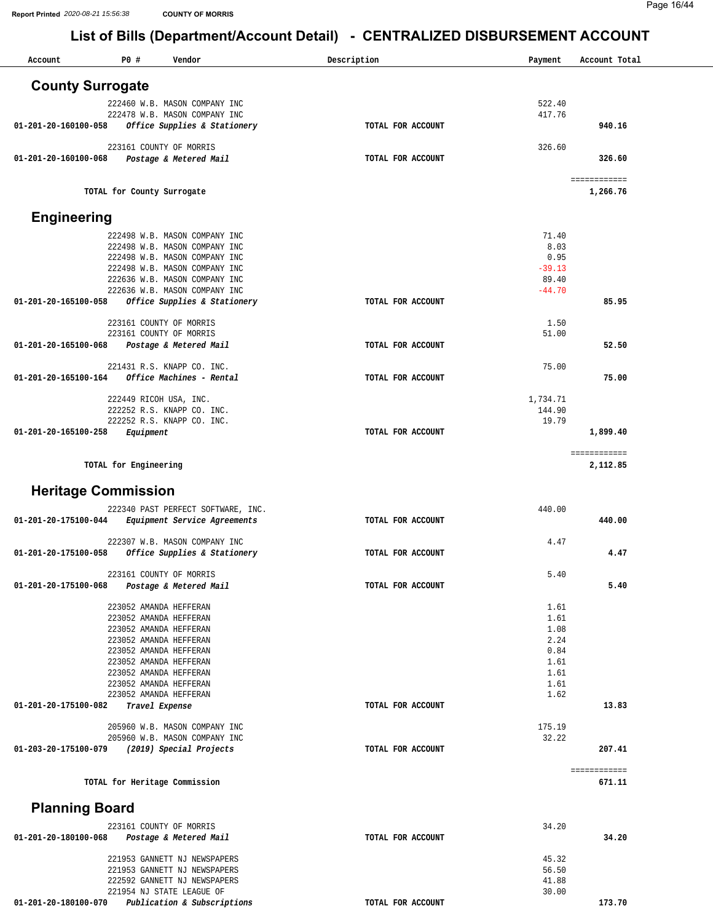| Account                    | P0#                        | Vendor                                                         | Description<br>Payment     | Account Total            |
|----------------------------|----------------------------|----------------------------------------------------------------|----------------------------|--------------------------|
| <b>County Surrogate</b>    |                            |                                                                |                            |                          |
|                            |                            | 222460 W.B. MASON COMPANY INC                                  | 522.40                     |                          |
|                            |                            | 222478 W.B. MASON COMPANY INC                                  | 417.76                     |                          |
| 01-201-20-160100-058       |                            | Office Supplies & Stationery                                   | TOTAL FOR ACCOUNT          | 940.16                   |
|                            |                            | 223161 COUNTY OF MORRIS                                        | 326.60                     |                          |
| 01-201-20-160100-068       |                            | Postage & Metered Mail                                         | TOTAL FOR ACCOUNT          | 326.60                   |
|                            | TOTAL for County Surrogate |                                                                |                            | ============<br>1,266.76 |
|                            |                            |                                                                |                            |                          |
| <b>Engineering</b>         |                            |                                                                |                            |                          |
|                            |                            | 222498 W.B. MASON COMPANY INC                                  | 71.40<br>8.03              |                          |
|                            |                            | 222498 W.B. MASON COMPANY INC<br>222498 W.B. MASON COMPANY INC | 0.95                       |                          |
|                            |                            | 222498 W.B. MASON COMPANY INC                                  | $-39.13$                   |                          |
|                            |                            | 222636 W.B. MASON COMPANY INC                                  | 89.40                      |                          |
|                            |                            | 222636 W.B. MASON COMPANY INC                                  | $-44.70$                   |                          |
| 01-201-20-165100-058       |                            | Office Supplies & Stationery                                   | TOTAL FOR ACCOUNT          | 85.95                    |
|                            |                            | 223161 COUNTY OF MORRIS                                        | 1.50                       |                          |
|                            |                            | 223161 COUNTY OF MORRIS                                        | 51.00                      |                          |
| 01-201-20-165100-068       |                            | Postage & Metered Mail                                         | TOTAL FOR ACCOUNT          | 52.50                    |
|                            |                            | 221431 R.S. KNAPP CO. INC.                                     | 75.00                      |                          |
| 01-201-20-165100-164       |                            | Office Machines - Rental                                       | TOTAL FOR ACCOUNT          | 75.00                    |
|                            |                            |                                                                |                            |                          |
|                            |                            | 222449 RICOH USA, INC.                                         | 1,734.71<br>144.90         |                          |
|                            |                            | 222252 R.S. KNAPP CO. INC.<br>222252 R.S. KNAPP CO. INC.       | 19.79                      |                          |
| 01-201-20-165100-258       | Equipment                  |                                                                | TOTAL FOR ACCOUNT          | 1,899.40                 |
|                            |                            |                                                                |                            | ============             |
|                            | TOTAL for Engineering      |                                                                |                            | 2,112.85                 |
| <b>Heritage Commission</b> |                            |                                                                |                            |                          |
|                            |                            | 222340 PAST PERFECT SOFTWARE, INC.                             | 440.00                     |                          |
| 01-201-20-175100-044       |                            | Equipment Service Agreements                                   | TOTAL FOR ACCOUNT          | 440.00                   |
|                            |                            | 222307 W.B. MASON COMPANY INC                                  | 4.47                       |                          |
| 01-201-20-175100-058       |                            | Office Supplies & Stationery                                   | TOTAL FOR ACCOUNT          | 4.47                     |
|                            |                            |                                                                |                            |                          |
| 01-201-20-175100-068       |                            | 223161 COUNTY OF MORRIS<br>Postage & Metered Mail              | 5.40<br>TOTAL FOR ACCOUNT  | 5.40                     |
|                            |                            |                                                                |                            |                          |
|                            |                            | 223052 AMANDA HEFFERAN                                         | 1.61                       |                          |
|                            |                            | 223052 AMANDA HEFFERAN                                         | 1.61                       |                          |
|                            |                            | 223052 AMANDA HEFFERAN<br>223052 AMANDA HEFFERAN               | 1.08<br>2.24               |                          |
|                            |                            | 223052 AMANDA HEFFERAN                                         | 0.84                       |                          |
|                            |                            | 223052 AMANDA HEFFERAN                                         | 1.61                       |                          |
|                            |                            | 223052 AMANDA HEFFERAN                                         | 1.61                       |                          |
|                            |                            | 223052 AMANDA HEFFERAN<br>223052 AMANDA HEFFERAN               | 1.61<br>1.62               |                          |
| 01-201-20-175100-082       |                            | Travel Expense                                                 | TOTAL FOR ACCOUNT          | 13.83                    |
|                            |                            |                                                                |                            |                          |
|                            |                            | 205960 W.B. MASON COMPANY INC<br>205960 W.B. MASON COMPANY INC | 175.19<br>32.22            |                          |
| 01-203-20-175100-079       |                            | (2019) Special Projects                                        | TOTAL FOR ACCOUNT          | 207.41                   |
|                            |                            |                                                                |                            | ============             |
|                            |                            | TOTAL for Heritage Commission                                  |                            | 671.11                   |
| <b>Planning Board</b>      |                            |                                                                |                            |                          |
|                            |                            |                                                                |                            |                          |
| 01-201-20-180100-068       |                            | 223161 COUNTY OF MORRIS<br>Postage & Metered Mail              | 34.20<br>TOTAL FOR ACCOUNT | 34.20                    |
|                            |                            |                                                                |                            |                          |
|                            |                            | 221953 GANNETT NJ NEWSPAPERS                                   | 45.32                      |                          |
|                            |                            | 221953 GANNETT NJ NEWSPAPERS                                   | 56.50                      |                          |
|                            |                            | 222592 GANNETT NJ NEWSPAPERS<br>221954 NJ STATE LEAGUE OF      | 41.88<br>30.00             |                          |
| 01-201-20-180100-070       |                            | Publication & Subscriptions                                    | TOTAL FOR ACCOUNT          | 173.70                   |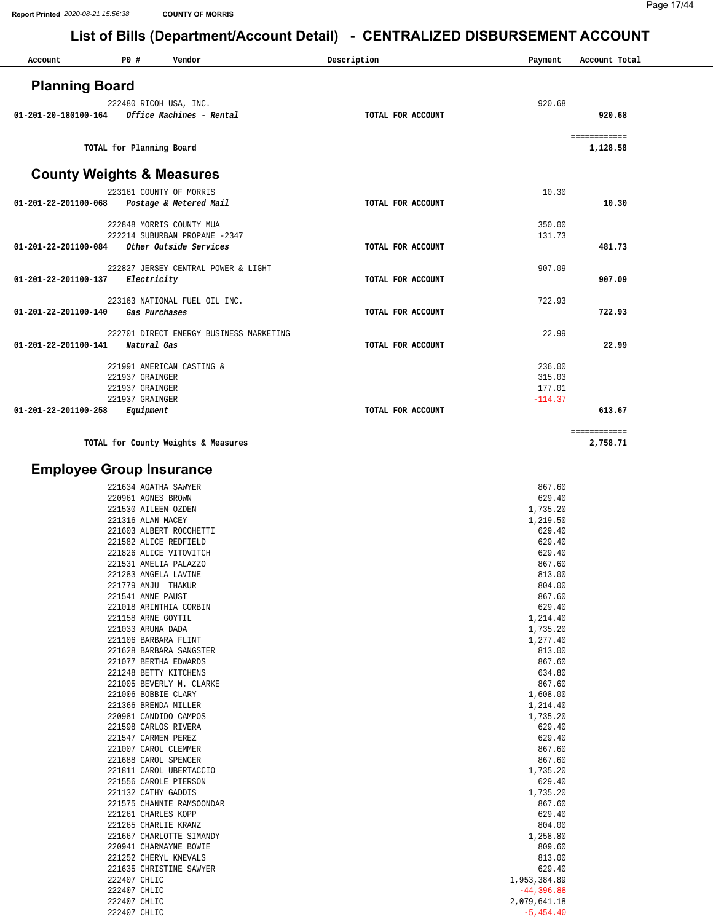| Account                              | P0 #                         | Vendor                                             | Description       | Payment                | Account Total            |
|--------------------------------------|------------------------------|----------------------------------------------------|-------------------|------------------------|--------------------------|
|                                      |                              |                                                    |                   |                        |                          |
| <b>Planning Board</b>                |                              |                                                    |                   |                        |                          |
| 01-201-20-180100-164                 |                              | 222480 RICOH USA, INC.<br>Office Machines - Rental | TOTAL FOR ACCOUNT | 920.68                 | 920.68                   |
|                                      |                              |                                                    |                   |                        |                          |
|                                      |                              |                                                    |                   |                        | ============             |
|                                      |                              | TOTAL for Planning Board                           |                   |                        | 1,128.58                 |
| <b>County Weights &amp; Measures</b> |                              |                                                    |                   |                        |                          |
|                                      |                              | 223161 COUNTY OF MORRIS                            |                   | 10.30                  |                          |
| 01-201-22-201100-068                 |                              | Postage & Metered Mail                             | TOTAL FOR ACCOUNT |                        | 10.30                    |
|                                      |                              | 222848 MORRIS COUNTY MUA                           |                   | 350.00                 |                          |
|                                      |                              | 222214 SUBURBAN PROPANE -2347                      |                   | 131.73                 |                          |
| 01-201-22-201100-084                 |                              | Other Outside Services                             | TOTAL FOR ACCOUNT |                        | 481.73                   |
|                                      |                              | 222827 JERSEY CENTRAL POWER & LIGHT                |                   | 907.09                 |                          |
| 01-201-22-201100-137                 | Electricity                  |                                                    | TOTAL FOR ACCOUNT |                        | 907.09                   |
|                                      |                              | 223163 NATIONAL FUEL OIL INC.                      |                   | 722.93                 |                          |
| 01-201-22-201100-140                 |                              | Gas Purchases                                      | TOTAL FOR ACCOUNT |                        | 722.93                   |
|                                      |                              | 222701 DIRECT ENERGY BUSINESS MARKETING            |                   | 22.99                  |                          |
| 01-201-22-201100-141                 | Natural Gas                  |                                                    | TOTAL FOR ACCOUNT |                        | 22.99                    |
|                                      |                              |                                                    |                   |                        |                          |
|                                      | 221937 GRAINGER              | 221991 AMERICAN CASTING &                          |                   | 236.00<br>315.03       |                          |
|                                      | 221937 GRAINGER              |                                                    |                   | 177.01                 |                          |
| 01-201-22-201100-258                 | 221937 GRAINGER<br>Equipment |                                                    | TOTAL FOR ACCOUNT | $-114.37$              | 613.67                   |
|                                      |                              |                                                    |                   |                        |                          |
|                                      |                              | TOTAL for County Weights & Measures                |                   |                        | ============<br>2,758.71 |
|                                      |                              |                                                    |                   |                        |                          |
| <b>Employee Group Insurance</b>      |                              |                                                    |                   |                        |                          |
|                                      |                              | 221634 AGATHA SAWYER                               |                   | 867.60                 |                          |
|                                      | 220961 AGNES BROWN           |                                                    |                   | 629.40                 |                          |
|                                      | 221316 ALAN MACEY            | 221530 AILEEN OZDEN                                |                   | 1,735.20<br>1,219.50   |                          |
|                                      |                              | 221603 ALBERT ROCCHETTI                            |                   | 629.40                 |                          |
|                                      |                              | 221582 ALICE REDFIELD<br>221826 ALICE VITOVITCH    |                   | 629.40<br>629.40       |                          |
|                                      |                              | 221531 AMELIA PALAZZO                              |                   | 867.60                 |                          |
|                                      |                              | 221283 ANGELA LAVINE                               |                   | 813.00                 |                          |
|                                      | 221541 ANNE PAUST            | 221779 ANJU THAKUR                                 |                   | 804.00<br>867.60       |                          |
|                                      |                              | 221018 ARINTHIA CORBIN                             |                   | 629.40                 |                          |
|                                      | 221158 ARNE GOYTIL           |                                                    |                   | 1,214.40               |                          |
|                                      | 221033 ARUNA DADA            | 221106 BARBARA FLINT                               |                   | 1,735.20<br>1,277.40   |                          |
|                                      |                              | 221628 BARBARA SANGSTER                            |                   | 813.00                 |                          |
|                                      |                              | 221077 BERTHA EDWARDS                              |                   | 867.60                 |                          |
|                                      |                              | 221248 BETTY KITCHENS<br>221005 BEVERLY M. CLARKE  |                   | 634.80<br>867.60       |                          |
|                                      |                              | 221006 BOBBIE CLARY                                |                   | 1,608.00               |                          |
|                                      |                              | 221366 BRENDA MILLER                               |                   | 1,214.40<br>1,735.20   |                          |
|                                      |                              | 220981 CANDIDO CAMPOS<br>221598 CARLOS RIVERA      |                   | 629.40                 |                          |
|                                      |                              | 221547 CARMEN PEREZ                                |                   | 629.40                 |                          |
|                                      |                              | 221007 CAROL CLEMMER<br>221688 CAROL SPENCER       |                   | 867.60<br>867.60       |                          |
|                                      |                              | 221811 CAROL UBERTACCIO                            |                   | 1,735.20               |                          |
|                                      |                              | 221556 CAROLE PIERSON                              |                   | 629.40                 |                          |
|                                      |                              | 221132 CATHY GADDIS<br>221575 CHANNIE RAMSOONDAR   |                   | 1,735.20<br>867.60     |                          |
|                                      |                              | 221261 CHARLES KOPP                                |                   | 629.40                 |                          |
|                                      |                              | 221265 CHARLIE KRANZ<br>221667 CHARLOTTE SIMANDY   |                   | 804.00                 |                          |
|                                      |                              | 220941 CHARMAYNE BOWIE                             |                   | 1,258.80<br>809.60     |                          |
|                                      |                              | 221252 CHERYL KNEVALS                              |                   | 813.00                 |                          |
|                                      | 222407 CHLIC                 | 221635 CHRISTINE SAWYER                            |                   | 629.40<br>1,953,384.89 |                          |
|                                      | 222407 CHLIC                 |                                                    |                   | $-44, 396.88$          |                          |
|                                      | 222407 CHLIC                 |                                                    |                   | 2,079,641.18           |                          |
|                                      | 222407 CHLIC                 |                                                    |                   | $-5, 454.40$           |                          |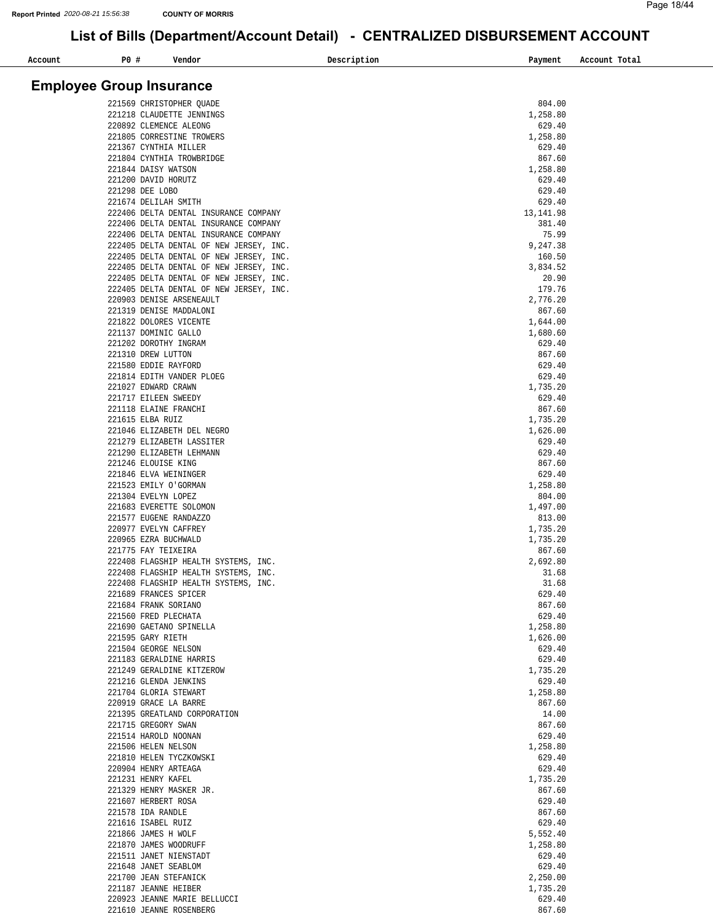| Account | P0 # | Vendor                                                                         | Description | Payment            | Account Total |
|---------|------|--------------------------------------------------------------------------------|-------------|--------------------|---------------|
|         |      |                                                                                |             |                    |               |
|         |      | <b>Employee Group Insurance</b>                                                |             |                    |               |
|         |      |                                                                                |             |                    |               |
|         |      | 221569 CHRISTOPHER QUADE<br>221218 CLAUDETTE JENNINGS                          |             | 804.00<br>1,258.80 |               |
|         |      | 220892 CLEMENCE ALEONG                                                         |             | 629.40             |               |
|         |      | 221805 CORRESTINE TROWERS                                                      |             | 1,258.80           |               |
|         |      | 221367 CYNTHIA MILLER                                                          |             | 629.40             |               |
|         |      | 221804 CYNTHIA TROWBRIDGE                                                      |             | 867.60             |               |
|         |      | 221844 DAISY WATSON                                                            |             | 1,258.80           |               |
|         |      | 221200 DAVID HORUTZ                                                            |             | 629.40             |               |
|         |      | 221298 DEE LOBO                                                                |             | 629.40             |               |
|         |      | 221674 DELILAH SMITH                                                           |             | 629.40             |               |
|         |      | 222406 DELTA DENTAL INSURANCE COMPANY                                          |             | 13, 141.98         |               |
|         |      | 222406 DELTA DENTAL INSURANCE COMPANY<br>222406 DELTA DENTAL INSURANCE COMPANY |             | 381.40<br>75.99    |               |
|         |      | 222405 DELTA DENTAL OF NEW JERSEY, INC.                                        |             | 9,247.38           |               |
|         |      | 222405 DELTA DENTAL OF NEW JERSEY, INC.                                        |             | 160.50             |               |
|         |      | 222405 DELTA DENTAL OF NEW JERSEY, INC.                                        |             | 3,834.52           |               |
|         |      | 222405 DELTA DENTAL OF NEW JERSEY, INC.                                        |             | 20.90              |               |
|         |      | 222405 DELTA DENTAL OF NEW JERSEY, INC.                                        |             | 179.76             |               |
|         |      | 220903 DENISE ARSENEAULT                                                       |             | 2,776.20           |               |
|         |      | 221319 DENISE MADDALONI                                                        |             | 867.60             |               |
|         |      | 221822 DOLORES VICENTE                                                         |             | 1,644.00           |               |
|         |      | 221137 DOMINIC GALLO                                                           |             | 1,680.60           |               |
|         |      | 221202 DOROTHY INGRAM                                                          |             | 629.40             |               |
|         |      | 221310 DREW LUTTON<br>221580 EDDIE RAYFORD                                     |             | 867.60<br>629.40   |               |
|         |      | 221814 EDITH VANDER PLOEG                                                      |             | 629.40             |               |
|         |      | 221027 EDWARD CRAWN                                                            |             | 1,735.20           |               |
|         |      | 221717 EILEEN SWEEDY                                                           |             | 629.40             |               |
|         |      | 221118 ELAINE FRANCHI                                                          |             | 867.60             |               |
|         |      | 221615 ELBA RUIZ                                                               |             | 1,735.20           |               |
|         |      | 221046 ELIZABETH DEL NEGRO                                                     |             | 1,626.00           |               |
|         |      | 221279 ELIZABETH LASSITER                                                      |             | 629.40             |               |
|         |      | 221290 ELIZABETH LEHMANN                                                       |             | 629.40             |               |
|         |      | 221246 ELOUISE KING                                                            |             | 867.60             |               |
|         |      | 221846 ELVA WEININGER                                                          |             | 629.40             |               |
|         |      | 221523 EMILY O'GORMAN                                                          |             | 1,258.80           |               |
|         |      | 221304 EVELYN LOPEZ<br>221683 EVERETTE SOLOMON                                 |             | 804.00<br>1,497.00 |               |
|         |      | 221577 EUGENE RANDAZZO                                                         |             | 813.00             |               |
|         |      | 220977 EVELYN CAFFREY                                                          |             | 1,735.20           |               |
|         |      | 220965 EZRA BUCHWALD                                                           |             | 1,735.20           |               |
|         |      | 221775 FAY TEIXEIRA                                                            |             | 867.60             |               |
|         |      | 222408 FLAGSHIP HEALTH SYSTEMS, INC.                                           |             | 2,692.80           |               |
|         |      | 222408 FLAGSHIP HEALTH SYSTEMS, INC.                                           |             | 31.68              |               |
|         |      | 222408 FLAGSHIP HEALTH SYSTEMS, INC.                                           |             | 31.68              |               |
|         |      | 221689 FRANCES SPICER                                                          |             | 629.40             |               |
|         |      | 221684 FRANK SORIANO                                                           |             | 867.60             |               |
|         |      | 221560 FRED PLECHATA                                                           |             | 629.40<br>1,258.80 |               |
|         |      | 221690 GAETANO SPINELLA<br>221595 GARY RIETH                                   |             | 1,626.00           |               |
|         |      | 221504 GEORGE NELSON                                                           |             | 629.40             |               |
|         |      | 221183 GERALDINE HARRIS                                                        |             | 629.40             |               |
|         |      | 221249 GERALDINE KITZEROW                                                      |             | 1,735.20           |               |
|         |      | 221216 GLENDA JENKINS                                                          |             | 629.40             |               |
|         |      | 221704 GLORIA STEWART                                                          |             | 1,258.80           |               |
|         |      | 220919 GRACE LA BARRE                                                          |             | 867.60             |               |
|         |      | 221395 GREATLAND CORPORATION                                                   |             | 14.00              |               |
|         |      | 221715 GREGORY SWAN                                                            |             | 867.60             |               |
|         |      | 221514 HAROLD NOONAN                                                           |             | 629.40             |               |
|         |      | 221506 HELEN NELSON                                                            |             | 1,258.80           |               |
|         |      | 221810 HELEN TYCZKOWSKI<br>220904 HENRY ARTEAGA                                |             | 629.40<br>629.40   |               |
|         |      | 221231 HENRY KAFEL                                                             |             | 1,735.20           |               |
|         |      | 221329 HENRY MASKER JR.                                                        |             | 867.60             |               |
|         |      | 221607 HERBERT ROSA                                                            |             | 629.40             |               |
|         |      | 221578 IDA RANDLE                                                              |             | 867.60             |               |
|         |      | 221616 ISABEL RUIZ                                                             |             | 629.40             |               |
|         |      | 221866 JAMES H WOLF                                                            |             | 5,552.40           |               |
|         |      | 221870 JAMES WOODRUFF                                                          |             | 1,258.80           |               |
|         |      | 221511 JANET NIENSTADT                                                         |             | 629.40             |               |
|         |      | 221648 JANET SEABLOM                                                           |             | 629.40             |               |
|         |      | 221700 JEAN STEFANICK                                                          |             | 2,250.00           |               |
|         |      | 221187 JEANNE HEIBER<br>220923 JEANNE MARIE BELLUCCI                           |             | 1,735.20<br>629.40 |               |
|         |      | 221610 JEANNE ROSENBERG                                                        |             | 867.60             |               |
|         |      |                                                                                |             |                    |               |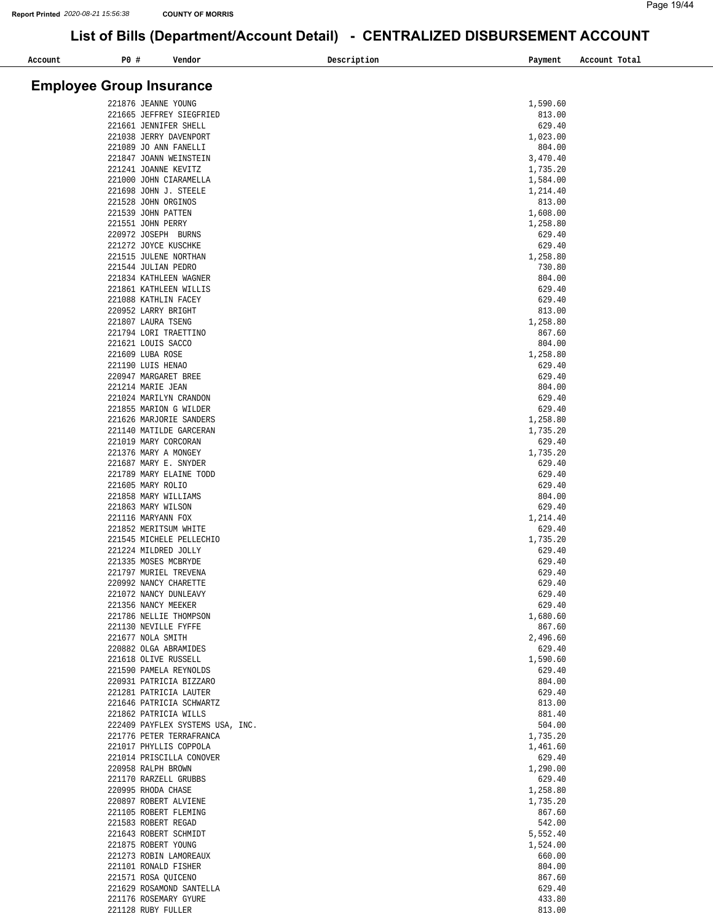| Account | <b>PO #</b> | Vendor                                             | Description | Payment              | Account Total |
|---------|-------------|----------------------------------------------------|-------------|----------------------|---------------|
|         |             |                                                    |             |                      |               |
|         |             | <b>Employee Group Insurance</b>                    |             |                      |               |
|         |             | 221876 JEANNE YOUNG                                |             | 1,590.60             |               |
|         |             | 221665 JEFFREY SIEGFRIED                           |             | 813.00               |               |
|         |             | 221661 JENNIFER SHELL<br>221038 JERRY DAVENPORT    |             | 629.40<br>1,023.00   |               |
|         |             | 221089 JO ANN FANELLI                              |             | 804.00               |               |
|         |             | 221847 JOANN WEINSTEIN                             |             | 3,470.40             |               |
|         |             | 221241 JOANNE KEVITZ                               |             | 1,735.20             |               |
|         |             | 221000 JOHN CIARAMELLA<br>221698 JOHN J. STEELE    |             | 1,584.00<br>1,214.40 |               |
|         |             | 221528 JOHN ORGINOS                                |             | 813.00               |               |
|         |             | 221539 JOHN PATTEN                                 |             | 1,608.00             |               |
|         |             | 221551 JOHN PERRY<br>220972 JOSEPH BURNS           |             | 1,258.80<br>629.40   |               |
|         |             | 221272 JOYCE KUSCHKE                               |             | 629.40               |               |
|         |             | 221515 JULENE NORTHAN                              |             | 1,258.80             |               |
|         |             | 221544 JULIAN PEDRO                                |             | 730.80               |               |
|         |             | 221834 KATHLEEN WAGNER<br>221861 KATHLEEN WILLIS   |             | 804.00<br>629.40     |               |
|         |             | 221088 KATHLIN FACEY                               |             | 629.40               |               |
|         |             | 220952 LARRY BRIGHT                                |             | 813.00               |               |
|         |             | 221807 LAURA TSENG                                 |             | 1,258.80             |               |
|         |             | 221794 LORI TRAETTINO<br>221621 LOUIS SACCO        |             | 867.60<br>804.00     |               |
|         |             | 221609 LUBA ROSE                                   |             | 1,258.80             |               |
|         |             | 221190 LUIS HENAO                                  |             | 629.40               |               |
|         |             | 220947 MARGARET BREE                               |             | 629.40               |               |
|         |             | 221214 MARIE JEAN<br>221024 MARILYN CRANDON        |             | 804.00<br>629.40     |               |
|         |             | 221855 MARION G WILDER                             |             | 629.40               |               |
|         |             | 221626 MARJORIE SANDERS                            |             | 1,258.80             |               |
|         |             | 221140 MATILDE GARCERAN                            |             | 1,735.20             |               |
|         |             | 221019 MARY CORCORAN<br>221376 MARY A MONGEY       |             | 629.40<br>1,735.20   |               |
|         |             | 221687 MARY E. SNYDER                              |             | 629.40               |               |
|         |             | 221789 MARY ELAINE TODD                            |             | 629.40               |               |
|         |             | 221605 MARY ROLIO<br>221858 MARY WILLIAMS          |             | 629.40<br>804.00     |               |
|         |             | 221863 MARY WILSON                                 |             | 629.40               |               |
|         |             | 221116 MARYANN FOX                                 |             | 1,214.40             |               |
|         |             | 221852 MERITSUM WHITE                              |             | 629.40               |               |
|         |             | 221545 MICHELE PELLECHIO<br>221224 MILDRED JOLLY   |             | 1,735.20<br>629.40   |               |
|         |             | 221335 MOSES MCBRYDE                               |             | 629.40               |               |
|         |             | 221797 MURIEL TREVENA                              |             | 629.40               |               |
|         |             | 220992 NANCY CHARETTE                              |             | 629.40               |               |
|         |             | 221072 NANCY DUNLEAVY<br>221356 NANCY MEEKER       |             | 629.40<br>629.40     |               |
|         |             | 221786 NELLIE THOMPSON                             |             | 1,680.60             |               |
|         |             | 221130 NEVILLE FYFFE                               |             | 867.60               |               |
|         |             | 221677 NOLA SMITH<br>220882 OLGA ABRAMIDES         |             | 2,496.60<br>629.40   |               |
|         |             | 221618 OLIVE RUSSELL                               |             | 1,590.60             |               |
|         |             | 221590 PAMELA REYNOLDS                             |             | 629.40               |               |
|         |             | 220931 PATRICIA BIZZARO                            |             | 804.00               |               |
|         |             | 221281 PATRICIA LAUTER<br>221646 PATRICIA SCHWARTZ |             | 629.40<br>813.00     |               |
|         |             | 221862 PATRICIA WILLS                              |             | 881.40               |               |
|         |             | 222409 PAYFLEX SYSTEMS USA, INC.                   |             | 504.00               |               |
|         |             | 221776 PETER TERRAFRANCA                           |             | 1,735.20             |               |
|         |             | 221017 PHYLLIS COPPOLA<br>221014 PRISCILLA CONOVER |             | 1,461.60<br>629.40   |               |
|         |             | 220958 RALPH BROWN                                 |             | 1,290.00             |               |
|         |             | 221170 RARZELL GRUBBS                              |             | 629.40               |               |
|         |             | 220995 RHODA CHASE<br>220897 ROBERT ALVIENE        |             | 1,258.80             |               |
|         |             | 221105 ROBERT FLEMING                              |             | 1,735.20<br>867.60   |               |
|         |             | 221583 ROBERT REGAD                                |             | 542.00               |               |
|         |             | 221643 ROBERT SCHMIDT                              |             | 5,552.40             |               |
|         |             | 221875 ROBERT YOUNG<br>221273 ROBIN LAMOREAUX      |             | 1,524.00<br>660.00   |               |
|         |             | 221101 RONALD FISHER                               |             | 804.00               |               |
|         |             | 221571 ROSA QUICENO                                |             | 867.60               |               |
|         |             | 221629 ROSAMOND SANTELLA                           |             | 629.40               |               |
|         |             | 221176 ROSEMARY GYURE<br>221128 RUBY FULLER        |             | 433.80<br>813.00     |               |
|         |             |                                                    |             |                      |               |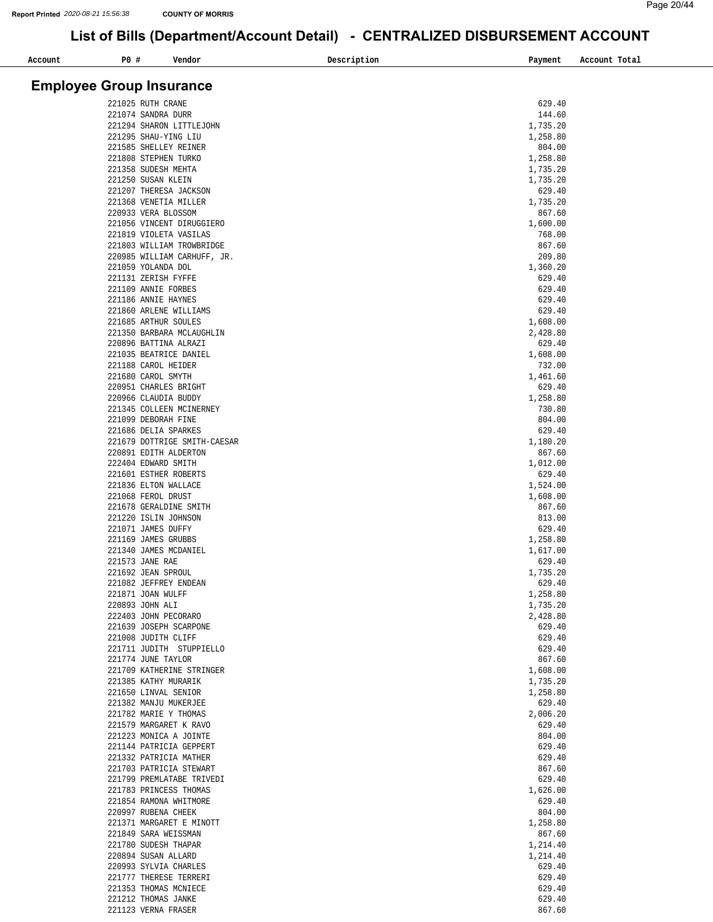| P0 #<br>Account                 | Vendor                                              | Description<br>Payment | Account Total |
|---------------------------------|-----------------------------------------------------|------------------------|---------------|
|                                 |                                                     |                        |               |
| <b>Employee Group Insurance</b> |                                                     |                        |               |
|                                 | 221025 RUTH CRANE                                   | 629.40                 |               |
|                                 | 221074 SANDRA DURR<br>221294 SHARON LITTLEJOHN      | 144.60<br>1,735.20     |               |
|                                 | 221295 SHAU-YING LIU                                | 1,258.80               |               |
|                                 | 221585 SHELLEY REINER                               | 804.00                 |               |
|                                 | 221808 STEPHEN TURKO                                | 1,258.80               |               |
|                                 | 221358 SUDESH MEHTA                                 | 1,735.20               |               |
|                                 | 221250 SUSAN KLEIN<br>221207 THERESA JACKSON        | 1,735.20<br>629.40     |               |
|                                 | 221368 VENETIA MILLER                               | 1,735.20               |               |
|                                 | 220933 VERA BLOSSOM                                 | 867.60                 |               |
|                                 | 221056 VINCENT DIRUGGIERO                           | 1,600.00               |               |
|                                 | 221819 VIOLETA VASILAS<br>221803 WILLIAM TROWBRIDGE | 768.00<br>867.60       |               |
|                                 | 220985 WILLIAM CARHUFF, JR.                         | 209.80                 |               |
|                                 | 221059 YOLANDA DOL                                  | 1,360.20               |               |
|                                 | 221131 ZERISH FYFFE                                 | 629.40                 |               |
|                                 | 221109 ANNIE FORBES<br>221186 ANNIE HAYNES          | 629.40<br>629.40       |               |
|                                 | 221860 ARLENE WILLIAMS                              | 629.40                 |               |
|                                 | 221685 ARTHUR SOULES                                | 1,608.00               |               |
|                                 | 221350 BARBARA MCLAUGHLIN                           | 2,428.80               |               |
|                                 | 220896 BATTINA ALRAZI                               | 629.40                 |               |
|                                 | 221035 BEATRICE DANIEL<br>221188 CAROL HEIDER       | 1,608.00<br>732.00     |               |
|                                 | 221680 CAROL SMYTH                                  | 1,461.60               |               |
|                                 | 220951 CHARLES BRIGHT                               | 629.40                 |               |
|                                 | 220966 CLAUDIA BUDDY                                | 1,258.80               |               |
|                                 | 221345 COLLEEN MCINERNEY<br>221099 DEBORAH FINE     | 730.80<br>804.00       |               |
|                                 | 221686 DELIA SPARKES                                | 629.40                 |               |
|                                 | 221679 DOTTRIGE SMITH-CAESAR                        | 1,180.20               |               |
|                                 | 220891 EDITH ALDERTON                               | 867.60                 |               |
|                                 | 222404 EDWARD SMITH                                 | 1,012.00<br>629.40     |               |
|                                 | 221601 ESTHER ROBERTS<br>221836 ELTON WALLACE       | 1,524.00               |               |
|                                 | 221068 FEROL DRUST                                  | 1,608.00               |               |
|                                 | 221678 GERALDINE SMITH                              | 867.60                 |               |
|                                 | 221220 ISLIN JOHNSON<br>221071 JAMES DUFFY          | 813.00<br>629.40       |               |
|                                 | 221169 JAMES GRUBBS                                 | 1,258.80               |               |
|                                 | 221340 JAMES MCDANIEL                               | 1,617.00               |               |
|                                 | 221573 JANE RAE                                     | 629.40                 |               |
|                                 | 221692 JEAN SPROUL<br>221082 JEFFREY ENDEAN         | 1,735.20<br>629.40     |               |
|                                 | 221871 JOAN WULFF                                   | 1,258.80               |               |
|                                 | 220893 JOHN ALI                                     | 1,735.20               |               |
|                                 | 222403 JOHN PECORARO                                | 2,428.80               |               |
|                                 | 221639 JOSEPH SCARPONE<br>221008 JUDITH CLIFF       | 629.40<br>629.40       |               |
|                                 | 221711 JUDITH STUPPIELLO                            | 629.40                 |               |
|                                 | 221774 JUNE TAYLOR                                  | 867.60                 |               |
|                                 | 221709 KATHERINE STRINGER                           | 1,608.00               |               |
|                                 | 221385 KATHY MURARIK<br>221650 LINVAL SENIOR        | 1,735.20<br>1,258.80   |               |
|                                 | 221382 MANJU MUKERJEE                               | 629.40                 |               |
|                                 | 221782 MARIE Y THOMAS                               | 2,006.20               |               |
|                                 | 221579 MARGARET K RAVO                              | 629.40                 |               |
|                                 | 221223 MONICA A JOINTE<br>221144 PATRICIA GEPPERT   | 804.00<br>629.40       |               |
|                                 | 221332 PATRICIA MATHER                              | 629.40                 |               |
|                                 | 221703 PATRICIA STEWART                             | 867.60                 |               |
|                                 | 221799 PREMLATABE TRIVEDI                           | 629.40                 |               |
|                                 | 221783 PRINCESS THOMAS<br>221854 RAMONA WHITMORE    | 1,626.00<br>629.40     |               |
|                                 | 220997 RUBENA CHEEK                                 | 804.00                 |               |
|                                 | 221371 MARGARET E MINOTT                            | 1,258.80               |               |
|                                 | 221849 SARA WEISSMAN                                | 867.60                 |               |
|                                 | 221780 SUDESH THAPAR<br>220894 SUSAN ALLARD         | 1,214.40<br>1,214.40   |               |
|                                 | 220993 SYLVIA CHARLES                               | 629.40                 |               |
|                                 | 221777 THERESE TERRERI                              | 629.40                 |               |
|                                 | 221353 THOMAS MCNIECE                               | 629.40                 |               |
|                                 | 221212 THOMAS JANKE                                 | 629.40                 |               |
|                                 | 221123 VERNA FRASER                                 | 867.60                 |               |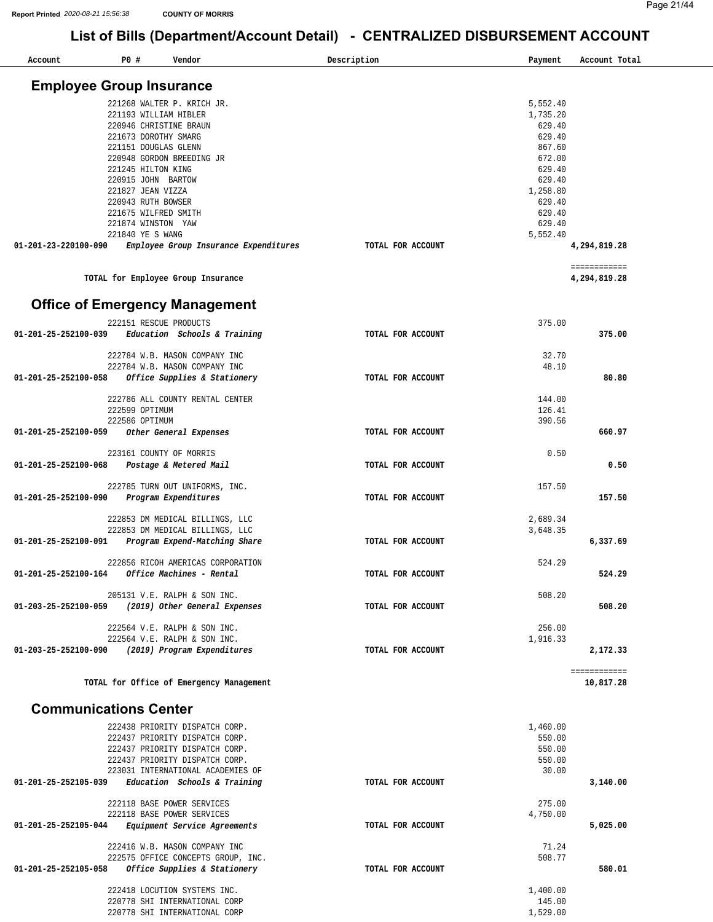| Account                               | P0 #                                                                                                        | Vendor                                                                                                                                                                    | Description       | Payment                                                      | Account Total                |
|---------------------------------------|-------------------------------------------------------------------------------------------------------------|---------------------------------------------------------------------------------------------------------------------------------------------------------------------------|-------------------|--------------------------------------------------------------|------------------------------|
| <b>Employee Group Insurance</b>       |                                                                                                             |                                                                                                                                                                           |                   |                                                              |                              |
|                                       | 221193 WILLIAM HIBLER<br>220946 CHRISTINE BRAUN<br>221673 DOROTHY SMARG<br>221151 DOUGLAS GLENN             | 221268 WALTER P. KRICH JR.<br>220948 GORDON BREEDING JR                                                                                                                   |                   | 5,552.40<br>1,735.20<br>629.40<br>629.40<br>867.60<br>672.00 |                              |
|                                       | 221245 HILTON KING<br>220915 JOHN BARTOW<br>221827 JEAN VIZZA<br>220943 RUTH BOWSER<br>221675 WILFRED SMITH |                                                                                                                                                                           |                   | 629.40<br>629.40<br>1,258.80<br>629.40<br>629.40             |                              |
| 01-201-23-220100-090                  | 221874 WINSTON YAW<br>221840 YE S WANG                                                                      | Employee Group Insurance Expenditures                                                                                                                                     | TOTAL FOR ACCOUNT | 629.40<br>5,552.40                                           | 4,294,819.28                 |
|                                       |                                                                                                             | TOTAL for Employee Group Insurance                                                                                                                                        |                   |                                                              | ============<br>4,294,819.28 |
| <b>Office of Emergency Management</b> |                                                                                                             |                                                                                                                                                                           |                   |                                                              |                              |
| 01-201-25-252100-039                  | 222151 RESCUE PRODUCTS                                                                                      | Education Schools & Training                                                                                                                                              | TOTAL FOR ACCOUNT | 375.00                                                       | 375.00                       |
| 01-201-25-252100-058                  |                                                                                                             | 222784 W.B. MASON COMPANY INC<br>222784 W.B. MASON COMPANY INC<br>Office Supplies & Stationery                                                                            | TOTAL FOR ACCOUNT | 32.70<br>48.10                                               | 80.80                        |
|                                       | 222599 OPTIMUM<br>222586 OPTIMUM                                                                            | 222786 ALL COUNTY RENTAL CENTER                                                                                                                                           |                   | 144.00<br>126.41<br>390.56                                   |                              |
| 01-201-25-252100-059                  |                                                                                                             | Other General Expenses                                                                                                                                                    | TOTAL FOR ACCOUNT |                                                              | 660.97                       |
| 01-201-25-252100-068                  | 223161 COUNTY OF MORRIS                                                                                     | Postage & Metered Mail                                                                                                                                                    | TOTAL FOR ACCOUNT | 0.50                                                         | 0.50                         |
| 01-201-25-252100-090                  | Program Expenditures                                                                                        | 222785 TURN OUT UNIFORMS, INC.                                                                                                                                            | TOTAL FOR ACCOUNT | 157.50                                                       | 157.50                       |
| 01-201-25-252100-091                  |                                                                                                             | 222853 DM MEDICAL BILLINGS, LLC<br>222853 DM MEDICAL BILLINGS, LLC<br>Program Expend-Matching Share                                                                       | TOTAL FOR ACCOUNT | 2,689.34<br>3,648.35                                         | 6,337.69                     |
| 01-201-25-252100-164                  |                                                                                                             | 222856 RICOH AMERICAS CORPORATION<br>Office Machines - Rental                                                                                                             | TOTAL FOR ACCOUNT | 524.29                                                       | 524.29                       |
| 01-203-25-252100-059                  |                                                                                                             | 205131 V.E. RALPH & SON INC.<br>(2019) Other General Expenses                                                                                                             | TOTAL FOR ACCOUNT | 508.20                                                       | 508.20                       |
| 01-203-25-252100-090                  |                                                                                                             | 222564 V.E. RALPH & SON INC.<br>222564 V.E. RALPH & SON INC.<br>(2019) Program Expenditures                                                                               | TOTAL FOR ACCOUNT | 256.00<br>1,916.33                                           | 2,172.33                     |
|                                       |                                                                                                             | TOTAL for Office of Emergency Management                                                                                                                                  |                   |                                                              | ============<br>10,817.28    |
| <b>Communications Center</b>          |                                                                                                             |                                                                                                                                                                           |                   |                                                              |                              |
|                                       |                                                                                                             | 222438 PRIORITY DISPATCH CORP.<br>222437 PRIORITY DISPATCH CORP.<br>222437 PRIORITY DISPATCH CORP.<br>222437 PRIORITY DISPATCH CORP.<br>223031 INTERNATIONAL ACADEMIES OF |                   | 1,460.00<br>550.00<br>550.00<br>550.00<br>30.00              |                              |
| 01-201-25-252105-039                  |                                                                                                             | Education Schools & Training<br>222118 BASE POWER SERVICES                                                                                                                | TOTAL FOR ACCOUNT | 275.00                                                       | 3,140.00                     |
| 01-201-25-252105-044                  |                                                                                                             | 222118 BASE POWER SERVICES<br>Equipment Service Agreements                                                                                                                | TOTAL FOR ACCOUNT | 4,750.00                                                     | 5,025.00                     |
| 01-201-25-252105-058                  |                                                                                                             | 222416 W.B. MASON COMPANY INC<br>222575 OFFICE CONCEPTS GROUP, INC.<br>Office Supplies & Stationery                                                                       | TOTAL FOR ACCOUNT | 71.24<br>508.77                                              | 580.01                       |
|                                       |                                                                                                             | 222418 LOCUTION SYSTEMS INC.<br>220778 SHI INTERNATIONAL CORP<br>220778 SHI INTERNATIONAL CORP                                                                            |                   | 1,400.00<br>145.00<br>1,529.00                               |                              |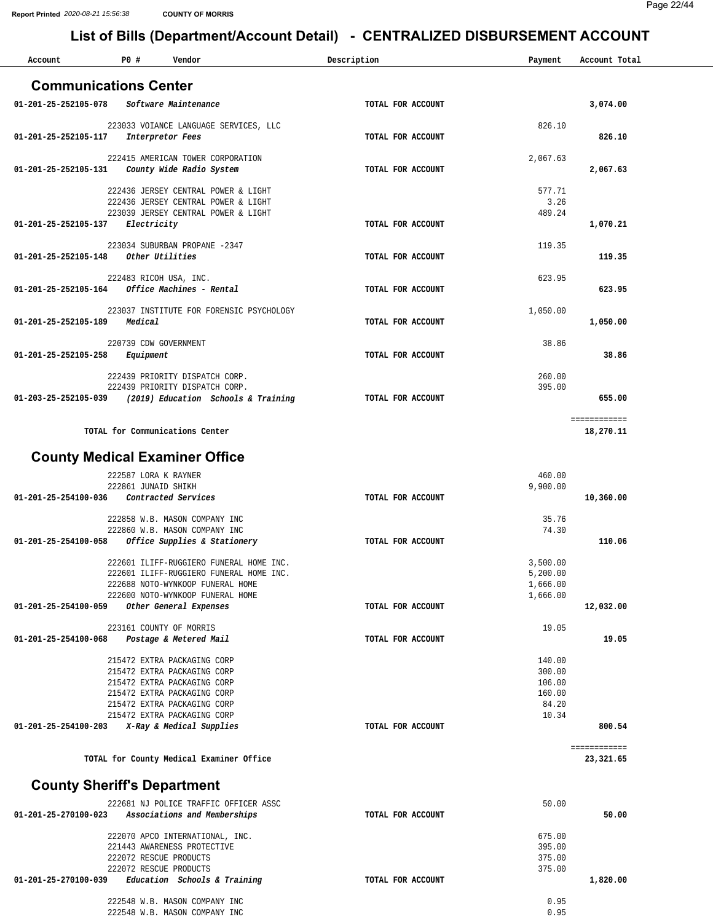| Account              | P0#<br>Vendor                                                              | Description       | Payment          | Account Total             |
|----------------------|----------------------------------------------------------------------------|-------------------|------------------|---------------------------|
|                      | <b>Communications Center</b>                                               |                   |                  |                           |
|                      |                                                                            |                   |                  |                           |
| 01-201-25-252105-078 | Software Maintenance                                                       | TOTAL FOR ACCOUNT |                  | 3,074.00                  |
|                      | 223033 VOIANCE LANGUAGE SERVICES, LLC                                      |                   | 826.10           |                           |
| 01-201-25-252105-117 | Interpretor Fees                                                           | TOTAL FOR ACCOUNT |                  | 826.10                    |
|                      | 222415 AMERICAN TOWER CORPORATION                                          |                   | 2,067.63         |                           |
| 01-201-25-252105-131 | County Wide Radio System                                                   | TOTAL FOR ACCOUNT |                  | 2,067.63                  |
|                      |                                                                            |                   |                  |                           |
|                      | 222436 JERSEY CENTRAL POWER & LIGHT                                        |                   | 577.71           |                           |
|                      | 222436 JERSEY CENTRAL POWER & LIGHT<br>223039 JERSEY CENTRAL POWER & LIGHT |                   | 3.26<br>489.24   |                           |
| 01-201-25-252105-137 | Electricity                                                                | TOTAL FOR ACCOUNT |                  | 1,070.21                  |
|                      |                                                                            |                   |                  |                           |
|                      | 223034 SUBURBAN PROPANE -2347<br>Other Utilities                           |                   | 119.35           |                           |
| 01-201-25-252105-148 |                                                                            | TOTAL FOR ACCOUNT |                  | 119.35                    |
|                      | 222483 RICOH USA, INC.                                                     |                   | 623.95           |                           |
| 01-201-25-252105-164 | Office Machines - Rental                                                   | TOTAL FOR ACCOUNT |                  | 623.95                    |
|                      | 223037 INSTITUTE FOR FORENSIC PSYCHOLOGY                                   |                   | 1,050.00         |                           |
| 01-201-25-252105-189 | Medical                                                                    | TOTAL FOR ACCOUNT |                  | 1,050.00                  |
|                      |                                                                            |                   |                  |                           |
|                      | 220739 CDW GOVERNMENT                                                      |                   | 38.86            |                           |
| 01-201-25-252105-258 | Equipment                                                                  | TOTAL FOR ACCOUNT |                  | 38.86                     |
|                      | 222439 PRIORITY DISPATCH CORP.                                             |                   | 260.00           |                           |
|                      | 222439 PRIORITY DISPATCH CORP.                                             |                   | 395.00           |                           |
| 01-203-25-252105-039 | (2019) Education Schools & Training                                        | TOTAL FOR ACCOUNT |                  | 655.00                    |
|                      |                                                                            |                   |                  | ============              |
|                      | TOTAL for Communications Center                                            |                   |                  | 18,270.11                 |
|                      |                                                                            |                   |                  |                           |
|                      | <b>County Medical Examiner Office</b>                                      |                   |                  |                           |
|                      | 222587 LORA K RAYNER                                                       |                   | 460.00           |                           |
|                      | 222861 JUNAID SHIKH                                                        |                   | 9,900.00         |                           |
| 01-201-25-254100-036 | Contracted Services                                                        | TOTAL FOR ACCOUNT |                  | 10,360.00                 |
|                      | 222858 W.B. MASON COMPANY INC                                              |                   | 35.76            |                           |
|                      | 222860 W.B. MASON COMPANY INC                                              |                   | 74.30            |                           |
| 01-201-25-254100-058 | Office Supplies & Stationery                                               | TOTAL FOR ACCOUNT |                  | 110.06                    |
|                      | 222601 ILIFF-RUGGIERO FUNERAL HOME INC.                                    |                   | 3,500.00         |                           |
|                      | 222601 ILIFF-RUGGIERO FUNERAL HOME INC.                                    |                   | 5,200.00         |                           |
|                      | 222688 NOTO-WYNKOOP FUNERAL HOME                                           |                   | 1,666.00         |                           |
|                      | 222600 NOTO-WYNKOOP FUNERAL HOME                                           |                   | 1,666.00         |                           |
| 01-201-25-254100-059 | Other General Expenses                                                     | TOTAL FOR ACCOUNT |                  | 12,032.00                 |
|                      | 223161 COUNTY OF MORRIS                                                    |                   | 19.05            |                           |
| 01-201-25-254100-068 | Postage & Metered Mail                                                     | TOTAL FOR ACCOUNT |                  | 19.05                     |
|                      | 215472 EXTRA PACKAGING CORP                                                |                   | 140.00           |                           |
|                      | 215472 EXTRA PACKAGING CORP                                                |                   | 300.00           |                           |
|                      | 215472 EXTRA PACKAGING CORP                                                |                   | 106.00           |                           |
|                      | 215472 EXTRA PACKAGING CORP                                                |                   | 160.00           |                           |
|                      | 215472 EXTRA PACKAGING CORP<br>215472 EXTRA PACKAGING CORP                 |                   | 84.20<br>10.34   |                           |
| 01-201-25-254100-203 | X-Ray & Medical Supplies                                                   | TOTAL FOR ACCOUNT |                  | 800.54                    |
|                      |                                                                            |                   |                  |                           |
|                      | TOTAL for County Medical Examiner Office                                   |                   |                  | ============<br>23,321.65 |
|                      |                                                                            |                   |                  |                           |
|                      | <b>County Sheriff's Department</b>                                         |                   |                  |                           |
|                      |                                                                            |                   |                  |                           |
| 01-201-25-270100-023 | 222681 NJ POLICE TRAFFIC OFFICER ASSC<br>Associations and Memberships      | TOTAL FOR ACCOUNT | 50.00            | 50.00                     |
|                      |                                                                            |                   |                  |                           |
|                      | 222070 APCO INTERNATIONAL, INC.                                            |                   | 675.00           |                           |
|                      | 221443 AWARENESS PROTECTIVE<br>222072 RESCUE PRODUCTS                      |                   | 395.00<br>375.00 |                           |
|                      | 222072 RESCUE PRODUCTS                                                     |                   | 375.00           |                           |
| 01-201-25-270100-039 | Education Schools & Training                                               | TOTAL FOR ACCOUNT |                  | 1,820.00                  |
|                      |                                                                            |                   |                  |                           |
|                      | 222548 W.B. MASON COMPANY INC<br>222548 W.B. MASON COMPANY INC             |                   | 0.95<br>0.95     |                           |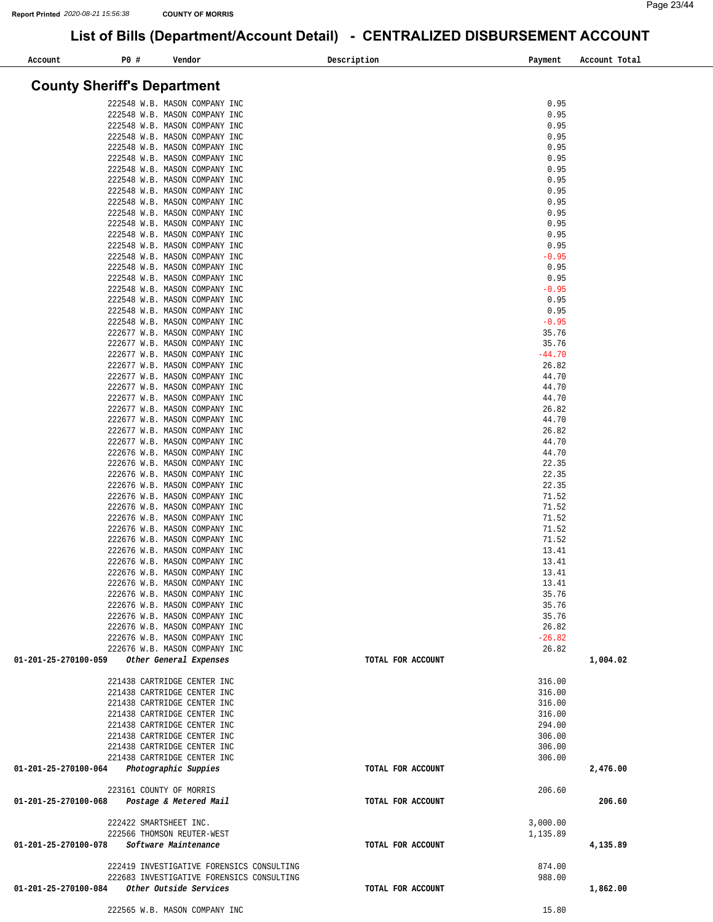| P0 #<br>Account<br>Vendor                                      | Description       | Payment         | Account Total |
|----------------------------------------------------------------|-------------------|-----------------|---------------|
|                                                                |                   |                 |               |
| <b>County Sheriff's Department</b>                             |                   |                 |               |
|                                                                |                   |                 |               |
| 222548 W.B. MASON COMPANY INC                                  |                   | 0.95            |               |
| 222548 W.B. MASON COMPANY INC                                  |                   | 0.95            |               |
| 222548 W.B. MASON COMPANY INC<br>222548 W.B. MASON COMPANY INC |                   | 0.95<br>0.95    |               |
| 222548 W.B. MASON COMPANY INC                                  |                   | 0.95            |               |
| 222548 W.B. MASON COMPANY INC                                  |                   | 0.95            |               |
| 222548 W.B. MASON COMPANY INC                                  |                   | 0.95            |               |
| 222548 W.B. MASON COMPANY INC                                  |                   | 0.95            |               |
| 222548 W.B. MASON COMPANY INC                                  |                   | 0.95            |               |
| 222548 W.B. MASON COMPANY INC                                  |                   | 0.95            |               |
| 222548 W.B. MASON COMPANY INC                                  |                   | 0.95            |               |
| 222548 W.B. MASON COMPANY INC                                  |                   | 0.95            |               |
| 222548 W.B. MASON COMPANY INC                                  |                   | 0.95            |               |
| 222548 W.B. MASON COMPANY INC                                  |                   | 0.95            |               |
| 222548 W.B. MASON COMPANY INC                                  |                   | $-0.95$         |               |
| 222548 W.B. MASON COMPANY INC                                  |                   | 0.95            |               |
| 222548 W.B. MASON COMPANY INC<br>222548 W.B. MASON COMPANY INC |                   | 0.95<br>$-0.95$ |               |
| 222548 W.B. MASON COMPANY INC                                  |                   | 0.95            |               |
| 222548 W.B. MASON COMPANY INC                                  |                   | 0.95            |               |
| 222548 W.B. MASON COMPANY INC                                  |                   | $-0.95$         |               |
| 222677 W.B. MASON COMPANY INC                                  |                   | 35.76           |               |
| 222677 W.B. MASON COMPANY INC                                  |                   | 35.76           |               |
| 222677 W.B. MASON COMPANY INC                                  |                   | $-44.70$        |               |
| 222677 W.B. MASON COMPANY INC                                  |                   | 26.82           |               |
| 222677 W.B. MASON COMPANY INC                                  |                   | 44.70           |               |
| 222677 W.B. MASON COMPANY INC                                  |                   | 44.70           |               |
| 222677 W.B. MASON COMPANY INC                                  |                   | 44.70           |               |
| 222677 W.B. MASON COMPANY INC                                  |                   | 26.82           |               |
| 222677 W.B. MASON COMPANY INC<br>222677 W.B. MASON COMPANY INC |                   | 44.70<br>26.82  |               |
| 222677 W.B. MASON COMPANY INC                                  |                   | 44.70           |               |
| 222676 W.B. MASON COMPANY INC                                  |                   | 44.70           |               |
| 222676 W.B. MASON COMPANY INC                                  |                   | 22.35           |               |
| 222676 W.B. MASON COMPANY INC                                  |                   | 22.35           |               |
| 222676 W.B. MASON COMPANY INC                                  |                   | 22.35           |               |
| 222676 W.B. MASON COMPANY INC                                  |                   | 71.52           |               |
| 222676 W.B. MASON COMPANY INC                                  |                   | 71.52           |               |
| 222676 W.B. MASON COMPANY INC                                  |                   | 71.52           |               |
| 222676 W.B. MASON COMPANY INC<br>222676 W.B. MASON COMPANY INC |                   | 71.52<br>71.52  |               |
| 222676 W.B. MASON COMPANY INC                                  |                   | 13.41           |               |
| 222676 W.B. MASON COMPANY INC                                  |                   | 13.41           |               |
| 222676 W.B. MASON COMPANY INC                                  |                   | 13.41           |               |
| 222676 W.B. MASON COMPANY INC                                  |                   | 13.41           |               |
| 222676 W.B. MASON COMPANY INC                                  |                   | 35.76           |               |
| 222676 W.B. MASON COMPANY INC                                  |                   | 35.76           |               |
| 222676 W.B. MASON COMPANY INC                                  |                   | 35.76           |               |
| 222676 W.B. MASON COMPANY INC                                  |                   | 26.82           |               |
| 222676 W.B. MASON COMPANY INC                                  |                   | $-26.82$        |               |
| 222676 W.B. MASON COMPANY INC                                  |                   | 26.82           |               |
| Other General Expenses<br>01-201-25-270100-059                 | TOTAL FOR ACCOUNT |                 | 1,004.02      |
| 221438 CARTRIDGE CENTER INC                                    |                   | 316.00          |               |
| 221438 CARTRIDGE CENTER INC                                    |                   | 316.00          |               |
| 221438 CARTRIDGE CENTER INC                                    |                   | 316.00          |               |
| 221438 CARTRIDGE CENTER INC                                    |                   | 316.00          |               |
| 221438 CARTRIDGE CENTER INC                                    |                   | 294.00          |               |
| 221438 CARTRIDGE CENTER INC                                    |                   | 306.00          |               |
| 221438 CARTRIDGE CENTER INC                                    |                   | 306.00          |               |
| 221438 CARTRIDGE CENTER INC                                    |                   | 306.00          |               |
| Photographic Suppies<br>01-201-25-270100-064                   | TOTAL FOR ACCOUNT |                 | 2,476.00      |
| 223161 COUNTY OF MORRIS                                        |                   | 206.60          |               |
| 01-201-25-270100-068<br>Postage & Metered Mail                 | TOTAL FOR ACCOUNT |                 | 206.60        |
|                                                                |                   |                 |               |
| 222422 SMARTSHEET INC.                                         |                   | 3,000.00        |               |
| 222566 THOMSON REUTER-WEST                                     |                   | 1,135.89        |               |
| Software Maintenance<br>01-201-25-270100-078                   | TOTAL FOR ACCOUNT |                 | 4,135.89      |
|                                                                |                   |                 |               |
| 222419 INVESTIGATIVE FORENSICS CONSULTING                      |                   | 874.00          |               |
| 222683 INVESTIGATIVE FORENSICS CONSULTING                      |                   | 988.00          |               |
| Other Outside Services<br>01-201-25-270100-084                 | TOTAL FOR ACCOUNT |                 | 1,862.00      |
| 222565 W.B. MASON COMPANY INC                                  |                   | 15.80           |               |
|                                                                |                   |                 |               |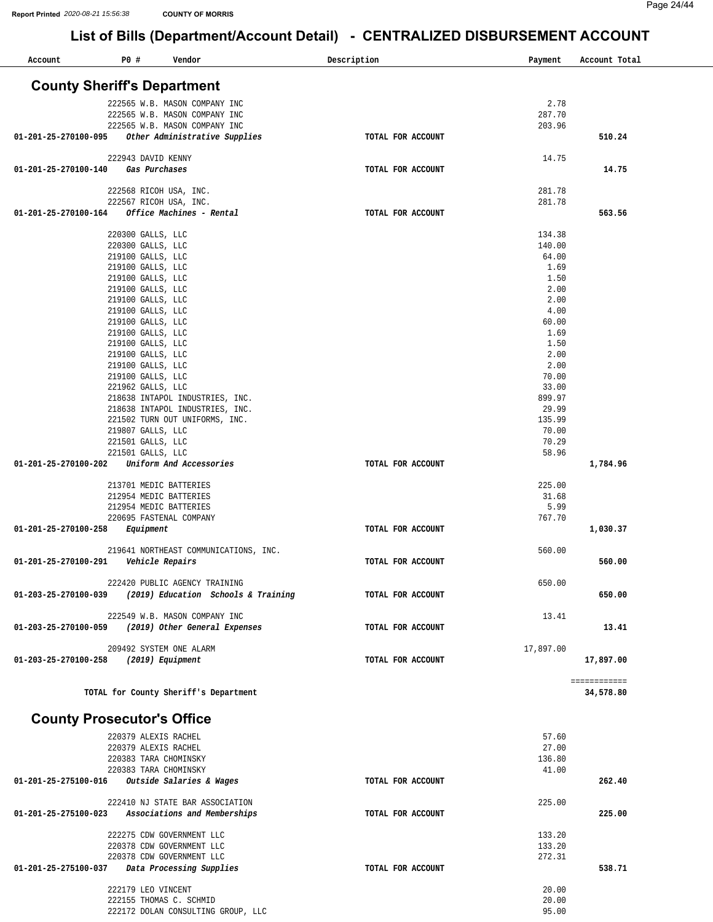| Account                            | P0# |                                              | Vendor                                |                                     | Description       | Payment        | Account Total |
|------------------------------------|-----|----------------------------------------------|---------------------------------------|-------------------------------------|-------------------|----------------|---------------|
| <b>County Sheriff's Department</b> |     |                                              |                                       |                                     |                   |                |               |
|                                    |     |                                              | 222565 W.B. MASON COMPANY INC         |                                     |                   | 2.78           |               |
|                                    |     |                                              | 222565 W.B. MASON COMPANY INC         |                                     |                   | 287.70         |               |
|                                    |     |                                              | 222565 W.B. MASON COMPANY INC         |                                     |                   | 203.96         |               |
| 01-201-25-270100-095               |     |                                              | Other Administrative Supplies         |                                     | TOTAL FOR ACCOUNT |                | 510.24        |
|                                    |     | 222943 DAVID KENNY                           |                                       |                                     |                   | 14.75          |               |
| 01-201-25-270100-140               |     | Gas Purchases                                |                                       |                                     | TOTAL FOR ACCOUNT |                | 14.75         |
|                                    |     |                                              |                                       |                                     |                   |                |               |
|                                    |     | 222568 RICOH USA, INC.                       |                                       |                                     |                   | 281.78         |               |
|                                    |     | 222567 RICOH USA, INC.                       |                                       |                                     |                   | 281.78         |               |
| 01-201-25-270100-164               |     |                                              | Office Machines - Rental              |                                     | TOTAL FOR ACCOUNT |                | 563.56        |
|                                    |     | 220300 GALLS, LLC                            |                                       |                                     |                   | 134.38         |               |
|                                    |     | 220300 GALLS, LLC                            |                                       |                                     |                   | 140.00         |               |
|                                    |     | 219100 GALLS, LLC                            |                                       |                                     |                   | 64.00          |               |
|                                    |     | 219100 GALLS, LLC                            |                                       |                                     |                   | 1.69           |               |
|                                    |     | 219100 GALLS, LLC                            |                                       |                                     |                   | 1.50           |               |
|                                    |     | 219100 GALLS, LLC                            |                                       |                                     |                   | 2.00           |               |
|                                    |     | 219100 GALLS, LLC                            |                                       |                                     |                   | 2.00           |               |
|                                    |     | 219100 GALLS, LLC                            |                                       |                                     |                   | 4.00           |               |
|                                    |     | 219100 GALLS, LLC<br>219100 GALLS, LLC       |                                       |                                     |                   | 60.00<br>1.69  |               |
|                                    |     | 219100 GALLS, LLC                            |                                       |                                     |                   | 1.50           |               |
|                                    |     | 219100 GALLS, LLC                            |                                       |                                     |                   | 2.00           |               |
|                                    |     | 219100 GALLS, LLC                            |                                       |                                     |                   | 2.00           |               |
|                                    |     | 219100 GALLS, LLC                            |                                       |                                     |                   | 70.00          |               |
|                                    |     | 221962 GALLS, LLC                            |                                       |                                     |                   | 33.00          |               |
|                                    |     |                                              | 218638 INTAPOL INDUSTRIES, INC.       |                                     |                   | 899.97         |               |
|                                    |     |                                              | 218638 INTAPOL INDUSTRIES, INC.       |                                     |                   | 29.99          |               |
|                                    |     |                                              | 221502 TURN OUT UNIFORMS, INC.        |                                     |                   | 135.99         |               |
|                                    |     | 219807 GALLS, LLC                            |                                       |                                     |                   | 70.00          |               |
|                                    |     | 221501 GALLS, LLC<br>221501 GALLS, LLC       |                                       |                                     |                   | 70.29<br>58.96 |               |
| 01-201-25-270100-202               |     |                                              | Uniform And Accessories               |                                     | TOTAL FOR ACCOUNT |                | 1,784.96      |
|                                    |     |                                              |                                       |                                     |                   |                |               |
|                                    |     | 213701 MEDIC BATTERIES                       |                                       |                                     |                   | 225.00         |               |
|                                    |     | 212954 MEDIC BATTERIES                       |                                       |                                     |                   | 31.68          |               |
|                                    |     | 212954 MEDIC BATTERIES                       |                                       |                                     |                   | 5.99           |               |
|                                    |     | 220695 FASTENAL COMPANY                      |                                       |                                     |                   | 767.70         |               |
| 01-201-25-270100-258               |     | Equipment                                    |                                       |                                     | TOTAL FOR ACCOUNT |                | 1,030.37      |
|                                    |     |                                              | 219641 NORTHEAST COMMUNICATIONS, INC. |                                     |                   | 560.00         |               |
| 01-201-25-270100-291               |     | Vehicle Repairs                              |                                       |                                     | TOTAL FOR ACCOUNT |                | 560.00        |
|                                    |     |                                              |                                       |                                     |                   |                |               |
|                                    |     |                                              | 222420 PUBLIC AGENCY TRAINING         |                                     |                   | 650.00         |               |
| 01-203-25-270100-039               |     |                                              |                                       | (2019) Education Schools & Training | TOTAL FOR ACCOUNT |                | 650.00        |
|                                    |     |                                              | 222549 W.B. MASON COMPANY INC         |                                     |                   | 13.41          |               |
| 01-203-25-270100-059               |     |                                              | (2019) Other General Expenses         |                                     | TOTAL FOR ACCOUNT |                | 13.41         |
|                                    |     |                                              |                                       |                                     |                   |                |               |
|                                    |     | 209492 SYSTEM ONE ALARM                      |                                       |                                     |                   | 17,897.00      |               |
| 01-203-25-270100-258               |     | (2019) Equipment                             |                                       |                                     | TOTAL FOR ACCOUNT |                | 17,897.00     |
|                                    |     |                                              |                                       |                                     |                   |                | ============  |
|                                    |     |                                              | TOTAL for County Sheriff's Department |                                     |                   |                | 34,578.80     |
| <b>County Prosecutor's Office</b>  |     |                                              |                                       |                                     |                   |                |               |
|                                    |     |                                              |                                       |                                     |                   |                |               |
|                                    |     | 220379 ALEXIS RACHEL<br>220379 ALEXIS RACHEL |                                       |                                     |                   | 57.60<br>27.00 |               |
|                                    |     | 220383 TARA CHOMINSKY                        |                                       |                                     |                   | 136.80         |               |
|                                    |     | 220383 TARA CHOMINSKY                        |                                       |                                     |                   | 41.00          |               |
| 01-201-25-275100-016               |     |                                              | Outside Salaries & Wages              |                                     | TOTAL FOR ACCOUNT |                | 262.40        |
|                                    |     |                                              |                                       |                                     |                   |                |               |
| 01-201-25-275100-023               |     |                                              | 222410 NJ STATE BAR ASSOCIATION       |                                     |                   | 225.00         | 225.00        |
|                                    |     |                                              | Associations and Memberships          |                                     | TOTAL FOR ACCOUNT |                |               |
|                                    |     |                                              | 222275 CDW GOVERNMENT LLC             |                                     |                   | 133.20         |               |
|                                    |     |                                              | 220378 CDW GOVERNMENT LLC             |                                     |                   | 133.20         |               |
|                                    |     |                                              | 220378 CDW GOVERNMENT LLC             |                                     |                   | 272.31         |               |
| 01-201-25-275100-037               |     |                                              | Data Processing Supplies              |                                     | TOTAL FOR ACCOUNT |                | 538.71        |
|                                    |     |                                              |                                       |                                     |                   |                |               |
|                                    |     | 222179 LEO VINCENT                           |                                       |                                     |                   | 20.00          |               |
|                                    |     | 222155 THOMAS C. SCHMID                      | 222172 DOLAN CONSULTING GROUP, LLC    |                                     |                   | 20.00<br>95.00 |               |
|                                    |     |                                              |                                       |                                     |                   |                |               |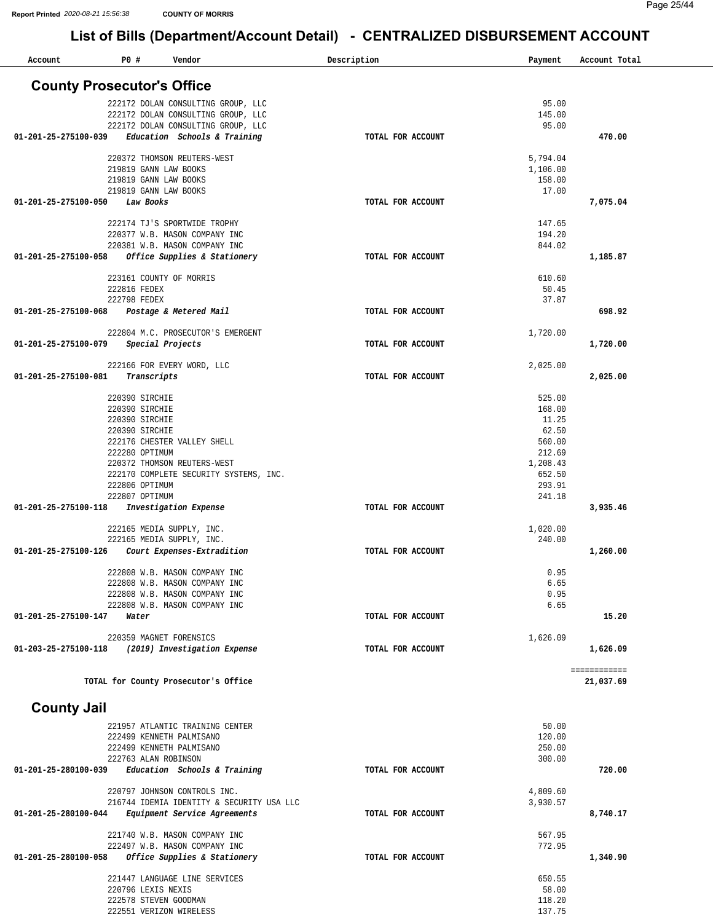| Account                           | P0 #                             | Vendor                                                         | Description       | Payment            | Account Total |
|-----------------------------------|----------------------------------|----------------------------------------------------------------|-------------------|--------------------|---------------|
| <b>County Prosecutor's Office</b> |                                  |                                                                |                   |                    |               |
|                                   |                                  | 222172 DOLAN CONSULTING GROUP, LLC                             |                   | 95.00              |               |
|                                   |                                  | 222172 DOLAN CONSULTING GROUP, LLC                             |                   | 145.00             |               |
|                                   |                                  | 222172 DOLAN CONSULTING GROUP, LLC                             |                   | 95.00              |               |
| 01-201-25-275100-039              |                                  | Education Schools & Training                                   | TOTAL FOR ACCOUNT |                    | 470.00        |
|                                   |                                  |                                                                |                   |                    |               |
|                                   |                                  | 220372 THOMSON REUTERS-WEST                                    |                   | 5,794.04           |               |
|                                   |                                  | 219819 GANN LAW BOOKS<br>219819 GANN LAW BOOKS                 |                   | 1,106.00<br>158.00 |               |
|                                   |                                  | 219819 GANN LAW BOOKS                                          |                   | 17.00              |               |
| 01-201-25-275100-050              | Law Books                        |                                                                | TOTAL FOR ACCOUNT |                    | 7,075.04      |
|                                   |                                  |                                                                |                   |                    |               |
|                                   |                                  | 222174 TJ'S SPORTWIDE TROPHY                                   |                   | 147.65             |               |
|                                   |                                  | 220377 W.B. MASON COMPANY INC<br>220381 W.B. MASON COMPANY INC |                   | 194.20<br>844.02   |               |
| 01-201-25-275100-058              |                                  | Office Supplies & Stationery                                   | TOTAL FOR ACCOUNT |                    | 1,185.87      |
|                                   |                                  |                                                                |                   |                    |               |
|                                   |                                  | 223161 COUNTY OF MORRIS                                        |                   | 610.60             |               |
|                                   | 222816 FEDEX                     |                                                                |                   | 50.45              |               |
|                                   | 222798 FEDEX                     |                                                                |                   | 37.87              |               |
| 01-201-25-275100-068              |                                  | Postage & Metered Mail                                         | TOTAL FOR ACCOUNT |                    | 698.92        |
|                                   |                                  | 222804 M.C. PROSECUTOR'S EMERGENT                              |                   | 1,720.00           |               |
| 01-201-25-275100-079              |                                  | Special Projects                                               | TOTAL FOR ACCOUNT |                    | 1,720.00      |
|                                   |                                  |                                                                |                   |                    |               |
|                                   |                                  | 222166 FOR EVERY WORD, LLC                                     |                   | 2,025.00           |               |
| $01 - 201 - 25 - 275100 - 081$    | Transcripts                      |                                                                | TOTAL FOR ACCOUNT |                    | 2,025.00      |
|                                   |                                  |                                                                |                   |                    |               |
|                                   | 220390 SIRCHIE<br>220390 SIRCHIE |                                                                |                   | 525.00<br>168.00   |               |
|                                   | 220390 SIRCHIE                   |                                                                |                   | 11.25              |               |
|                                   | 220390 SIRCHIE                   |                                                                |                   | 62.50              |               |
|                                   |                                  | 222176 CHESTER VALLEY SHELL                                    |                   | 560.00             |               |
|                                   | 222280 OPTIMUM                   |                                                                |                   | 212.69             |               |
|                                   |                                  | 220372 THOMSON REUTERS-WEST                                    |                   | 1,208.43           |               |
|                                   |                                  | 222170 COMPLETE SECURITY SYSTEMS, INC.                         |                   | 652.50             |               |
|                                   | 222806 OPTIMUM                   |                                                                |                   | 293.91             |               |
| 01-201-25-275100-118              | 222807 OPTIMUM                   | Investigation Expense                                          | TOTAL FOR ACCOUNT | 241.18             | 3,935.46      |
|                                   |                                  |                                                                |                   |                    |               |
|                                   |                                  | 222165 MEDIA SUPPLY, INC.                                      |                   | 1,020.00           |               |
|                                   |                                  | 222165 MEDIA SUPPLY, INC.                                      |                   | 240.00             |               |
| $01 - 201 - 25 - 275100 - 126$    |                                  | Court Expenses-Extradition                                     | TOTAL FOR ACCOUNT |                    | 1,260.00      |
|                                   |                                  | 222808 W.B. MASON COMPANY INC                                  |                   | 0.95               |               |
|                                   |                                  | 222808 W.B. MASON COMPANY INC                                  |                   | 6.65               |               |
|                                   |                                  | 222808 W.B. MASON COMPANY INC                                  |                   | 0.95               |               |
|                                   |                                  | 222808 W.B. MASON COMPANY INC                                  |                   | 6.65               |               |
| 01-201-25-275100-147              | Water                            |                                                                | TOTAL FOR ACCOUNT |                    | 15.20         |
|                                   |                                  | 220359 MAGNET FORENSICS                                        |                   | 1,626.09           |               |
| 01-203-25-275100-118              |                                  | (2019) Investigation Expense                                   | TOTAL FOR ACCOUNT |                    | 1,626.09      |
|                                   |                                  |                                                                |                   |                    |               |
|                                   |                                  |                                                                |                   |                    | ============  |
|                                   |                                  | TOTAL for County Prosecutor's Office                           |                   |                    | 21,037.69     |
|                                   |                                  |                                                                |                   |                    |               |
| <b>County Jail</b>                |                                  |                                                                |                   |                    |               |
|                                   |                                  | 221957 ATLANTIC TRAINING CENTER                                |                   | 50.00              |               |
|                                   |                                  | 222499 KENNETH PALMISANO                                       |                   | 120.00             |               |
|                                   |                                  | 222499 KENNETH PALMISANO                                       |                   | 250.00             |               |
| 01-201-25-280100-039              |                                  | 222763 ALAN ROBINSON                                           | TOTAL FOR ACCOUNT | 300.00             | 720.00        |
|                                   |                                  | Education Schools & Training                                   |                   |                    |               |
|                                   |                                  | 220797 JOHNSON CONTROLS INC.                                   |                   | 4,809.60           |               |
|                                   |                                  | 216744 IDEMIA IDENTITY & SECURITY USA LLC                      |                   | 3,930.57           |               |
| 01-201-25-280100-044              |                                  | Equipment Service Agreements                                   | TOTAL FOR ACCOUNT |                    | 8,740.17      |
|                                   |                                  |                                                                |                   | 567.95             |               |
|                                   |                                  | 221740 W.B. MASON COMPANY INC<br>222497 W.B. MASON COMPANY INC |                   | 772.95             |               |
| 01-201-25-280100-058              |                                  | Office Supplies & Stationery                                   | TOTAL FOR ACCOUNT |                    | 1,340.90      |
|                                   |                                  |                                                                |                   |                    |               |
|                                   |                                  | 221447 LANGUAGE LINE SERVICES                                  |                   | 650.55             |               |
|                                   | 220796 LEXIS NEXIS               |                                                                |                   | 58.00              |               |
|                                   |                                  | 222578 STEVEN GOODMAN                                          |                   | 118.20             |               |
|                                   |                                  | 222551 VERIZON WIRELESS                                        |                   | 137.75             |               |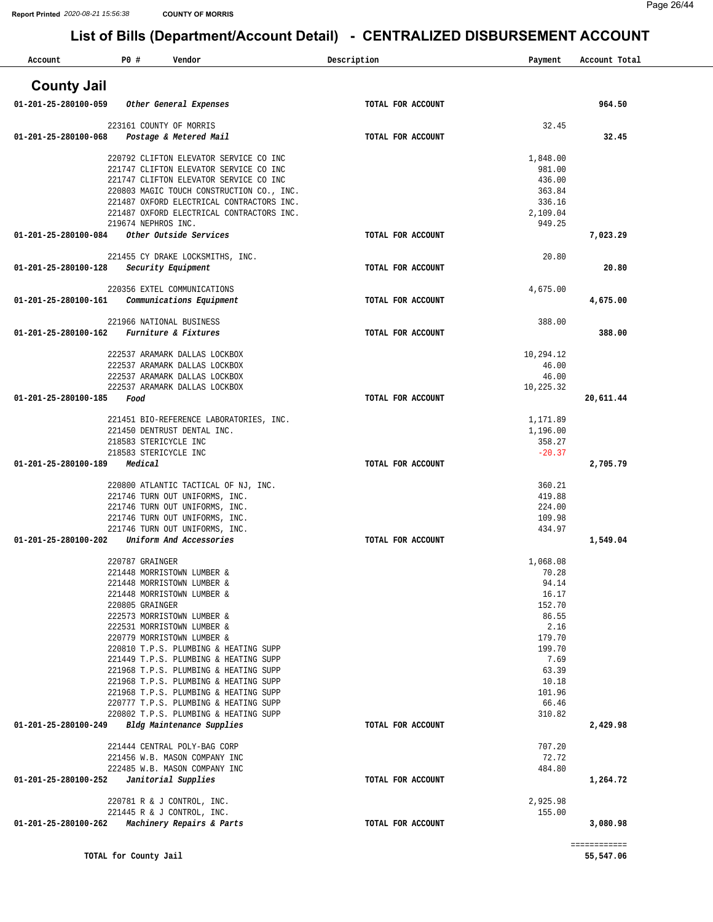| Account                        | P0 #                  | Vendor                                                                                 | Description       | Payment            | Account Total |
|--------------------------------|-----------------------|----------------------------------------------------------------------------------------|-------------------|--------------------|---------------|
| <b>County Jail</b>             |                       |                                                                                        |                   |                    |               |
| $01 - 201 - 25 - 280100 - 059$ |                       | Other General Expenses                                                                 | TOTAL FOR ACCOUNT |                    | 964.50        |
|                                |                       | 223161 COUNTY OF MORRIS                                                                |                   | 32.45              |               |
| 01-201-25-280100-068           |                       | Postage & Metered Mail                                                                 | TOTAL FOR ACCOUNT |                    | 32.45         |
|                                |                       | 220792 CLIFTON ELEVATOR SERVICE CO INC                                                 |                   | 1,848.00           |               |
|                                |                       | 221747 CLIFTON ELEVATOR SERVICE CO INC<br>221747 CLIFTON ELEVATOR SERVICE CO INC       |                   | 981.00<br>436.00   |               |
|                                |                       | 220803 MAGIC TOUCH CONSTRUCTION CO., INC.                                              |                   | 363.84             |               |
|                                |                       | 221487 OXFORD ELECTRICAL CONTRACTORS INC.<br>221487 OXFORD ELECTRICAL CONTRACTORS INC. |                   | 336.16<br>2,109.04 |               |
|                                | 219674 NEPHROS INC.   |                                                                                        |                   | 949.25             |               |
| 01-201-25-280100-084           |                       | Other Outside Services                                                                 | TOTAL FOR ACCOUNT |                    | 7,023.29      |
|                                |                       | 221455 CY DRAKE LOCKSMITHS, INC.                                                       |                   | 20.80              |               |
| 01-201-25-280100-128           |                       | Security Equipment                                                                     | TOTAL FOR ACCOUNT |                    | 20.80         |
|                                |                       | 220356 EXTEL COMMUNICATIONS                                                            |                   | 4,675.00           |               |
| 01-201-25-280100-161           |                       | Communications Equipment                                                               | TOTAL FOR ACCOUNT |                    | 4,675.00      |
|                                |                       | 221966 NATIONAL BUSINESS                                                               |                   | 388.00             |               |
| 01-201-25-280100-162           |                       | Furniture & Fixtures                                                                   | TOTAL FOR ACCOUNT |                    | 388.00        |
|                                |                       | 222537 ARAMARK DALLAS LOCKBOX                                                          |                   | 10,294.12          |               |
|                                |                       | 222537 ARAMARK DALLAS LOCKBOX<br>222537 ARAMARK DALLAS LOCKBOX                         |                   | 46.00<br>46.00     |               |
|                                |                       | 222537 ARAMARK DALLAS LOCKBOX                                                          |                   | 10,225.32          |               |
| 01-201-25-280100-185           | Food                  |                                                                                        | TOTAL FOR ACCOUNT |                    | 20,611.44     |
|                                |                       | 221451 BIO-REFERENCE LABORATORIES, INC.                                                |                   | 1,171.89           |               |
|                                | 218583 STERICYCLE INC | 221450 DENTRUST DENTAL INC.                                                            |                   | 1,196.00<br>358.27 |               |
|                                | 218583 STERICYCLE INC |                                                                                        |                   | $-20.37$           |               |
| 01-201-25-280100-189           | Medical               |                                                                                        | TOTAL FOR ACCOUNT |                    | 2,705.79      |
|                                |                       | 220800 ATLANTIC TACTICAL OF NJ, INC.                                                   |                   | 360.21             |               |
|                                |                       | 221746 TURN OUT UNIFORMS, INC.<br>221746 TURN OUT UNIFORMS, INC.                       |                   | 419.88<br>224.00   |               |
|                                |                       | 221746 TURN OUT UNIFORMS, INC.                                                         |                   | 109.98             |               |
| 01-201-25-280100-202           |                       | 221746 TURN OUT UNIFORMS, INC.<br>Uniform And Accessories                              | TOTAL FOR ACCOUNT | 434.97             | 1,549.04      |
|                                |                       |                                                                                        |                   |                    |               |
|                                | 220787 GRAINGER       | 221448 MORRISTOWN LUMBER &                                                             |                   | 1,068.08<br>70.28  |               |
|                                |                       | 221448 MORRISTOWN LUMBER &                                                             |                   | 94.14              |               |
|                                |                       | 221448 MORRISTOWN LUMBER &                                                             |                   | 16.17              |               |
|                                | 220805 GRAINGER       | 222573 MORRISTOWN LUMBER &                                                             |                   | 152.70<br>86.55    |               |
|                                |                       | 222531 MORRISTOWN LUMBER &                                                             |                   | 2.16               |               |
|                                |                       | 220779 MORRISTOWN LUMBER &<br>220810 T.P.S. PLUMBING & HEATING SUPP                    |                   | 179.70<br>199.70   |               |
|                                |                       | 221449 T.P.S. PLUMBING & HEATING SUPP                                                  |                   | 7.69               |               |
|                                |                       | 221968 T.P.S. PLUMBING & HEATING SUPP<br>221968 T.P.S. PLUMBING & HEATING SUPP         |                   | 63.39<br>10.18     |               |
|                                |                       | 221968 T.P.S. PLUMBING & HEATING SUPP                                                  |                   | 101.96             |               |
|                                |                       | 220777 T.P.S. PLUMBING & HEATING SUPP<br>220802 T.P.S. PLUMBING & HEATING SUPP         |                   | 66.46<br>310.82    |               |
| 01-201-25-280100-249           |                       | Bldg Maintenance Supplies                                                              | TOTAL FOR ACCOUNT |                    | 2,429.98      |
|                                |                       | 221444 CENTRAL POLY-BAG CORP                                                           |                   | 707.20             |               |
|                                |                       | 221456 W.B. MASON COMPANY INC                                                          |                   | 72.72              |               |
| 01-201-25-280100-252           |                       | 222485 W.B. MASON COMPANY INC<br>Janitorial Supplies                                   | TOTAL FOR ACCOUNT | 484.80             | 1,264.72      |
|                                |                       |                                                                                        |                   |                    |               |
|                                |                       | 220781 R & J CONTROL, INC.<br>221445 R & J CONTROL, INC.                               |                   | 2,925.98<br>155.00 |               |
| 01-201-25-280100-262           |                       | Machinery Repairs & Parts                                                              | TOTAL FOR ACCOUNT |                    | 3,080.98      |
|                                |                       |                                                                                        |                   |                    | ============  |
|                                | TOTAL for County Jail |                                                                                        |                   |                    | 55,547.06     |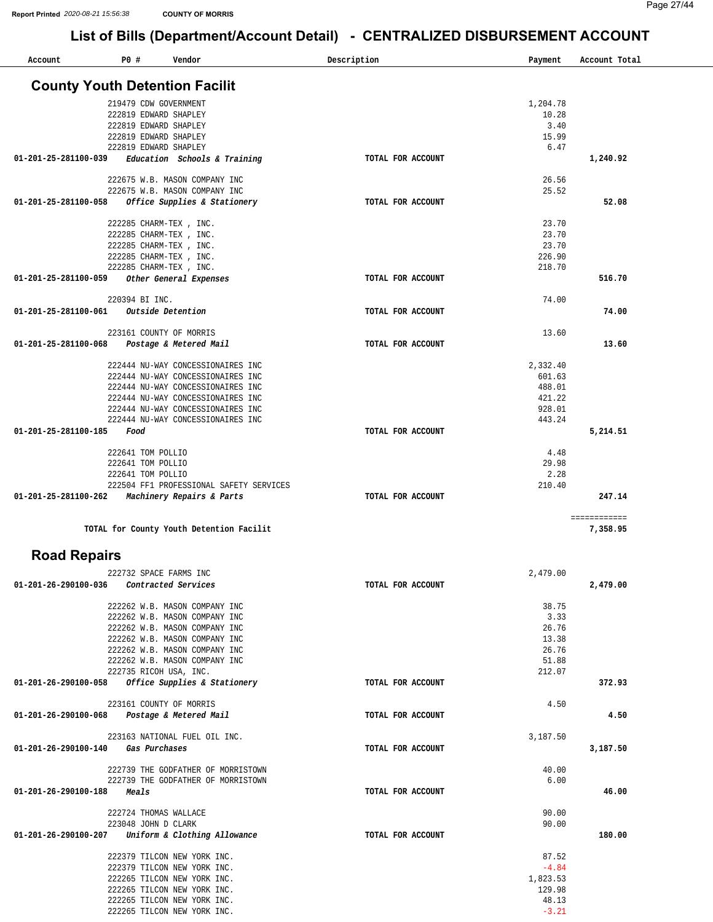| Account                        | P0#            | Vendor                                   | Description       | Payment  | Account Total |
|--------------------------------|----------------|------------------------------------------|-------------------|----------|---------------|
|                                |                | <b>County Youth Detention Facilit</b>    |                   |          |               |
|                                |                | 219479 CDW GOVERNMENT                    |                   | 1,204.78 |               |
|                                |                | 222819 EDWARD SHAPLEY                    |                   | 10.28    |               |
|                                |                | 222819 EDWARD SHAPLEY                    |                   | 3.40     |               |
|                                |                | 222819 EDWARD SHAPLEY                    |                   | 15.99    |               |
|                                |                | 222819 EDWARD SHAPLEY                    |                   | 6.47     |               |
| 01-201-25-281100-039           |                | Education Schools & Training             | TOTAL FOR ACCOUNT |          | 1,240.92      |
|                                |                | 222675 W.B. MASON COMPANY INC            |                   | 26.56    |               |
|                                |                | 222675 W.B. MASON COMPANY INC            |                   | 25.52    |               |
| 01-201-25-281100-058           |                | Office Supplies & Stationery             | TOTAL FOR ACCOUNT |          | 52.08         |
|                                |                | 222285 CHARM-TEX , INC.                  |                   | 23.70    |               |
|                                |                | 222285 CHARM-TEX, INC.                   |                   | 23.70    |               |
|                                |                | 222285 CHARM-TEX , INC.                  |                   | 23.70    |               |
|                                |                | 222285 CHARM-TEX, INC.                   |                   | 226.90   |               |
|                                |                | 222285 CHARM-TEX , INC.                  |                   | 218.70   |               |
| 01-201-25-281100-059           |                | Other General Expenses                   | TOTAL FOR ACCOUNT |          | 516.70        |
|                                | 220394 BI INC. |                                          |                   | 74.00    |               |
| $01 - 201 - 25 - 281100 - 061$ |                | Outside Detention                        | TOTAL FOR ACCOUNT |          | 74.00         |
|                                |                | 223161 COUNTY OF MORRIS                  |                   | 13.60    |               |
| 01-201-25-281100-068           |                | Postage & Metered Mail                   | TOTAL FOR ACCOUNT |          | 13.60         |
|                                |                | 222444 NU-WAY CONCESSIONAIRES INC        |                   | 2,332.40 |               |
|                                |                | 222444 NU-WAY CONCESSIONAIRES INC        |                   | 601.63   |               |
|                                |                | 222444 NU-WAY CONCESSIONAIRES INC        |                   | 488.01   |               |
|                                |                | 222444 NU-WAY CONCESSIONAIRES INC        |                   | 421.22   |               |
|                                |                | 222444 NU-WAY CONCESSIONAIRES INC        |                   | 928.01   |               |
|                                |                | 222444 NU-WAY CONCESSIONAIRES INC        |                   | 443.24   |               |
| 01-201-25-281100-185           | Food           |                                          | TOTAL FOR ACCOUNT |          | 5,214.51      |
|                                |                | 222641 TOM POLLIO                        |                   | 4.48     |               |
|                                |                | 222641 TOM POLLIO                        |                   | 29.98    |               |
|                                |                | 222641 TOM POLLIO                        |                   | 2.28     |               |
|                                |                | 222504 FF1 PROFESSIONAL SAFETY SERVICES  |                   | 210.40   |               |
| 01-201-25-281100-262           |                | Machinery Repairs & Parts                | TOTAL FOR ACCOUNT |          | 247.14        |
|                                |                |                                          |                   |          | ============  |
|                                |                | TOTAL for County Youth Detention Facilit |                   |          | 7,358.95      |

#### **Road Repairs**

| 222732 SPACE FARMS INC                               |                   | 2,479.00 |          |
|------------------------------------------------------|-------------------|----------|----------|
| 01-201-26-290100-036<br>Contracted Services          | TOTAL FOR ACCOUNT |          | 2,479.00 |
| 222262 W.B. MASON COMPANY INC                        |                   | 38.75    |          |
| 222262 W.B. MASON COMPANY INC                        |                   | 3.33     |          |
| 222262 W.B. MASON COMPANY INC                        |                   | 26.76    |          |
| 222262 W.B. MASON COMPANY INC                        |                   | 13.38    |          |
| 222262 W.B. MASON COMPANY INC                        |                   | 26.76    |          |
| 222262 W.B. MASON COMPANY INC                        |                   | 51.88    |          |
| 222735 RICOH USA, INC.                               |                   | 212.07   |          |
| Office Supplies & Stationery<br>01-201-26-290100-058 | TOTAL FOR ACCOUNT |          | 372.93   |
| 223161 COUNTY OF MORRIS                              |                   | 4.50     |          |
| Postage & Metered Mail<br>01-201-26-290100-068       | TOTAL FOR ACCOUNT |          | 4.50     |
| 223163 NATIONAL FUEL OIL INC.                        |                   | 3,187.50 |          |
|                                                      |                   |          |          |
| 01-201-26-290100-140<br>Gas Purchases                | TOTAL FOR ACCOUNT |          | 3,187.50 |
| 222739 THE GODFATHER OF MORRISTOWN                   |                   | 40.00    |          |
| 222739 THE GODFATHER OF MORRISTOWN                   |                   | 6.00     |          |
| 01-201-26-290100-188<br>Meals                        | TOTAL FOR ACCOUNT |          | 46.00    |
| 222724 THOMAS WALLACE                                |                   | 90.00    |          |
| 223048 JOHN D CLARK                                  |                   | 90.00    |          |
| Uniform & Clothing Allowance<br>01-201-26-290100-207 | TOTAL FOR ACCOUNT |          | 180.00   |
| 222379 TILCON NEW YORK INC.                          |                   | 87.52    |          |
| 222379 TILCON NEW YORK INC.                          |                   | $-4.84$  |          |
| 222265 TILCON NEW YORK INC.                          |                   | 1,823.53 |          |
| 222265 TILCON NEW YORK INC.                          |                   | 129.98   |          |
| 222265 TILCON NEW YORK INC.                          |                   | 48.13    |          |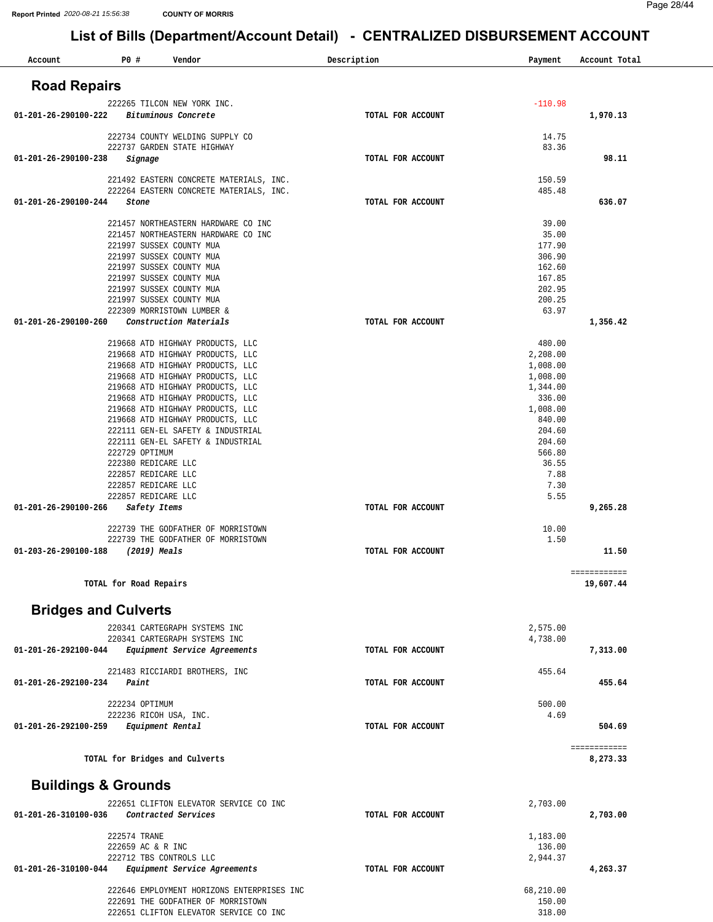| Account                        | P0#                                   | Vendor                                                                             | Description       | Payment              | Account Total             |
|--------------------------------|---------------------------------------|------------------------------------------------------------------------------------|-------------------|----------------------|---------------------------|
| <b>Road Repairs</b>            |                                       |                                                                                    |                   |                      |                           |
|                                |                                       | 222265 TILCON NEW YORK INC.                                                        |                   | $-110.98$            |                           |
| 01-201-26-290100-222           |                                       | Bituminous Concrete                                                                | TOTAL FOR ACCOUNT |                      | 1,970.13                  |
|                                |                                       | 222734 COUNTY WELDING SUPPLY CO                                                    |                   | 14.75                |                           |
| 01-201-26-290100-238           | Signage                               | 222737 GARDEN STATE HIGHWAY                                                        | TOTAL FOR ACCOUNT | 83.36                | 98.11                     |
|                                |                                       |                                                                                    |                   |                      |                           |
|                                |                                       | 221492 EASTERN CONCRETE MATERIALS, INC.<br>222264 EASTERN CONCRETE MATERIALS, INC. |                   | 150.59<br>485.48     |                           |
| 01-201-26-290100-244           | Stone                                 |                                                                                    | TOTAL FOR ACCOUNT |                      | 636.07                    |
|                                |                                       | 221457 NORTHEASTERN HARDWARE CO INC                                                |                   | 39.00                |                           |
|                                |                                       | 221457 NORTHEASTERN HARDWARE CO INC                                                |                   | 35.00                |                           |
|                                |                                       | 221997 SUSSEX COUNTY MUA<br>221997 SUSSEX COUNTY MUA                               |                   | 177.90<br>306.90     |                           |
|                                |                                       | 221997 SUSSEX COUNTY MUA                                                           |                   | 162.60               |                           |
|                                |                                       | 221997 SUSSEX COUNTY MUA                                                           |                   | 167.85               |                           |
|                                |                                       | 221997 SUSSEX COUNTY MUA<br>221997 SUSSEX COUNTY MUA                               |                   | 202.95<br>200.25     |                           |
|                                |                                       | 222309 MORRISTOWN LUMBER &                                                         |                   | 63.97                |                           |
| 01-201-26-290100-260           |                                       | Construction Materials                                                             | TOTAL FOR ACCOUNT |                      | 1,356.42                  |
|                                |                                       | 219668 ATD HIGHWAY PRODUCTS, LLC                                                   |                   | 480.00               |                           |
|                                |                                       | 219668 ATD HIGHWAY PRODUCTS, LLC                                                   |                   | 2,208.00             |                           |
|                                |                                       | 219668 ATD HIGHWAY PRODUCTS, LLC<br>219668 ATD HIGHWAY PRODUCTS, LLC               |                   | 1,008.00<br>1,008.00 |                           |
|                                |                                       | 219668 ATD HIGHWAY PRODUCTS, LLC                                                   |                   | 1,344.00             |                           |
|                                |                                       | 219668 ATD HIGHWAY PRODUCTS, LLC                                                   |                   | 336.00               |                           |
|                                |                                       | 219668 ATD HIGHWAY PRODUCTS, LLC<br>219668 ATD HIGHWAY PRODUCTS, LLC               |                   | 1,008.00<br>840.00   |                           |
|                                |                                       | 222111 GEN-EL SAFETY & INDUSTRIAL                                                  |                   | 204.60               |                           |
|                                |                                       | 222111 GEN-EL SAFETY & INDUSTRIAL                                                  |                   | 204.60               |                           |
|                                | 222729 OPTIMUM<br>222380 REDICARE LLC |                                                                                    |                   | 566.80<br>36.55      |                           |
|                                | 222857 REDICARE LLC                   |                                                                                    |                   | 7.88                 |                           |
|                                | 222857 REDICARE LLC                   |                                                                                    |                   | 7.30                 |                           |
| 01-201-26-290100-266           | 222857 REDICARE LLC<br>Safety Items   |                                                                                    | TOTAL FOR ACCOUNT | 5.55                 | 9,265.28                  |
|                                |                                       | 222739 THE GODFATHER OF MORRISTOWN                                                 |                   | 10.00                |                           |
|                                |                                       | 222739 THE GODFATHER OF MORRISTOWN                                                 |                   | 1.50                 |                           |
| 01-203-26-290100-188           | (2019) Meals                          |                                                                                    | TOTAL FOR ACCOUNT |                      | 11.50                     |
|                                | TOTAL for Road Repairs                |                                                                                    |                   |                      | ============<br>19,607.44 |
| <b>Bridges and Culverts</b>    |                                       |                                                                                    |                   |                      |                           |
|                                |                                       | 220341 CARTEGRAPH SYSTEMS INC                                                      |                   |                      |                           |
|                                |                                       | 220341 CARTEGRAPH SYSTEMS INC                                                      |                   | 2,575.00<br>4,738.00 |                           |
| 01-201-26-292100-044           |                                       | Equipment Service Agreements                                                       | TOTAL FOR ACCOUNT |                      | 7,313.00                  |
|                                |                                       | 221483 RICCIARDI BROTHERS, INC                                                     |                   | 455.64               |                           |
| 01-201-26-292100-234           | Paint                                 |                                                                                    | TOTAL FOR ACCOUNT |                      | 455.64                    |
|                                | 222234 OPTIMUM                        |                                                                                    |                   | 500.00               |                           |
|                                |                                       | 222236 RICOH USA, INC.                                                             |                   | 4.69                 |                           |
| 01-201-26-292100-259           |                                       | Equipment Rental                                                                   | TOTAL FOR ACCOUNT |                      | 504.69                    |
|                                |                                       | TOTAL for Bridges and Culverts                                                     |                   |                      | ============<br>8,273.33  |
|                                |                                       |                                                                                    |                   |                      |                           |
| <b>Buildings &amp; Grounds</b> |                                       |                                                                                    |                   |                      |                           |
| 01-201-26-310100-036           |                                       | 222651 CLIFTON ELEVATOR SERVICE CO INC<br>Contracted Services                      | TOTAL FOR ACCOUNT | 2,703.00             | 2,703.00                  |
|                                | 222574 TRANE                          |                                                                                    |                   | 1,183.00             |                           |
|                                | 222659 AC & R INC                     |                                                                                    |                   | 136.00               |                           |
| 01-201-26-310100-044           |                                       | 222712 TBS CONTROLS LLC<br><i>Equipment Service Agreements</i>                     | TOTAL FOR ACCOUNT | 2,944.37             | 4,263.37                  |
|                                |                                       |                                                                                    |                   |                      |                           |
|                                |                                       | 222646 EMPLOYMENT HORIZONS ENTERPRISES INC                                         |                   | 68,210.00            |                           |
|                                |                                       | 222691 THE GODFATHER OF MORRISTOWN<br>222651 CLIFTON ELEVATOR SERVICE CO INC       |                   | 150.00<br>318.00     |                           |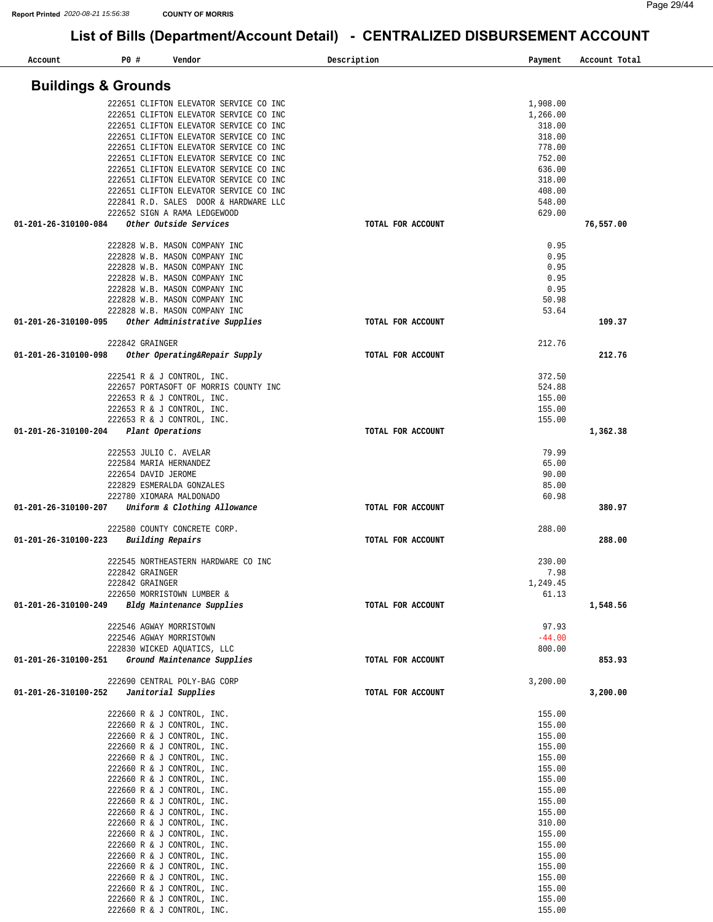| Account                        | P0 # |                     | Vendor                                 | Description |                   | Payment  | Account Total |
|--------------------------------|------|---------------------|----------------------------------------|-------------|-------------------|----------|---------------|
| <b>Buildings &amp; Grounds</b> |      |                     |                                        |             |                   |          |               |
|                                |      |                     | 222651 CLIFTON ELEVATOR SERVICE CO INC |             |                   | 1,908.00 |               |
|                                |      |                     | 222651 CLIFTON ELEVATOR SERVICE CO INC |             |                   | 1,266.00 |               |
|                                |      |                     | 222651 CLIFTON ELEVATOR SERVICE CO INC |             |                   | 318.00   |               |
|                                |      |                     | 222651 CLIFTON ELEVATOR SERVICE CO INC |             |                   | 318.00   |               |
|                                |      |                     | 222651 CLIFTON ELEVATOR SERVICE CO INC |             |                   | 778.00   |               |
|                                |      |                     | 222651 CLIFTON ELEVATOR SERVICE CO INC |             |                   | 752.00   |               |
|                                |      |                     | 222651 CLIFTON ELEVATOR SERVICE CO INC |             |                   | 636.00   |               |
|                                |      |                     | 222651 CLIFTON ELEVATOR SERVICE CO INC |             |                   | 318.00   |               |
|                                |      |                     | 222651 CLIFTON ELEVATOR SERVICE CO INC |             |                   | 408.00   |               |
|                                |      |                     | 222841 R.D. SALES DOOR & HARDWARE LLC  |             |                   | 548.00   |               |
|                                |      |                     | 222652 SIGN A RAMA LEDGEWOOD           |             |                   | 629.00   |               |
| 01-201-26-310100-084           |      |                     | Other Outside Services                 |             | TOTAL FOR ACCOUNT |          | 76,557.00     |
|                                |      |                     | 222828 W.B. MASON COMPANY INC          |             |                   | 0.95     |               |
|                                |      |                     | 222828 W.B. MASON COMPANY INC          |             |                   | 0.95     |               |
|                                |      |                     | 222828 W.B. MASON COMPANY INC          |             |                   | 0.95     |               |
|                                |      |                     | 222828 W.B. MASON COMPANY INC          |             |                   | 0.95     |               |
|                                |      |                     | 222828 W.B. MASON COMPANY INC          |             |                   | 0.95     |               |
|                                |      |                     | 222828 W.B. MASON COMPANY INC          |             |                   | 50.98    |               |
|                                |      |                     | 222828 W.B. MASON COMPANY INC          |             |                   | 53.64    |               |
| 01-201-26-310100-095           |      |                     | Other Administrative Supplies          |             | TOTAL FOR ACCOUNT |          | 109.37        |
|                                |      |                     |                                        |             |                   |          |               |
|                                |      | 222842 GRAINGER     |                                        |             |                   | 212.76   |               |
| 01-201-26-310100-098           |      |                     | Other Operating&Repair Supply          |             | TOTAL FOR ACCOUNT |          | 212.76        |
|                                |      |                     |                                        |             |                   |          |               |
|                                |      |                     | 222541 R & J CONTROL, INC.             |             |                   | 372.50   |               |
|                                |      |                     | 222657 PORTASOFT OF MORRIS COUNTY INC  |             |                   | 524.88   |               |
|                                |      |                     | 222653 R & J CONTROL, INC.             |             |                   | 155.00   |               |
|                                |      |                     | 222653 R & J CONTROL, INC.             |             |                   | 155.00   |               |
|                                |      |                     | 222653 R & J CONTROL, INC.             |             |                   | 155.00   |               |
| 01-201-26-310100-204           |      |                     | Plant Operations                       |             | TOTAL FOR ACCOUNT |          | 1,362.38      |
|                                |      |                     | 222553 JULIO C. AVELAR                 |             |                   | 79.99    |               |
|                                |      |                     | 222584 MARIA HERNANDEZ                 |             |                   | 65.00    |               |
|                                |      | 222654 DAVID JEROME |                                        |             |                   | 90.00    |               |
|                                |      |                     | 222829 ESMERALDA GONZALES              |             |                   | 85.00    |               |
|                                |      |                     | 222780 XIOMARA MALDONADO               |             |                   | 60.98    |               |
| 01-201-26-310100-207           |      |                     | Uniform & Clothing Allowance           |             | TOTAL FOR ACCOUNT |          | 380.97        |
|                                |      |                     | 222580 COUNTY CONCRETE CORP.           |             |                   | 288.00   |               |
| 01-201-26-310100-223           |      |                     | Building Repairs                       |             | TOTAL FOR ACCOUNT |          | 288.00        |
|                                |      |                     |                                        |             |                   |          |               |
|                                |      |                     | 222545 NORTHEASTERN HARDWARE CO INC    |             |                   | 230.00   |               |
|                                |      | 222842 GRAINGER     |                                        |             |                   | 7.98     |               |
|                                |      | 222842 GRAINGER     |                                        |             |                   | 1,249.45 |               |
|                                |      |                     | 222650 MORRISTOWN LUMBER &             |             |                   | 61.13    |               |
| 01-201-26-310100-249           |      |                     | Bldg Maintenance Supplies              |             | TOTAL FOR ACCOUNT |          | 1,548.56      |
|                                |      |                     | 222546 AGWAY MORRISTOWN                |             |                   | 97.93    |               |
|                                |      |                     | 222546 AGWAY MORRISTOWN                |             |                   | $-44.00$ |               |
|                                |      |                     | 222830 WICKED AQUATICS, LLC            |             |                   | 800.00   |               |
| 01-201-26-310100-251           |      |                     | Ground Maintenance Supplies            |             | TOTAL FOR ACCOUNT |          | 853.93        |
|                                |      |                     |                                        |             |                   |          |               |
|                                |      |                     | 222690 CENTRAL POLY-BAG CORP           |             |                   | 3,200.00 |               |
| 01-201-26-310100-252           |      |                     | Janitorial Supplies                    |             | TOTAL FOR ACCOUNT |          | 3,200.00      |
|                                |      |                     |                                        |             |                   |          |               |
|                                |      |                     | 222660 R & J CONTROL, INC.             |             |                   | 155.00   |               |
|                                |      |                     | 222660 R & J CONTROL, INC.             |             |                   | 155.00   |               |
|                                |      |                     | 222660 R & J CONTROL, INC.             |             |                   | 155.00   |               |
|                                |      |                     | 222660 R & J CONTROL, INC.             |             |                   | 155.00   |               |
|                                |      |                     | 222660 R & J CONTROL, INC.             |             |                   | 155.00   |               |
|                                |      |                     | 222660 R & J CONTROL, INC.             |             |                   | 155.00   |               |
|                                |      |                     | 222660 R & J CONTROL, INC.             |             |                   | 155.00   |               |
|                                |      |                     | 222660 R & J CONTROL, INC.             |             |                   | 155.00   |               |
|                                |      |                     | 222660 R & J CONTROL, INC.             |             |                   | 155.00   |               |
|                                |      |                     | 222660 R & J CONTROL, INC.             |             |                   | 155.00   |               |
|                                |      |                     | 222660 R & J CONTROL, INC.             |             |                   | 310.00   |               |
|                                |      |                     | 222660 R & J CONTROL, INC.             |             |                   | 155.00   |               |
|                                |      |                     | 222660 R & J CONTROL, INC.             |             |                   | 155.00   |               |
|                                |      |                     | 222660 R & J CONTROL, INC.             |             |                   | 155.00   |               |
|                                |      |                     | 222660 R & J CONTROL, INC.             |             |                   | 155.00   |               |
|                                |      |                     | 222660 R & J CONTROL, INC.             |             |                   | 155.00   |               |
|                                |      |                     | 222660 R & J CONTROL, INC.             |             |                   | 155.00   |               |
|                                |      |                     | 222660 R & J CONTROL, INC.             |             |                   | 155.00   |               |
|                                |      |                     | 222660 R & J CONTROL, INC.             |             |                   | 155.00   |               |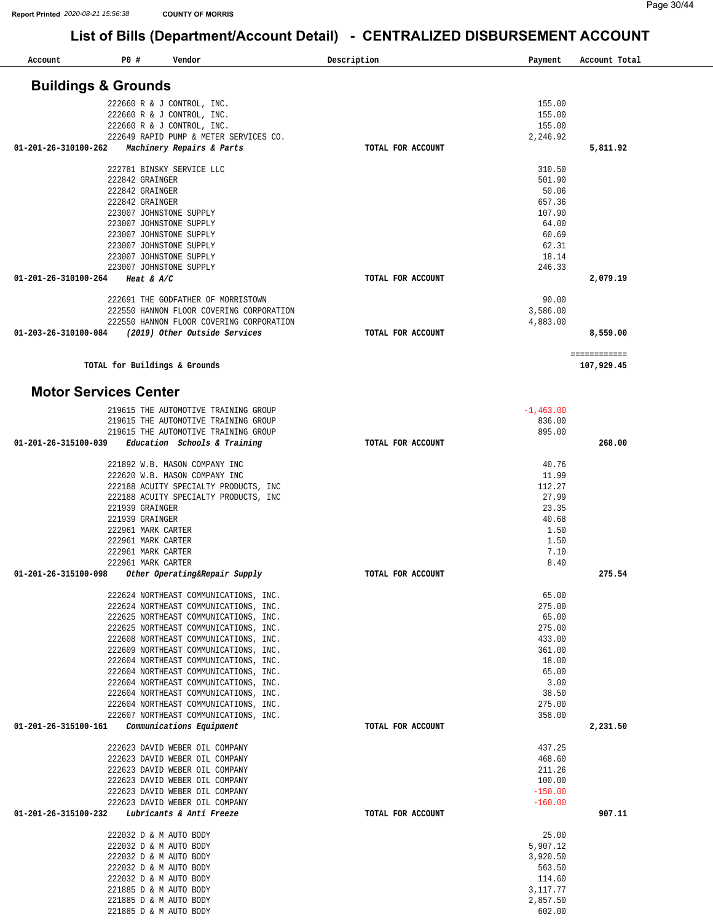| Account              | P0 #<br>Vendor                                                                 | Description<br>Payment |                      | Account Total              |
|----------------------|--------------------------------------------------------------------------------|------------------------|----------------------|----------------------------|
|                      | <b>Buildings &amp; Grounds</b>                                                 |                        |                      |                            |
|                      |                                                                                |                        |                      |                            |
|                      | 222660 R & J CONTROL, INC.                                                     |                        | 155.00               |                            |
|                      | 222660 R & J CONTROL, INC.                                                     |                        | 155.00<br>155.00     |                            |
|                      | 222660 R & J CONTROL, INC.<br>222649 RAPID PUMP & METER SERVICES CO.           |                        | 2,246.92             |                            |
| 01-201-26-310100-262 | Machinery Repairs & Parts                                                      | TOTAL FOR ACCOUNT      |                      | 5,811.92                   |
|                      | 222781 BINSKY SERVICE LLC                                                      |                        | 310.50               |                            |
|                      | 222842 GRAINGER                                                                |                        | 501.90               |                            |
|                      | 222842 GRAINGER                                                                |                        | 50.06                |                            |
|                      | 222842 GRAINGER                                                                |                        | 657.36               |                            |
|                      | 223007 JOHNSTONE SUPPLY                                                        |                        | 107.90               |                            |
|                      | 223007 JOHNSTONE SUPPLY                                                        |                        | 64.00                |                            |
|                      | 223007 JOHNSTONE SUPPLY<br>223007 JOHNSTONE SUPPLY                             |                        | 60.69<br>62.31       |                            |
|                      | 223007 JOHNSTONE SUPPLY                                                        |                        | 18.14                |                            |
|                      | 223007 JOHNSTONE SUPPLY                                                        |                        | 246.33               |                            |
| 01-201-26-310100-264 | Heat & $A/C$                                                                   | TOTAL FOR ACCOUNT      |                      | 2,079.19                   |
|                      |                                                                                |                        |                      |                            |
|                      | 222691 THE GODFATHER OF MORRISTOWN                                             |                        | 90.00                |                            |
|                      | 222550 HANNON FLOOR COVERING CORPORATION                                       |                        | 3,586.00             |                            |
| 01-203-26-310100-084 | 222550 HANNON FLOOR COVERING CORPORATION<br>(2019) Other Outside Services      | TOTAL FOR ACCOUNT      | 4,883.00             | 8,559.00                   |
|                      |                                                                                |                        |                      |                            |
|                      | TOTAL for Buildings & Grounds                                                  |                        |                      | ============<br>107,929.45 |
|                      | <b>Motor Services Center</b>                                                   |                        |                      |                            |
|                      | 219615 THE AUTOMOTIVE TRAINING GROUP                                           | $-1,463.00$            |                      |                            |
|                      | 219615 THE AUTOMOTIVE TRAINING GROUP                                           |                        | 836.00               |                            |
|                      | 219615 THE AUTOMOTIVE TRAINING GROUP                                           |                        | 895.00               |                            |
| 01-201-26-315100-039 | Education Schools & Training                                                   | TOTAL FOR ACCOUNT      |                      | 268.00                     |
|                      |                                                                                |                        |                      |                            |
|                      | 221892 W.B. MASON COMPANY INC                                                  |                        | 40.76<br>11.99       |                            |
|                      | 222620 W.B. MASON COMPANY INC<br>222188 ACUITY SPECIALTY PRODUCTS, INC         |                        | 112.27               |                            |
|                      | 222188 ACUITY SPECIALTY PRODUCTS, INC                                          |                        | 27.99                |                            |
|                      | 221939 GRAINGER                                                                |                        | 23.35                |                            |
|                      | 221939 GRAINGER                                                                |                        | 40.68                |                            |
|                      | 222961 MARK CARTER                                                             |                        | 1.50                 |                            |
|                      | 222961 MARK CARTER                                                             |                        | 1.50                 |                            |
|                      | 222961 MARK CARTER<br>222961 MARK CARTER                                       |                        | 7.10<br>8.40         |                            |
| 01-201-26-315100-098 | Other Operating&Repair Supply                                                  | TOTAL FOR ACCOUNT      |                      | 275.54                     |
|                      |                                                                                |                        |                      |                            |
|                      | 222624 NORTHEAST COMMUNICATIONS, INC.                                          |                        | 65.00                |                            |
|                      | 222624 NORTHEAST COMMUNICATIONS, INC.<br>222625 NORTHEAST COMMUNICATIONS, INC. |                        | 275.00               |                            |
|                      | 222625 NORTHEAST COMMUNICATIONS, INC.                                          |                        | 65.00<br>275.00      |                            |
|                      | 222608 NORTHEAST COMMUNICATIONS, INC.                                          |                        | 433.00               |                            |
|                      | 222609 NORTHEAST COMMUNICATIONS, INC.                                          |                        | 361.00               |                            |
|                      | 222604 NORTHEAST COMMUNICATIONS, INC.                                          |                        | 18.00                |                            |
|                      | 222604 NORTHEAST COMMUNICATIONS, INC.                                          |                        | 65.00                |                            |
|                      | 222604 NORTHEAST COMMUNICATIONS, INC.                                          |                        | 3.00                 |                            |
|                      | 222604 NORTHEAST COMMUNICATIONS, INC.                                          |                        | 38.50                |                            |
|                      | 222604 NORTHEAST COMMUNICATIONS, INC.<br>222607 NORTHEAST COMMUNICATIONS, INC. |                        | 275.00<br>358.00     |                            |
| 01-201-26-315100-161 | Communications Equipment                                                       | TOTAL FOR ACCOUNT      |                      | 2,231.50                   |
|                      | 222623 DAVID WEBER OIL COMPANY                                                 |                        | 437.25               |                            |
|                      | 222623 DAVID WEBER OIL COMPANY                                                 |                        | 468.60               |                            |
|                      | 222623 DAVID WEBER OIL COMPANY                                                 |                        | 211.26               |                            |
|                      | 222623 DAVID WEBER OIL COMPANY                                                 |                        | 100.00               |                            |
|                      | 222623 DAVID WEBER OIL COMPANY                                                 |                        | $-150.00$            |                            |
| 01-201-26-315100-232 | 222623 DAVID WEBER OIL COMPANY<br>Lubricants & Anti Freeze                     | TOTAL FOR ACCOUNT      | $-160.00$            | 907.11                     |
|                      | 222032 D & M AUTO BODY                                                         |                        | 25.00                |                            |
|                      | 222032 D & M AUTO BODY                                                         |                        | 5,907.12             |                            |
|                      | 222032 D & M AUTO BODY                                                         |                        | 3,920.50             |                            |
|                      | 222032 D & M AUTO BODY                                                         |                        | 563.50               |                            |
|                      | 222032 D & M AUTO BODY                                                         |                        | 114.60               |                            |
|                      | 221885 D & M AUTO BODY                                                         |                        | 3,117.77<br>2,857.50 |                            |
|                      | 221885 D & M AUTO BODY<br>221885 D & M AUTO BODY                               |                        | 602.00               |                            |
|                      |                                                                                |                        |                      |                            |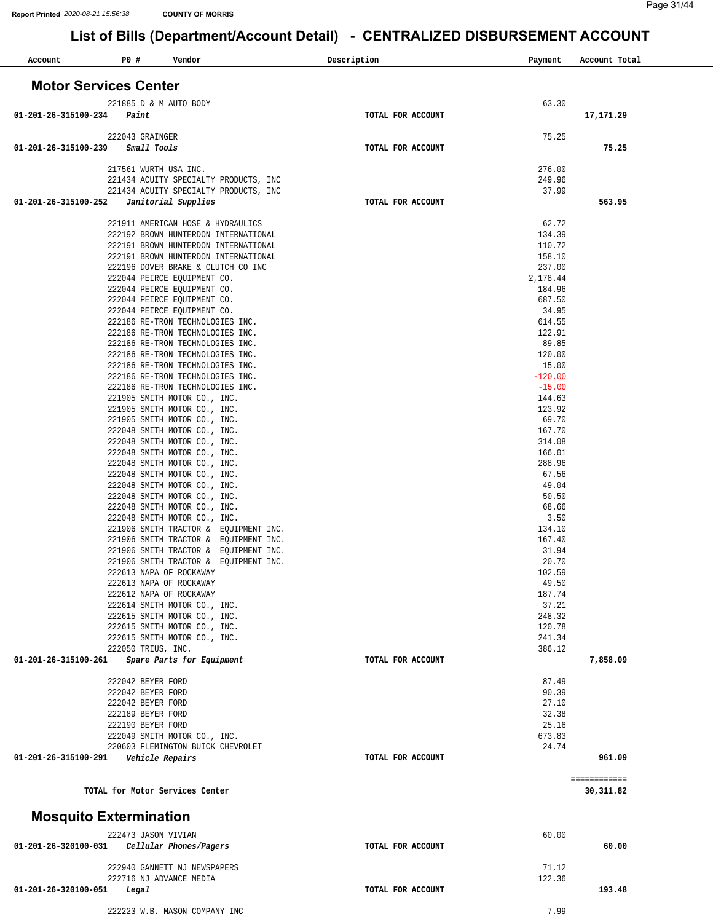| P0#<br>Account<br>Vendor                                                             | Description       | Payment          | Account Total |
|--------------------------------------------------------------------------------------|-------------------|------------------|---------------|
| <b>Motor Services Center</b>                                                         |                   |                  |               |
| 221885 D & M AUTO BODY                                                               |                   | 63.30            |               |
| 01-201-26-315100-234<br>Paint                                                        | TOTAL FOR ACCOUNT |                  | 17,171.29     |
| 222043 GRAINGER                                                                      |                   | 75.25            |               |
| 01-201-26-315100-239<br>Small Tools                                                  | TOTAL FOR ACCOUNT |                  | 75.25         |
| 217561 WURTH USA INC.                                                                |                   | 276.00           |               |
| 221434 ACUITY SPECIALTY PRODUCTS, INC                                                |                   | 249.96           |               |
| 221434 ACUITY SPECIALTY PRODUCTS, INC<br>Janitorial Supplies<br>01-201-26-315100-252 | TOTAL FOR ACCOUNT | 37.99            | 563.95        |
|                                                                                      |                   |                  |               |
| 221911 AMERICAN HOSE & HYDRAULICS                                                    |                   | 62.72            |               |
| 222192 BROWN HUNTERDON INTERNATIONAL<br>222191 BROWN HUNTERDON INTERNATIONAL         |                   | 134.39<br>110.72 |               |
| 222191 BROWN HUNTERDON INTERNATIONAL                                                 |                   | 158.10           |               |
| 222196 DOVER BRAKE & CLUTCH CO INC                                                   |                   | 237.00           |               |
| 222044 PEIRCE EQUIPMENT CO.                                                          |                   | 2,178.44         |               |
| 222044 PEIRCE EQUIPMENT CO.                                                          |                   | 184.96           |               |
| 222044 PEIRCE EQUIPMENT CO.                                                          |                   | 687.50           |               |
| 222044 PEIRCE EQUIPMENT CO.                                                          |                   | 34.95            |               |
| 222186 RE-TRON TECHNOLOGIES INC.                                                     |                   | 614.55           |               |
| 222186 RE-TRON TECHNOLOGIES INC.                                                     |                   | 122.91           |               |
| 222186 RE-TRON TECHNOLOGIES INC.                                                     |                   | 89.85            |               |
| 222186 RE-TRON TECHNOLOGIES INC.<br>222186 RE-TRON TECHNOLOGIES INC.                 |                   | 120.00<br>15.00  |               |
| 222186 RE-TRON TECHNOLOGIES INC.                                                     |                   | $-120.00$        |               |
| 222186 RE-TRON TECHNOLOGIES INC.                                                     |                   | $-15.00$         |               |
| 221905 SMITH MOTOR CO., INC.                                                         |                   | 144.63           |               |
| 221905 SMITH MOTOR CO., INC.                                                         |                   | 123.92           |               |
| 221905 SMITH MOTOR CO., INC.                                                         |                   | 69.70            |               |
| 222048 SMITH MOTOR CO., INC.                                                         |                   | 167.70           |               |
| 222048 SMITH MOTOR CO., INC.                                                         |                   | 314.08           |               |
| 222048 SMITH MOTOR CO., INC.                                                         |                   | 166.01           |               |
| 222048 SMITH MOTOR CO., INC.                                                         |                   | 288.96           |               |
| 222048 SMITH MOTOR CO., INC.<br>222048 SMITH MOTOR CO., INC.                         |                   | 67.56<br>49.04   |               |
| 222048 SMITH MOTOR CO., INC.                                                         |                   | 50.50            |               |
| 222048 SMITH MOTOR CO., INC.                                                         |                   | 68.66            |               |
| 222048 SMITH MOTOR CO., INC.                                                         |                   | 3.50             |               |
| 221906 SMITH TRACTOR & EQUIPMENT INC.                                                |                   | 134.10           |               |
| 221906 SMITH TRACTOR & EQUIPMENT INC.                                                |                   | 167.40           |               |
| 221906 SMITH TRACTOR & EQUIPMENT INC.                                                |                   | 31.94            |               |
| 221906 SMITH TRACTOR & EQUIPMENT INC.                                                |                   | 20.70            |               |
| 222613 NAPA OF ROCKAWAY<br>222613 NAPA OF ROCKAWAY                                   |                   | 102.59           |               |
| 222612 NAPA OF ROCKAWAY                                                              |                   | 49.50<br>187.74  |               |
| 222614 SMITH MOTOR CO., INC.                                                         |                   | 37.21            |               |
| 222615 SMITH MOTOR CO., INC.                                                         |                   | 248.32           |               |
| 222615 SMITH MOTOR CO., INC.                                                         |                   | 120.78           |               |
| 222615 SMITH MOTOR CO., INC.                                                         |                   | 241.34           |               |
| 222050 TRIUS, INC.                                                                   |                   | 386.12           |               |
| 01-201-26-315100-261<br>Spare Parts for Equipment                                    | TOTAL FOR ACCOUNT |                  | 7,858.09      |
| 222042 BEYER FORD                                                                    |                   | 87.49            |               |
| 222042 BEYER FORD                                                                    |                   | 90.39            |               |
| 222042 BEYER FORD                                                                    |                   | 27.10            |               |
| 222189 BEYER FORD                                                                    |                   | 32.38            |               |
| 222190 BEYER FORD                                                                    |                   | 25.16            |               |
| 222049 SMITH MOTOR CO., INC.                                                         |                   | 673.83           |               |
| 220603 FLEMINGTON BUICK CHEVROLET<br>Vehicle Repairs<br>01-201-26-315100-291         | TOTAL FOR ACCOUNT | 24.74            | 961.09        |
|                                                                                      |                   |                  |               |
|                                                                                      |                   |                  | ============  |
| TOTAL for Motor Services Center                                                      |                   |                  | 30, 311.82    |
| <b>Mosquito Extermination</b>                                                        |                   |                  |               |
| 222473 JASON VIVIAN                                                                  |                   | 60.00            |               |
| 01-201-26-320100-031<br>Cellular Phones/Pagers                                       | TOTAL FOR ACCOUNT |                  | 60.00         |
|                                                                                      |                   |                  |               |
| 222940 GANNETT NJ NEWSPAPERS                                                         |                   | 71.12            |               |
| 222716 NJ ADVANCE MEDIA                                                              |                   | 122.36           |               |
| 01-201-26-320100-051<br>Legal                                                        | TOTAL FOR ACCOUNT |                  | 193.48        |
| 222223 W.B. MASON COMPANY INC                                                        |                   | 7.99             |               |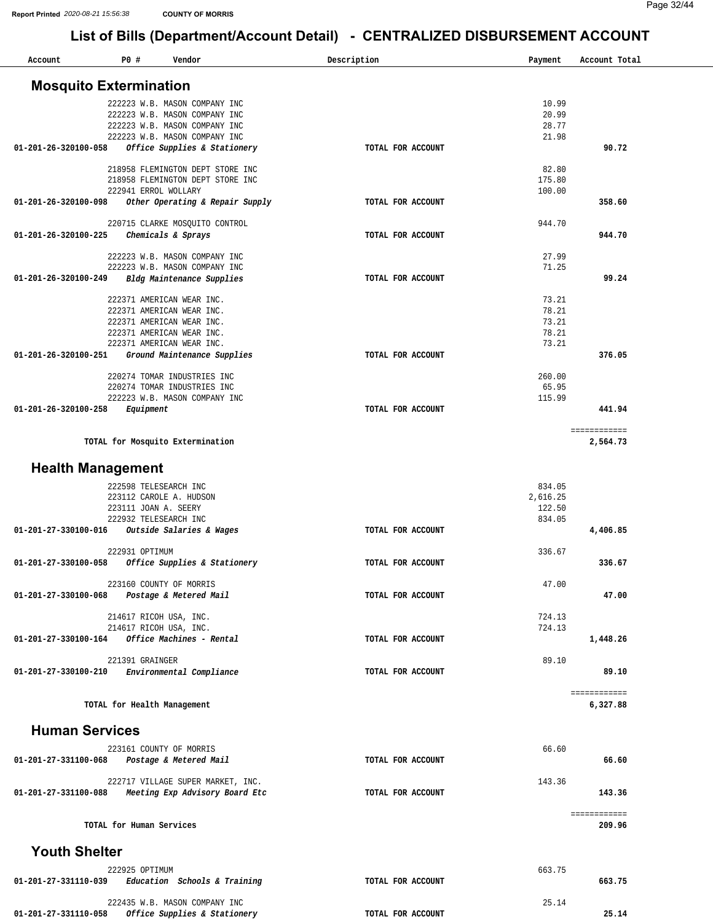| Account                       | P0#                      | Vendor                                                  | Description       | Payment         | Account Total |
|-------------------------------|--------------------------|---------------------------------------------------------|-------------------|-----------------|---------------|
| <b>Mosquito Extermination</b> |                          |                                                         |                   |                 |               |
|                               |                          | 222223 W.B. MASON COMPANY INC                           |                   | 10.99           |               |
|                               |                          | 222223 W.B. MASON COMPANY INC                           |                   | 20.99           |               |
|                               |                          | 222223 W.B. MASON COMPANY INC                           |                   | 28.77           |               |
|                               |                          | 222223 W.B. MASON COMPANY INC                           |                   | 21.98           |               |
| 01-201-26-320100-058          |                          | Office Supplies & Stationery                            | TOTAL FOR ACCOUNT |                 | 90.72         |
|                               |                          |                                                         |                   |                 |               |
|                               |                          | 218958 FLEMINGTON DEPT STORE INC                        |                   | 82.80           |               |
|                               |                          | 218958 FLEMINGTON DEPT STORE INC                        |                   | 175.80          |               |
| 01-201-26-320100-098          |                          | 222941 ERROL WOLLARY<br>Other Operating & Repair Supply | TOTAL FOR ACCOUNT | 100.00          | 358.60        |
|                               |                          |                                                         |                   |                 |               |
|                               |                          | 220715 CLARKE MOSQUITO CONTROL                          |                   | 944.70          |               |
| 01-201-26-320100-225          |                          | Chemicals & Sprays                                      | TOTAL FOR ACCOUNT |                 | 944.70        |
|                               |                          |                                                         |                   |                 |               |
|                               |                          | 222223 W.B. MASON COMPANY INC                           |                   | 27.99           |               |
|                               |                          | 222223 W.B. MASON COMPANY INC                           |                   | 71.25           |               |
| 01-201-26-320100-249          |                          | Bldg Maintenance Supplies                               | TOTAL FOR ACCOUNT |                 | 99.24         |
|                               |                          | 222371 AMERICAN WEAR INC.                               |                   | 73.21           |               |
|                               |                          | 222371 AMERICAN WEAR INC.                               |                   | 78.21           |               |
|                               |                          | 222371 AMERICAN WEAR INC.                               |                   | 73.21           |               |
|                               |                          | 222371 AMERICAN WEAR INC.                               |                   | 78.21           |               |
|                               |                          | 222371 AMERICAN WEAR INC.                               |                   | 73.21           |               |
| 01-201-26-320100-251          |                          | Ground Maintenance Supplies                             | TOTAL FOR ACCOUNT |                 | 376.05        |
|                               |                          | 220274 TOMAR INDUSTRIES INC                             |                   |                 |               |
|                               |                          | 220274 TOMAR INDUSTRIES INC                             |                   | 260.00<br>65.95 |               |
|                               |                          | 222223 W.B. MASON COMPANY INC                           |                   | 115.99          |               |
| 01-201-26-320100-258          | Equipment                |                                                         | TOTAL FOR ACCOUNT |                 | 441.94        |
|                               |                          |                                                         |                   |                 |               |
|                               |                          |                                                         |                   |                 | ============  |
|                               |                          | TOTAL for Mosquito Extermination                        |                   |                 | 2,564.73      |
|                               |                          |                                                         |                   |                 |               |
| <b>Health Management</b>      |                          |                                                         |                   |                 |               |
|                               |                          | 222598 TELESEARCH INC                                   |                   | 834.05          |               |
|                               |                          | 223112 CAROLE A. HUDSON                                 |                   | 2,616.25        |               |
|                               |                          | 223111 JOAN A. SEERY                                    |                   | 122.50          |               |
|                               |                          | 222932 TELESEARCH INC                                   |                   | 834.05          |               |
| 01-201-27-330100-016          |                          | Outside Salaries & Wages                                | TOTAL FOR ACCOUNT |                 | 4,406.85      |
|                               |                          |                                                         |                   |                 |               |
|                               | 222931 OPTIMUM           |                                                         |                   | 336.67          |               |
| 01-201-27-330100-058          |                          | Office Supplies & Stationery                            | TOTAL FOR ACCOUNT |                 | 336.67        |
|                               |                          | 223160 COUNTY OF MORRIS                                 |                   | 47.00           |               |
| 01-201-27-330100-068          |                          | Postage & Metered Mail                                  | TOTAL FOR ACCOUNT |                 | 47.00         |
|                               |                          |                                                         |                   |                 |               |
|                               |                          | 214617 RICOH USA, INC.                                  |                   | 724.13          |               |
|                               |                          | 214617 RICOH USA, INC.                                  |                   | 724.13          |               |
| 01-201-27-330100-164          |                          | Office Machines - Rental                                | TOTAL FOR ACCOUNT |                 | 1,448.26      |
|                               | 221391 GRAINGER          |                                                         |                   | 89.10           |               |
| 01-201-27-330100-210          |                          | Environmental Compliance                                | TOTAL FOR ACCOUNT |                 | 89.10         |
|                               |                          |                                                         |                   |                 |               |
|                               |                          |                                                         |                   |                 | ============  |
|                               |                          | TOTAL for Health Management                             |                   |                 | 6,327.88      |
|                               |                          |                                                         |                   |                 |               |
| <b>Human Services</b>         |                          |                                                         |                   |                 |               |
|                               |                          |                                                         |                   | 66.60           |               |
| 01-201-27-331100-068          |                          | 223161 COUNTY OF MORRIS<br>Postage & Metered Mail       | TOTAL FOR ACCOUNT |                 | 66.60         |
|                               |                          |                                                         |                   |                 |               |
|                               |                          | 222717 VILLAGE SUPER MARKET, INC.                       |                   | 143.36          |               |
| 01-201-27-331100-088          |                          | Meeting Exp Advisory Board Etc                          | TOTAL FOR ACCOUNT |                 | 143.36        |
|                               |                          |                                                         |                   |                 |               |
|                               |                          |                                                         |                   |                 | ============  |
|                               | TOTAL for Human Services |                                                         |                   |                 | 209.96        |
|                               |                          |                                                         |                   |                 |               |
| <b>Youth Shelter</b>          |                          |                                                         |                   |                 |               |
|                               | 222925 OPTIMUM           |                                                         |                   | 663.75          |               |
| 01-201-27-331110-039          |                          | Education Schools & Training                            | TOTAL FOR ACCOUNT |                 | 663.75        |
|                               |                          |                                                         |                   |                 |               |
|                               |                          | 222435 W.B. MASON COMPANY INC                           |                   | 25.14           |               |
| 01-201-27-331110-058          |                          | Office Supplies & Stationery                            | TOTAL FOR ACCOUNT |                 | 25.14         |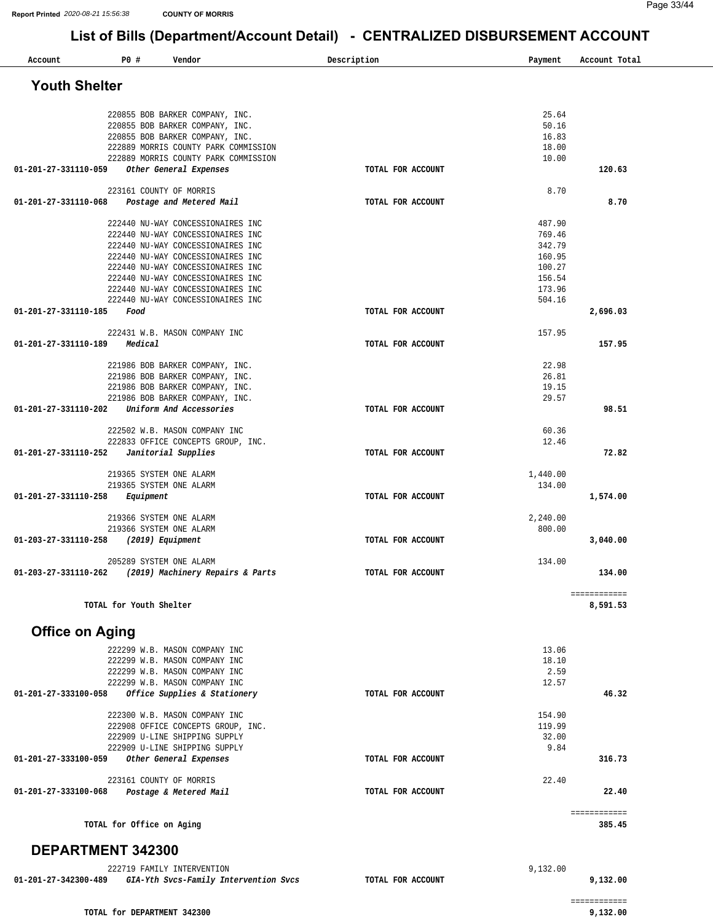| Account                | PO#                       | Vendor                                                                                   | Description       | Payment        | Account Total |
|------------------------|---------------------------|------------------------------------------------------------------------------------------|-------------------|----------------|---------------|
| <b>Youth Shelter</b>   |                           |                                                                                          |                   |                |               |
|                        |                           |                                                                                          |                   |                |               |
|                        |                           | 220855 BOB BARKER COMPANY, INC.                                                          |                   | 25.64          |               |
|                        |                           | 220855 BOB BARKER COMPANY, INC.                                                          |                   | 50.16          |               |
|                        |                           | 220855 BOB BARKER COMPANY, INC.                                                          |                   | 16.83          |               |
|                        |                           | 222889 MORRIS COUNTY PARK COMMISSION                                                     |                   | 18.00          |               |
|                        |                           | 222889 MORRIS COUNTY PARK COMMISSION                                                     |                   | 10.00          |               |
| 01-201-27-331110-059   |                           | Other General Expenses                                                                   | TOTAL FOR ACCOUNT |                | 120.63        |
|                        |                           | 223161 COUNTY OF MORRIS                                                                  |                   | 8.70           |               |
| 01-201-27-331110-068   |                           | Postage and Metered Mail                                                                 | TOTAL FOR ACCOUNT |                | 8.70          |
|                        |                           | 222440 NU-WAY CONCESSIONAIRES INC                                                        |                   | 487.90         |               |
|                        |                           | 222440 NU-WAY CONCESSIONAIRES INC                                                        |                   | 769.46         |               |
|                        |                           | 222440 NU-WAY CONCESSIONAIRES INC                                                        |                   | 342.79         |               |
|                        |                           | 222440 NU-WAY CONCESSIONAIRES INC                                                        |                   | 160.95         |               |
|                        |                           | 222440 NU-WAY CONCESSIONAIRES INC                                                        |                   | 100.27         |               |
|                        |                           | 222440 NU-WAY CONCESSIONAIRES INC                                                        |                   | 156.54         |               |
|                        |                           | 222440 NU-WAY CONCESSIONAIRES INC                                                        |                   | 173.96         |               |
|                        |                           | 222440 NU-WAY CONCESSIONAIRES INC                                                        |                   | 504.16         |               |
| 01-201-27-331110-185   | Food                      |                                                                                          | TOTAL FOR ACCOUNT |                | 2,696.03      |
|                        |                           | 222431 W.B. MASON COMPANY INC                                                            |                   | 157.95         |               |
| 01-201-27-331110-189   | Medical                   |                                                                                          | TOTAL FOR ACCOUNT |                | 157.95        |
|                        |                           | 221986 BOB BARKER COMPANY, INC.                                                          |                   | 22.98          |               |
|                        |                           | 221986 BOB BARKER COMPANY, INC.                                                          |                   | 26.81          |               |
|                        |                           | 221986 BOB BARKER COMPANY, INC.                                                          |                   | 19.15          |               |
|                        |                           | 221986 BOB BARKER COMPANY, INC.                                                          |                   | 29.57          |               |
| 01-201-27-331110-202   |                           | Uniform And Accessories                                                                  | TOTAL FOR ACCOUNT |                | 98.51         |
|                        |                           |                                                                                          |                   |                |               |
|                        |                           | 222502 W.B. MASON COMPANY INC<br>222833 OFFICE CONCEPTS GROUP, INC.                      |                   | 60.36<br>12.46 |               |
| 01-201-27-331110-252   |                           | Janitorial Supplies                                                                      | TOTAL FOR ACCOUNT |                | 72.82         |
|                        |                           |                                                                                          |                   |                |               |
|                        |                           | 219365 SYSTEM ONE ALARM                                                                  |                   | 1,440.00       |               |
|                        |                           | 219365 SYSTEM ONE ALARM                                                                  |                   | 134.00         |               |
| 01-201-27-331110-258   | Equipment                 |                                                                                          | TOTAL FOR ACCOUNT |                | 1,574.00      |
|                        |                           | 219366 SYSTEM ONE ALARM                                                                  |                   | 2,240.00       |               |
|                        |                           | 219366 SYSTEM ONE ALARM                                                                  |                   | 800.00         |               |
| 01-203-27-331110-258   |                           | (2019) Equipment                                                                         | TOTAL FOR ACCOUNT |                | 3,040.00      |
|                        |                           | 205289 SYSTEM ONE ALARM                                                                  |                   | 134.00         |               |
| 01-203-27-331110-262   |                           | (2019) Machinery Repairs & Parts                                                         | TOTAL FOR ACCOUNT |                | 134.00        |
|                        |                           |                                                                                          |                   |                | ============  |
|                        | TOTAL for Youth Shelter   |                                                                                          |                   |                | 8,591.53      |
|                        |                           |                                                                                          |                   |                |               |
| <b>Office on Aging</b> |                           |                                                                                          |                   |                |               |
|                        |                           | 222299 W.B. MASON COMPANY INC                                                            |                   | 13.06          |               |
|                        |                           | 222299 W.B. MASON COMPANY INC                                                            |                   | 18.10          |               |
|                        |                           | 222299 W.B. MASON COMPANY INC                                                            |                   | 2.59           |               |
| 01-201-27-333100-058   |                           | 222299 W.B. MASON COMPANY INC<br>Office Supplies & Stationery                            | TOTAL FOR ACCOUNT | 12.57          | 46.32         |
|                        |                           |                                                                                          |                   |                |               |
|                        |                           | 222300 W.B. MASON COMPANY INC                                                            |                   | 154.90         |               |
|                        |                           | 222908 OFFICE CONCEPTS GROUP, INC.                                                       |                   | 119.99         |               |
|                        |                           | 222909 U-LINE SHIPPING SUPPLY                                                            |                   | 32.00          |               |
|                        |                           | 222909 U-LINE SHIPPING SUPPLY                                                            |                   | 9.84           |               |
| 01-201-27-333100-059   |                           | Other General Expenses                                                                   | TOTAL FOR ACCOUNT |                | 316.73        |
|                        |                           | 223161 COUNTY OF MORRIS                                                                  |                   | 22.40          |               |
| 01-201-27-333100-068   |                           | Postage & Metered Mail                                                                   | TOTAL FOR ACCOUNT |                | 22.40         |
|                        |                           |                                                                                          |                   |                | ============  |
|                        | TOTAL for Office on Aging |                                                                                          |                   |                | 385.45        |
| DEPARTMENT 342300      |                           |                                                                                          |                   |                |               |
|                        |                           |                                                                                          |                   |                |               |
|                        |                           | 222719 FAMILY INTERVENTION<br>01-201-27-342300-489 GIA-Yth Svcs-Family Intervention Svcs |                   | 9,132.00       | 9,132.00      |
|                        |                           |                                                                                          | TOTAL FOR ACCOUNT |                |               |

**01-201-27-342300-489** *GIA-Yth Svcs-Family Intervention Svcs*  **TOTAL FOR ACCOUNT**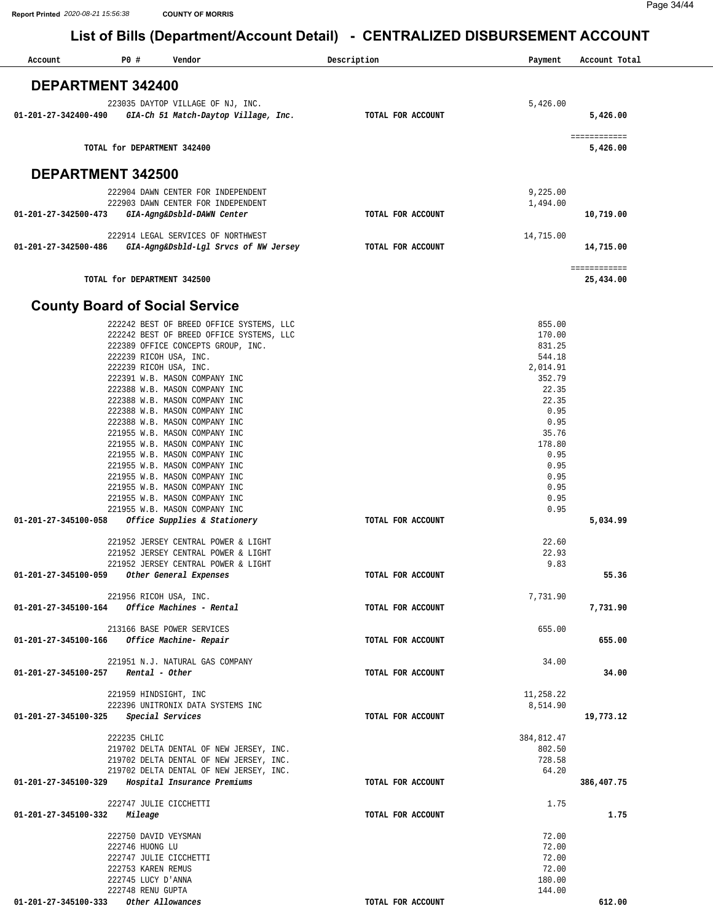| Account                  | P0 #<br>Vendor                                                                     | Description       | Payment          | Account Total            |
|--------------------------|------------------------------------------------------------------------------------|-------------------|------------------|--------------------------|
|                          |                                                                                    |                   |                  |                          |
| <b>DEPARTMENT 342400</b> |                                                                                    |                   |                  |                          |
| 01-201-27-342400-490     | 223035 DAYTOP VILLAGE OF NJ, INC.<br>GIA-Ch 51 Match-Daytop Village, Inc.          | TOTAL FOR ACCOUNT | 5,426.00         | 5,426.00                 |
|                          | TOTAL for DEPARTMENT 342400                                                        |                   |                  | ============<br>5,426.00 |
| DEPARTMENT 342500        |                                                                                    |                   |                  |                          |
|                          | 222904 DAWN CENTER FOR INDEPENDENT                                                 |                   | 9,225.00         |                          |
| 01-201-27-342500-473     | 222903 DAWN CENTER FOR INDEPENDENT<br>GIA-Agng&Dsbld-DAWN Center                   | TOTAL FOR ACCOUNT | 1,494.00         | 10,719.00                |
| 01-201-27-342500-486     | 222914 LEGAL SERVICES OF NORTHWEST<br>GIA-Agng&Dsbld-Lgl Srvcs of NW Jersey        | TOTAL FOR ACCOUNT | 14,715.00        | 14,715.00                |
|                          |                                                                                    |                   |                  | ============             |
|                          | TOTAL for DEPARTMENT 342500                                                        |                   |                  | 25,434.00                |
|                          | <b>County Board of Social Service</b>                                              |                   |                  |                          |
|                          | 222242 BEST OF BREED OFFICE SYSTEMS, LLC                                           |                   | 855.00           |                          |
|                          | 222242 BEST OF BREED OFFICE SYSTEMS, LLC                                           |                   | 170.00           |                          |
|                          | 222389 OFFICE CONCEPTS GROUP, INC.<br>222239 RICOH USA, INC.                       |                   | 831.25<br>544.18 |                          |
|                          | 222239 RICOH USA, INC.                                                             |                   | 2,014.91         |                          |
|                          | 222391 W.B. MASON COMPANY INC                                                      |                   | 352.79           |                          |
|                          | 222388 W.B. MASON COMPANY INC                                                      |                   | 22.35            |                          |
|                          | 222388 W.B. MASON COMPANY INC<br>222388 W.B. MASON COMPANY INC                     |                   | 22.35<br>0.95    |                          |
|                          | 222388 W.B. MASON COMPANY INC                                                      |                   | 0.95             |                          |
|                          | 221955 W.B. MASON COMPANY INC                                                      |                   | 35.76            |                          |
|                          | 221955 W.B. MASON COMPANY INC                                                      |                   | 178.80           |                          |
|                          | 221955 W.B. MASON COMPANY INC<br>221955 W.B. MASON COMPANY INC                     |                   | 0.95<br>0.95     |                          |
|                          | 221955 W.B. MASON COMPANY INC                                                      |                   | 0.95             |                          |
|                          | 221955 W.B. MASON COMPANY INC                                                      |                   | 0.95             |                          |
|                          | 221955 W.B. MASON COMPANY INC                                                      |                   | 0.95             |                          |
| 01-201-27-345100-058     | 221955 W.B. MASON COMPANY INC<br>Office Supplies & Stationery                      | TOTAL FOR ACCOUNT | 0.95             | 5,034.99                 |
|                          |                                                                                    |                   |                  |                          |
|                          | 221952 JERSEY CENTRAL POWER & LIGHT                                                |                   | 22.60            |                          |
|                          | 221952 JERSEY CENTRAL POWER & LIGHT<br>221952 JERSEY CENTRAL POWER & LIGHT         |                   | 22.93<br>9.83    |                          |
| 01-201-27-345100-059     | Other General Expenses                                                             | TOTAL FOR ACCOUNT |                  | 55.36                    |
|                          | 221956 RICOH USA, INC.                                                             |                   | 7,731.90         |                          |
|                          | 01-201-27-345100-164 Office Machines - Rental                                      | TOTAL FOR ACCOUNT |                  | 7,731.90                 |
|                          | 213166 BASE POWER SERVICES                                                         |                   | 655.00           |                          |
| 01-201-27-345100-166     | Office Machine- Repair                                                             | TOTAL FOR ACCOUNT |                  | 655.00                   |
|                          |                                                                                    |                   |                  |                          |
| 01-201-27-345100-257     | 221951 N.J. NATURAL GAS COMPANY<br>Rental - Other                                  | TOTAL FOR ACCOUNT | 34.00            | 34.00                    |
|                          |                                                                                    |                   |                  |                          |
|                          | 221959 HINDSIGHT, INC                                                              |                   | 11,258.22        |                          |
| 01-201-27-345100-325     | 222396 UNITRONIX DATA SYSTEMS INC                                                  | TOTAL FOR ACCOUNT | 8,514.90         |                          |
|                          | Special Services                                                                   |                   |                  | 19,773.12                |
|                          | 222235 CHLIC                                                                       |                   | 384,812.47       |                          |
|                          | 219702 DELTA DENTAL OF NEW JERSEY, INC.                                            |                   | 802.50           |                          |
|                          | 219702 DELTA DENTAL OF NEW JERSEY, INC.<br>219702 DELTA DENTAL OF NEW JERSEY, INC. |                   | 728.58<br>64.20  |                          |
|                          | 01-201-27-345100-329 Hospital Insurance Premiums                                   | TOTAL FOR ACCOUNT |                  | 386,407.75               |
|                          |                                                                                    |                   |                  |                          |
| 01-201-27-345100-332     | 222747 JULIE CICCHETTI<br>Mileage                                                  | TOTAL FOR ACCOUNT | 1.75             | 1.75                     |
|                          |                                                                                    |                   |                  |                          |
|                          | 222750 DAVID VEYSMAN                                                               |                   | 72.00            |                          |
|                          | 222746 HUONG LU<br>222747 JULIE CICCHETTI                                          |                   | 72.00<br>72.00   |                          |
|                          | 222753 KAREN REMUS                                                                 |                   | 72.00            |                          |
|                          | 222745 LUCY D'ANNA                                                                 |                   | 180.00           |                          |
|                          | 222748 RENU GUPTA                                                                  |                   | 144.00           |                          |
| 01-201-27-345100-333     | Other Allowances                                                                   | TOTAL FOR ACCOUNT |                  | 612.00                   |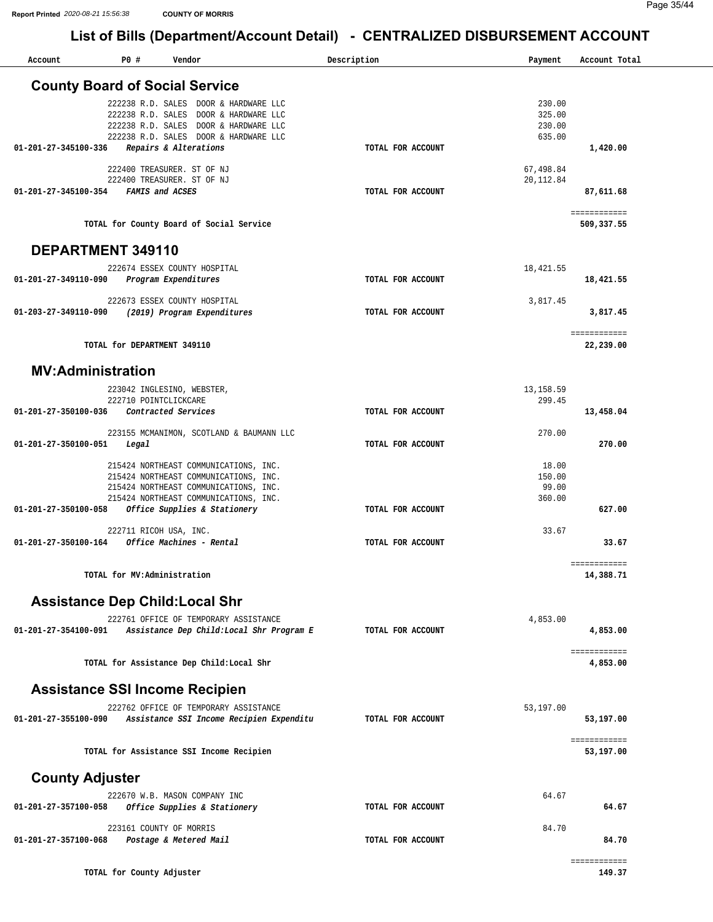**Report Printed** *2020-08-21 15:56:38* **COUNTY OF MORRIS**

| Account                | P0 #                        | Vendor                                                                                                                                                                  | Description       | Payment                              | Account Total              |
|------------------------|-----------------------------|-------------------------------------------------------------------------------------------------------------------------------------------------------------------------|-------------------|--------------------------------------|----------------------------|
|                        |                             | <b>County Board of Social Service</b>                                                                                                                                   |                   |                                      |                            |
| 01-201-27-345100-336   | 222238 R.D. SALES           | 222238 R.D. SALES DOOR & HARDWARE LLC<br>DOOR & HARDWARE LLC<br>222238 R.D. SALES DOOR & HARDWARE LLC<br>222238 R.D. SALES DOOR & HARDWARE LLC<br>Repairs & Alterations | TOTAL FOR ACCOUNT | 230.00<br>325.00<br>230.00<br>635.00 | 1,420.00                   |
|                        |                             | 222400 TREASURER. ST OF NJ                                                                                                                                              |                   | 67,498.84                            |                            |
| 01-201-27-345100-354   |                             | 222400 TREASURER. ST OF NJ<br>FAMIS and ACSES                                                                                                                           | TOTAL FOR ACCOUNT | 20, 112.84                           | 87,611.68                  |
|                        |                             | TOTAL for County Board of Social Service                                                                                                                                |                   |                                      | ============<br>509,337.55 |
|                        | DEPARTMENT 349110           |                                                                                                                                                                         |                   |                                      |                            |
| 01-201-27-349110-090   |                             | 222674 ESSEX COUNTY HOSPITAL<br>Program Expenditures                                                                                                                    | TOTAL FOR ACCOUNT | 18,421.55                            | 18,421.55                  |
| 01-203-27-349110-090   |                             | 222673 ESSEX COUNTY HOSPITAL<br>(2019) Program Expenditures                                                                                                             | TOTAL FOR ACCOUNT | 3,817.45                             | 3,817.45                   |
|                        | TOTAL for DEPARTMENT 349110 |                                                                                                                                                                         |                   |                                      | ============<br>22,239.00  |
|                        | <b>MV:Administration</b>    |                                                                                                                                                                         |                   |                                      |                            |
| 01-201-27-350100-036   | 222710 POINTCLICKCARE       | 223042 INGLESINO, WEBSTER,<br>Contracted Services                                                                                                                       | TOTAL FOR ACCOUNT | 13, 158.59<br>299.45                 | 13,458.04                  |
| 01-201-27-350100-051   | Legal                       | 223155 MCMANIMON, SCOTLAND & BAUMANN LLC                                                                                                                                | TOTAL FOR ACCOUNT | 270.00                               | 270.00                     |
|                        |                             | 215424 NORTHEAST COMMUNICATIONS, INC.<br>215424 NORTHEAST COMMUNICATIONS, INC.<br>215424 NORTHEAST COMMUNICATIONS, INC.                                                 |                   | 18.00<br>150.00<br>99.00             |                            |
| 01-201-27-350100-058   |                             | 215424 NORTHEAST COMMUNICATIONS, INC.<br>Office Supplies & Stationery                                                                                                   | TOTAL FOR ACCOUNT | 360.00                               | 627.00                     |
| 01-201-27-350100-164   |                             | 222711 RICOH USA, INC.<br>Office Machines - Rental                                                                                                                      | TOTAL FOR ACCOUNT | 33.67                                | 33.67                      |
|                        | TOTAL for MV:Administration |                                                                                                                                                                         |                   |                                      | ============<br>14,388.71  |
|                        |                             | <b>Assistance Dep Child: Local Shr</b>                                                                                                                                  |                   |                                      |                            |
| 01-201-27-354100-091   |                             | 222761 OFFICE OF TEMPORARY ASSISTANCE<br>Assistance Dep Child:Local Shr Program E                                                                                       | TOTAL FOR ACCOUNT | 4,853.00                             | 4,853.00                   |
|                        |                             | TOTAL for Assistance Dep Child:Local Shr                                                                                                                                |                   |                                      | ============<br>4,853.00   |
|                        |                             | <b>Assistance SSI Income Recipien</b>                                                                                                                                   |                   |                                      |                            |
| 01-201-27-355100-090   |                             | 222762 OFFICE OF TEMPORARY ASSISTANCE<br>Assistance SSI Income Recipien Expenditu                                                                                       | TOTAL FOR ACCOUNT | 53,197.00                            | 53,197.00                  |
|                        |                             | TOTAL for Assistance SSI Income Recipien                                                                                                                                |                   |                                      | ============<br>53,197.00  |
| <b>County Adjuster</b> |                             |                                                                                                                                                                         |                   |                                      |                            |
| 01-201-27-357100-058   |                             | 222670 W.B. MASON COMPANY INC<br>Office Supplies & Stationery                                                                                                           | TOTAL FOR ACCOUNT | 64.67                                | 64.67                      |
| 01-201-27-357100-068   |                             | 223161 COUNTY OF MORRIS<br>Postage & Metered Mail                                                                                                                       | TOTAL FOR ACCOUNT | 84.70                                | 84.70                      |
|                        | TOTAL for County Adjuster   |                                                                                                                                                                         |                   |                                      | ============<br>149.37     |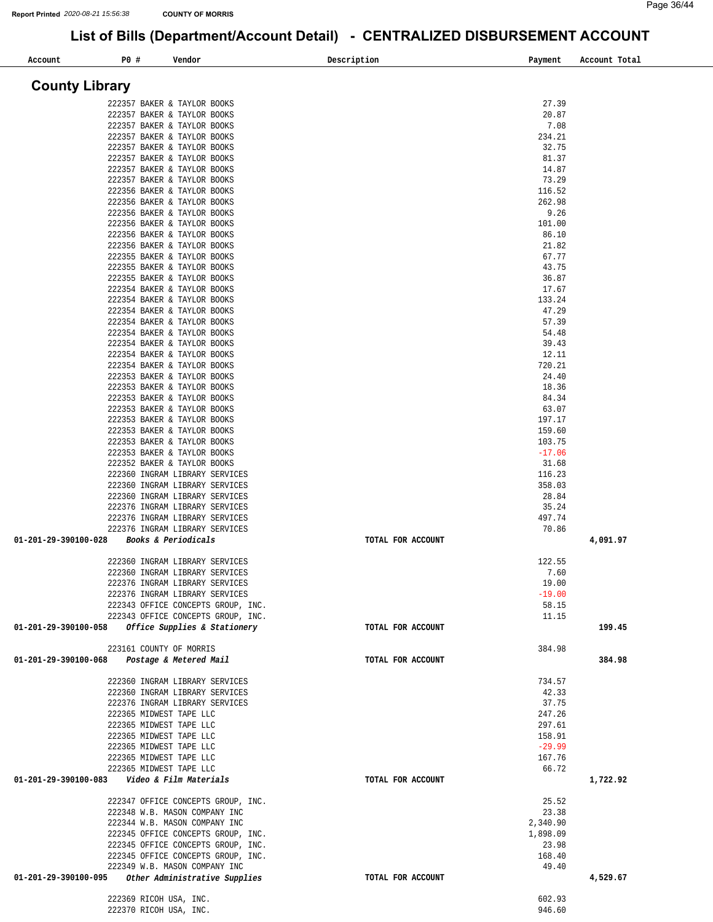| P0 #<br>Account                                    | Vendor                                                              | Description       | Payment           | Account Total |
|----------------------------------------------------|---------------------------------------------------------------------|-------------------|-------------------|---------------|
| <b>County Library</b>                              |                                                                     |                   |                   |               |
|                                                    |                                                                     |                   |                   |               |
|                                                    | 222357 BAKER & TAYLOR BOOKS<br>222357 BAKER & TAYLOR BOOKS          |                   | 27.39<br>20.87    |               |
|                                                    | 222357 BAKER & TAYLOR BOOKS                                         |                   | 7.08              |               |
|                                                    | 222357 BAKER & TAYLOR BOOKS                                         |                   | 234.21            |               |
|                                                    | 222357 BAKER & TAYLOR BOOKS                                         |                   | 32.75             |               |
|                                                    | 222357 BAKER & TAYLOR BOOKS                                         |                   | 81.37             |               |
|                                                    | 222357 BAKER & TAYLOR BOOKS<br>222357 BAKER & TAYLOR BOOKS          |                   | 14.87<br>73.29    |               |
|                                                    | 222356 BAKER & TAYLOR BOOKS                                         |                   | 116.52            |               |
|                                                    | 222356 BAKER & TAYLOR BOOKS                                         |                   | 262.98            |               |
|                                                    | 222356 BAKER & TAYLOR BOOKS                                         |                   | 9.26              |               |
|                                                    | 222356 BAKER & TAYLOR BOOKS                                         |                   | 101.00            |               |
|                                                    | 222356 BAKER & TAYLOR BOOKS                                         |                   | 86.10             |               |
|                                                    | 222356 BAKER & TAYLOR BOOKS<br>222355 BAKER & TAYLOR BOOKS          |                   | 21.82<br>67.77    |               |
|                                                    | 222355 BAKER & TAYLOR BOOKS                                         |                   | 43.75             |               |
|                                                    | 222355 BAKER & TAYLOR BOOKS                                         |                   | 36.87             |               |
|                                                    | 222354 BAKER & TAYLOR BOOKS                                         |                   | 17.67             |               |
|                                                    | 222354 BAKER & TAYLOR BOOKS                                         |                   | 133.24            |               |
|                                                    | 222354 BAKER & TAYLOR BOOKS                                         |                   | 47.29             |               |
|                                                    | 222354 BAKER & TAYLOR BOOKS                                         |                   | 57.39             |               |
|                                                    | 222354 BAKER & TAYLOR BOOKS<br>222354 BAKER & TAYLOR BOOKS          |                   | 54.48<br>39.43    |               |
|                                                    | 222354 BAKER & TAYLOR BOOKS                                         |                   | 12.11             |               |
|                                                    | 222354 BAKER & TAYLOR BOOKS                                         |                   | 720.21            |               |
|                                                    | 222353 BAKER & TAYLOR BOOKS                                         |                   | 24.40             |               |
|                                                    | 222353 BAKER & TAYLOR BOOKS                                         |                   | 18.36             |               |
|                                                    | 222353 BAKER & TAYLOR BOOKS                                         |                   | 84.34             |               |
|                                                    | 222353 BAKER & TAYLOR BOOKS                                         |                   | 63.07             |               |
|                                                    | 222353 BAKER & TAYLOR BOOKS<br>222353 BAKER & TAYLOR BOOKS          |                   | 197.17<br>159.60  |               |
|                                                    | 222353 BAKER & TAYLOR BOOKS                                         |                   | 103.75            |               |
|                                                    | 222353 BAKER & TAYLOR BOOKS                                         |                   | $-17.06$          |               |
|                                                    | 222352 BAKER & TAYLOR BOOKS                                         |                   | 31.68             |               |
|                                                    | 222360 INGRAM LIBRARY SERVICES                                      |                   | 116.23            |               |
|                                                    | 222360 INGRAM LIBRARY SERVICES                                      |                   | 358.03            |               |
|                                                    | 222360 INGRAM LIBRARY SERVICES                                      |                   | 28.84             |               |
|                                                    | 222376 INGRAM LIBRARY SERVICES<br>222376 INGRAM LIBRARY SERVICES    |                   | 35.24<br>497.74   |               |
|                                                    | 222376 INGRAM LIBRARY SERVICES                                      |                   | 70.86             |               |
| 01-201-29-390100-028                               | Books & Periodicals                                                 | TOTAL FOR ACCOUNT |                   | 4,091.97      |
|                                                    |                                                                     |                   |                   |               |
|                                                    | 222360 INGRAM LIBRARY SERVICES                                      |                   | 122.55            |               |
|                                                    | 222360 INGRAM LIBRARY SERVICES                                      |                   | 7.60              |               |
|                                                    | 222376 INGRAM LIBRARY SERVICES<br>222376 INGRAM LIBRARY SERVICES    |                   | 19.00<br>$-19.00$ |               |
|                                                    | 222343 OFFICE CONCEPTS GROUP, INC.                                  |                   | 58.15             |               |
|                                                    | 222343 OFFICE CONCEPTS GROUP, INC.                                  |                   | 11.15             |               |
| 01-201-29-390100-058                               | Office Supplies & Stationery                                        | TOTAL FOR ACCOUNT |                   | 199.45        |
|                                                    |                                                                     |                   |                   |               |
| 223161 COUNTY OF MORRIS                            |                                                                     |                   | 384.98            |               |
| 01-201-29-390100-068                               | Postage & Metered Mail                                              | TOTAL FOR ACCOUNT |                   | 384.98        |
|                                                    | 222360 INGRAM LIBRARY SERVICES                                      |                   | 734.57            |               |
|                                                    | 222360 INGRAM LIBRARY SERVICES                                      |                   | 42.33             |               |
|                                                    | 222376 INGRAM LIBRARY SERVICES                                      |                   | 37.75             |               |
| 222365 MIDWEST TAPE LLC                            |                                                                     |                   | 247.26            |               |
| 222365 MIDWEST TAPE LLC<br>222365 MIDWEST TAPE LLC |                                                                     |                   | 297.61<br>158.91  |               |
| 222365 MIDWEST TAPE LLC                            |                                                                     |                   | $-29.99$          |               |
| 222365 MIDWEST TAPE LLC                            |                                                                     |                   | 167.76            |               |
| 222365 MIDWEST TAPE LLC                            |                                                                     |                   | 66.72             |               |
| 01-201-29-390100-083    Video & Film Materials     |                                                                     | TOTAL FOR ACCOUNT |                   | 1,722.92      |
|                                                    |                                                                     |                   |                   |               |
|                                                    | 222347 OFFICE CONCEPTS GROUP, INC.<br>222348 W.B. MASON COMPANY INC |                   | 25.52<br>23.38    |               |
|                                                    | 222344 W.B. MASON COMPANY INC                                       |                   | 2,340.90          |               |
|                                                    | 222345 OFFICE CONCEPTS GROUP, INC.                                  |                   | 1,898.09          |               |
|                                                    | 222345 OFFICE CONCEPTS GROUP, INC.                                  |                   | 23.98             |               |
|                                                    | 222345 OFFICE CONCEPTS GROUP, INC.                                  |                   | 168.40            |               |
|                                                    | 222349 W.B. MASON COMPANY INC                                       |                   | 49.40             |               |
| 01-201-29-390100-095                               | Other Administrative Supplies                                       | TOTAL FOR ACCOUNT |                   | 4,529.67      |
| 222369 RICOH USA, INC.                             |                                                                     |                   | 602.93            |               |
| 222370 RICOH USA, INC.                             |                                                                     |                   | 946.60            |               |
|                                                    |                                                                     |                   |                   |               |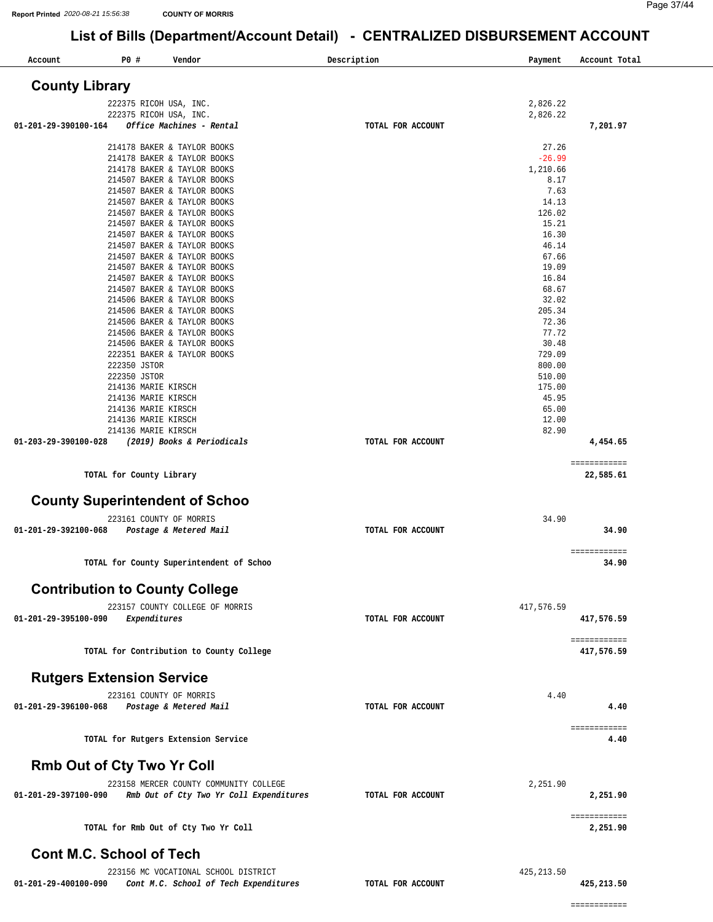| Account                               | P0 #                                     | Vendor                                                     |                                         | Description       | Payment         | Account Total              |
|---------------------------------------|------------------------------------------|------------------------------------------------------------|-----------------------------------------|-------------------|-----------------|----------------------------|
| <b>County Library</b>                 |                                          |                                                            |                                         |                   |                 |                            |
|                                       | 222375 RICOH USA, INC.                   |                                                            |                                         |                   | 2,826.22        |                            |
|                                       | 222375 RICOH USA, INC.                   |                                                            |                                         |                   | 2,826.22        |                            |
| 01-201-29-390100-164                  |                                          | Office Machines - Rental                                   |                                         | TOTAL FOR ACCOUNT |                 | 7,201.97                   |
|                                       |                                          | 214178 BAKER & TAYLOR BOOKS                                |                                         |                   | 27.26           |                            |
|                                       |                                          | 214178 BAKER & TAYLOR BOOKS                                |                                         |                   | $-26.99$        |                            |
|                                       |                                          | 214178 BAKER & TAYLOR BOOKS                                |                                         |                   | 1,210.66        |                            |
|                                       |                                          | 214507 BAKER & TAYLOR BOOKS<br>214507 BAKER & TAYLOR BOOKS |                                         |                   | 8.17<br>7.63    |                            |
|                                       |                                          | 214507 BAKER & TAYLOR BOOKS                                |                                         |                   | 14.13           |                            |
|                                       |                                          | 214507 BAKER & TAYLOR BOOKS                                |                                         |                   | 126.02          |                            |
|                                       |                                          | 214507 BAKER & TAYLOR BOOKS                                |                                         |                   | 15.21           |                            |
|                                       |                                          | 214507 BAKER & TAYLOR BOOKS                                |                                         |                   | 16.30           |                            |
|                                       |                                          | 214507 BAKER & TAYLOR BOOKS                                |                                         |                   | 46.14           |                            |
|                                       |                                          | 214507 BAKER & TAYLOR BOOKS                                |                                         |                   | 67.66<br>19.09  |                            |
|                                       |                                          | 214507 BAKER & TAYLOR BOOKS<br>214507 BAKER & TAYLOR BOOKS |                                         |                   | 16.84           |                            |
|                                       |                                          | 214507 BAKER & TAYLOR BOOKS                                |                                         |                   | 68.67           |                            |
|                                       |                                          | 214506 BAKER & TAYLOR BOOKS                                |                                         |                   | 32.02           |                            |
|                                       |                                          | 214506 BAKER & TAYLOR BOOKS                                |                                         |                   | 205.34          |                            |
|                                       |                                          | 214506 BAKER & TAYLOR BOOKS                                |                                         |                   | 72.36           |                            |
|                                       |                                          | 214506 BAKER & TAYLOR BOOKS                                |                                         |                   | 77.72           |                            |
|                                       |                                          | 214506 BAKER & TAYLOR BOOKS<br>222351 BAKER & TAYLOR BOOKS |                                         |                   | 30.48<br>729.09 |                            |
|                                       | 222350 JSTOR                             |                                                            |                                         |                   | 800.00          |                            |
|                                       | 222350 JSTOR                             |                                                            |                                         |                   | 510.00          |                            |
|                                       | 214136 MARIE KIRSCH                      |                                                            |                                         |                   | 175.00          |                            |
|                                       | 214136 MARIE KIRSCH                      |                                                            |                                         |                   | 45.95           |                            |
|                                       | 214136 MARIE KIRSCH                      |                                                            |                                         |                   | 65.00           |                            |
|                                       | 214136 MARIE KIRSCH                      |                                                            |                                         |                   | 12.00           |                            |
|                                       | 214136 MARIE KIRSCH                      |                                                            |                                         |                   | 82.90           |                            |
| 01-203-29-390100-028                  |                                          | (2019) Books & Periodicals                                 |                                         | TOTAL FOR ACCOUNT |                 | 4,454.65                   |
|                                       |                                          |                                                            |                                         |                   |                 | ============               |
|                                       | TOTAL for County Library                 |                                                            |                                         |                   |                 | 22,585.61                  |
| <b>County Superintendent of Schoo</b> |                                          |                                                            |                                         |                   |                 |                            |
|                                       | 223161 COUNTY OF MORRIS                  |                                                            |                                         |                   | 34.90           |                            |
| 01-201-29-392100-068                  |                                          | Postage & Metered Mail                                     |                                         | TOTAL FOR ACCOUNT |                 | 34.90                      |
|                                       |                                          |                                                            |                                         |                   |                 |                            |
|                                       | TOTAL for County Superintendent of Schoo |                                                            |                                         |                   |                 | ============<br>34.90      |
|                                       |                                          |                                                            |                                         |                   |                 |                            |
| <b>Contribution to County College</b> |                                          |                                                            |                                         |                   |                 |                            |
|                                       |                                          | 223157 COUNTY COLLEGE OF MORRIS                            |                                         |                   | 417,576.59      |                            |
| 01-201-29-395100-090                  | Expenditures                             |                                                            |                                         | TOTAL FOR ACCOUNT |                 | 417,576.59                 |
|                                       |                                          |                                                            |                                         |                   |                 |                            |
|                                       | TOTAL for Contribution to County College |                                                            |                                         |                   |                 | ============<br>417,576.59 |
|                                       |                                          |                                                            |                                         |                   |                 |                            |
| <b>Rutgers Extension Service</b>      |                                          |                                                            |                                         |                   |                 |                            |
|                                       | 223161 COUNTY OF MORRIS                  |                                                            |                                         |                   | 4.40            |                            |
| 01-201-29-396100-068                  |                                          | Postage & Metered Mail                                     |                                         | TOTAL FOR ACCOUNT |                 | 4.40                       |
|                                       |                                          |                                                            |                                         |                   |                 | ============               |
|                                       | TOTAL for Rutgers Extension Service      |                                                            |                                         |                   |                 | 4.40                       |
| <b>Rmb Out of Cty Two Yr Coll</b>     |                                          |                                                            |                                         |                   |                 |                            |
|                                       |                                          |                                                            | 223158 MERCER COUNTY COMMUNITY COLLEGE  |                   | 2,251.90        |                            |
| 01-201-29-397100-090                  |                                          |                                                            | Rmb Out of Cty Two Yr Coll Expenditures | TOTAL FOR ACCOUNT |                 | 2,251.90                   |
|                                       |                                          |                                                            |                                         |                   |                 | ============               |
|                                       | TOTAL for Rmb Out of Cty Two Yr Coll     |                                                            |                                         |                   |                 | 2,251.90                   |
| <b>Cont M.C. School of Tech</b>       |                                          |                                                            |                                         |                   |                 |                            |
|                                       |                                          |                                                            |                                         |                   |                 |                            |
| 01-201-29-400100-090                  |                                          | 223156 MC VOCATIONAL SCHOOL DISTRICT                       |                                         | TOTAL FOR ACCOUNT | 425, 213.50     | 425,213.50                 |
|                                       |                                          |                                                            | Cont M.C. School of Tech Expenditures   |                   |                 |                            |

============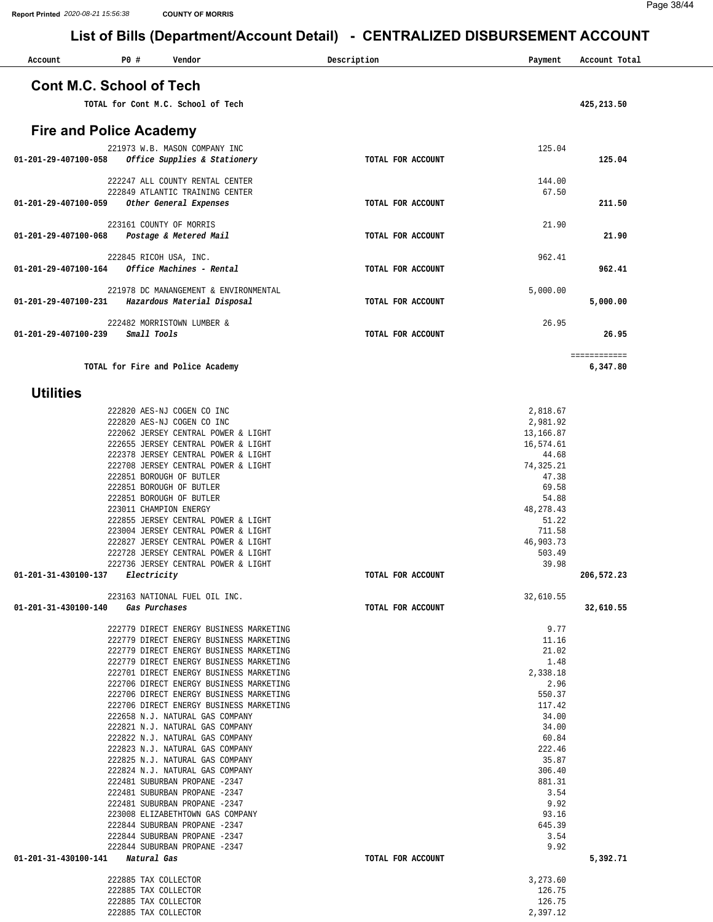| Account                         | P0 # | Vendor                                                                             | Description       | Payment               | Account Total            |
|---------------------------------|------|------------------------------------------------------------------------------------|-------------------|-----------------------|--------------------------|
| <b>Cont M.C. School of Tech</b> |      |                                                                                    |                   |                       |                          |
|                                 |      | TOTAL for Cont M.C. School of Tech                                                 |                   |                       | 425,213.50               |
| <b>Fire and Police Academy</b>  |      |                                                                                    |                   |                       |                          |
|                                 |      | 221973 W.B. MASON COMPANY INC                                                      |                   | 125.04                |                          |
| 01-201-29-407100-058            |      | Office Supplies & Stationery                                                       | TOTAL FOR ACCOUNT |                       | 125.04                   |
|                                 |      | 222247 ALL COUNTY RENTAL CENTER<br>222849 ATLANTIC TRAINING CENTER                 |                   | 144.00<br>67.50       |                          |
| 01-201-29-407100-059            |      | Other General Expenses                                                             | TOTAL FOR ACCOUNT |                       | 211.50                   |
| 01-201-29-407100-068            |      | 223161 COUNTY OF MORRIS<br>Postage & Metered Mail                                  | TOTAL FOR ACCOUNT | 21.90                 | 21.90                    |
|                                 |      | 222845 RICOH USA, INC.                                                             |                   | 962.41                |                          |
| 01-201-29-407100-164            |      | Office Machines - Rental                                                           | TOTAL FOR ACCOUNT |                       | 962.41                   |
| 01-201-29-407100-231            |      | 221978 DC MANANGEMENT & ENVIRONMENTAL<br>Hazardous Material Disposal               | TOTAL FOR ACCOUNT | 5,000.00              | 5,000.00                 |
|                                 |      | 222482 MORRISTOWN LUMBER &                                                         |                   | 26.95                 |                          |
| 01-201-29-407100-239            |      | Small Tools                                                                        | TOTAL FOR ACCOUNT |                       | 26.95                    |
|                                 |      | TOTAL for Fire and Police Academy                                                  |                   |                       | ============<br>6,347.80 |
| <b>Utilities</b>                |      |                                                                                    |                   |                       |                          |
|                                 |      | 222820 AES-NJ COGEN CO INC                                                         |                   | 2,818.67              |                          |
|                                 |      | 222820 AES-NJ COGEN CO INC<br>222062 JERSEY CENTRAL POWER & LIGHT                  |                   | 2,981.92<br>13,166.87 |                          |
|                                 |      | 222655 JERSEY CENTRAL POWER & LIGHT                                                |                   | 16,574.61             |                          |
|                                 |      | 222378 JERSEY CENTRAL POWER & LIGHT                                                |                   | 44.68                 |                          |
|                                 |      | 222708 JERSEY CENTRAL POWER & LIGHT<br>222851 BOROUGH OF BUTLER                    |                   | 74,325.21<br>47.38    |                          |
|                                 |      | 222851 BOROUGH OF BUTLER                                                           |                   | 69.58                 |                          |
|                                 |      | 222851 BOROUGH OF BUTLER                                                           |                   | 54.88                 |                          |
|                                 |      | 223011 CHAMPION ENERGY<br>222855 JERSEY CENTRAL POWER & LIGHT                      |                   | 48, 278. 43<br>51.22  |                          |
|                                 |      | 223004 JERSEY CENTRAL POWER & LIGHT                                                |                   | 711.58                |                          |
|                                 |      | 222827 JERSEY CENTRAL POWER & LIGHT                                                |                   | 46,903.73             |                          |
|                                 |      | 222728 JERSEY CENTRAL POWER & LIGHT<br>222736 JERSEY CENTRAL POWER & LIGHT         |                   | 503.49<br>39.98       |                          |
| 01-201-31-430100-137            |      | Electricity                                                                        | TOTAL FOR ACCOUNT |                       | 206,572.23               |
|                                 |      |                                                                                    |                   |                       |                          |
| 01-201-31-430100-140            |      | 223163 NATIONAL FUEL OIL INC.<br>Gas Purchases                                     | TOTAL FOR ACCOUNT | 32,610.55             | 32,610.55                |
|                                 |      |                                                                                    |                   |                       |                          |
|                                 |      | 222779 DIRECT ENERGY BUSINESS MARKETING                                            |                   | 9.77                  |                          |
|                                 |      | 222779 DIRECT ENERGY BUSINESS MARKETING<br>222779 DIRECT ENERGY BUSINESS MARKETING |                   | 11.16<br>21.02        |                          |
|                                 |      | 222779 DIRECT ENERGY BUSINESS MARKETING                                            |                   | 1.48                  |                          |
|                                 |      | 222701 DIRECT ENERGY BUSINESS MARKETING                                            |                   | 2,338.18              |                          |
|                                 |      | 222706 DIRECT ENERGY BUSINESS MARKETING<br>222706 DIRECT ENERGY BUSINESS MARKETING |                   | 2.96<br>550.37        |                          |
|                                 |      | 222706 DIRECT ENERGY BUSINESS MARKETING                                            |                   | 117.42                |                          |
|                                 |      | 222658 N.J. NATURAL GAS COMPANY                                                    |                   | 34.00                 |                          |
|                                 |      | 222821 N.J. NATURAL GAS COMPANY                                                    |                   | 34.00                 |                          |
|                                 |      | 222822 N.J. NATURAL GAS COMPANY<br>222823 N.J. NATURAL GAS COMPANY                 |                   | 60.84<br>222.46       |                          |
|                                 |      | 222825 N.J. NATURAL GAS COMPANY                                                    |                   | 35.87                 |                          |
|                                 |      | 222824 N.J. NATURAL GAS COMPANY                                                    |                   | 306.40                |                          |
|                                 |      | 222481 SUBURBAN PROPANE -2347                                                      |                   | 881.31                |                          |
|                                 |      | 222481 SUBURBAN PROPANE -2347<br>222481 SUBURBAN PROPANE -2347                     |                   | 3.54<br>9.92          |                          |
|                                 |      | 223008 ELIZABETHTOWN GAS COMPANY                                                   |                   | 93.16                 |                          |
|                                 |      | 222844 SUBURBAN PROPANE -2347                                                      |                   | 645.39                |                          |
|                                 |      | 222844 SUBURBAN PROPANE -2347<br>222844 SUBURBAN PROPANE -2347                     |                   | 3.54<br>9.92          |                          |
| 01-201-31-430100-141            |      | Natural Gas                                                                        | TOTAL FOR ACCOUNT |                       | 5,392.71                 |
|                                 |      | 222885 TAX COLLECTOR                                                               |                   | 3,273.60              |                          |
|                                 |      | 222885 TAX COLLECTOR                                                               |                   | 126.75                |                          |
|                                 |      | 222885 TAX COLLECTOR<br>222885 TAX COLLECTOR                                       |                   | 126.75<br>2,397.12    |                          |
|                                 |      |                                                                                    |                   |                       |                          |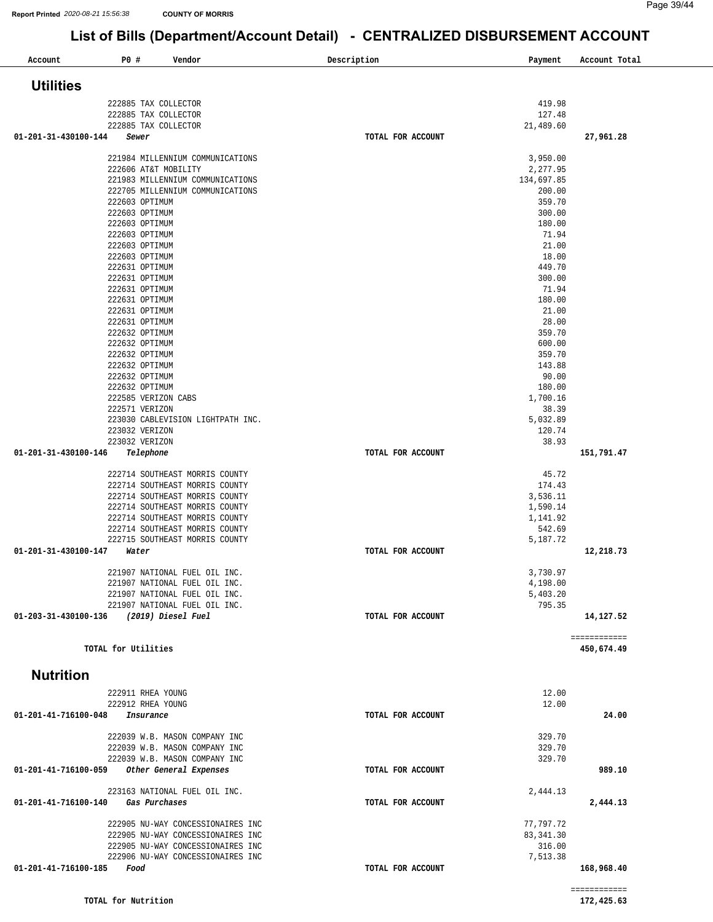| Account              | P0 #<br>Vendor                                                       | Description<br>Payment        | Account Total |
|----------------------|----------------------------------------------------------------------|-------------------------------|---------------|
| <b>Utilities</b>     |                                                                      |                               |               |
|                      | 222885 TAX COLLECTOR                                                 | 419.98                        |               |
|                      | 222885 TAX COLLECTOR                                                 | 127.48                        |               |
|                      | 222885 TAX COLLECTOR                                                 | 21,489.60                     |               |
| 01-201-31-430100-144 | Sewer                                                                | TOTAL FOR ACCOUNT             | 27,961.28     |
|                      | 221984 MILLENNIUM COMMUNICATIONS                                     | 3,950.00                      |               |
|                      | 222606 AT&T MOBILITY                                                 | 2,277.95                      |               |
|                      | 221983 MILLENNIUM COMMUNICATIONS<br>222705 MILLENNIUM COMMUNICATIONS | 134,697.85<br>200.00          |               |
|                      | 222603 OPTIMUM                                                       | 359.70                        |               |
|                      | 222603 OPTIMUM                                                       | 300.00                        |               |
|                      | 222603 OPTIMUM                                                       | 180.00                        |               |
|                      | 222603 OPTIMUM<br>222603 OPTIMUM                                     | 71.94<br>21.00                |               |
|                      | 222603 OPTIMUM                                                       | 18.00                         |               |
|                      | 222631 OPTIMUM                                                       | 449.70                        |               |
|                      | 222631 OPTIMUM                                                       | 300.00                        |               |
|                      | 222631 OPTIMUM<br>222631 OPTIMUM                                     | 71.94<br>180.00               |               |
|                      | 222631 OPTIMUM                                                       | 21.00                         |               |
|                      | 222631 OPTIMUM                                                       | 28.00                         |               |
|                      | 222632 OPTIMUM                                                       | 359.70                        |               |
|                      | 222632 OPTIMUM<br>222632 OPTIMUM                                     | 600.00<br>359.70              |               |
|                      | 222632 OPTIMUM                                                       | 143.88                        |               |
|                      | 222632 OPTIMUM                                                       | 90.00                         |               |
|                      | 222632 OPTIMUM                                                       | 180.00                        |               |
|                      | 222585 VERIZON CABS<br>222571 VERIZON                                | 1,700.16<br>38.39             |               |
|                      | 223030 CABLEVISION LIGHTPATH INC.                                    | 5,032.89                      |               |
|                      | 223032 VERIZON                                                       | 120.74                        |               |
| 01-201-31-430100-146 | 223032 VERIZON                                                       | 38.93<br>TOTAL FOR ACCOUNT    |               |
|                      | Telephone                                                            |                               | 151,791.47    |
|                      | 222714 SOUTHEAST MORRIS COUNTY                                       | 45.72                         |               |
|                      | 222714 SOUTHEAST MORRIS COUNTY                                       | 174.43                        |               |
|                      | 222714 SOUTHEAST MORRIS COUNTY<br>222714 SOUTHEAST MORRIS COUNTY     | 3,536.11<br>1,590.14          |               |
|                      | 222714 SOUTHEAST MORRIS COUNTY                                       | 1,141.92                      |               |
|                      | 222714 SOUTHEAST MORRIS COUNTY                                       | 542.69                        |               |
| 01-201-31-430100-147 | 222715 SOUTHEAST MORRIS COUNTY<br>Water                              | 5,187.72<br>TOTAL FOR ACCOUNT | 12,218.73     |
|                      |                                                                      |                               |               |
|                      | 221907 NATIONAL FUEL OIL INC.                                        | 3,730.97                      |               |
|                      | 221907 NATIONAL FUEL OIL INC.                                        | 4,198.00                      |               |
|                      | 221907 NATIONAL FUEL OIL INC.<br>221907 NATIONAL FUEL OIL INC.       | 5,403.20<br>795.35            |               |
| 01-203-31-430100-136 | (2019) Diesel Fuel                                                   | TOTAL FOR ACCOUNT             | 14,127.52     |
|                      |                                                                      |                               | ============  |
|                      | TOTAL for Utilities                                                  |                               | 450,674.49    |
|                      |                                                                      |                               |               |
| <b>Nutrition</b>     |                                                                      |                               |               |
|                      | 222911 RHEA YOUNG                                                    | 12.00                         |               |
|                      | 222912 RHEA YOUNG                                                    | 12.00                         |               |
| 01-201-41-716100-048 | Insurance                                                            | TOTAL FOR ACCOUNT             | 24.00         |
|                      | 222039 W.B. MASON COMPANY INC                                        | 329.70                        |               |
|                      | 222039 W.B. MASON COMPANY INC                                        | 329.70                        |               |
|                      | 222039 W.B. MASON COMPANY INC                                        | 329.70                        |               |
| 01-201-41-716100-059 | Other General Expenses                                               | TOTAL FOR ACCOUNT             | 989.10        |
|                      | 223163 NATIONAL FUEL OIL INC.                                        | 2,444.13                      |               |
| 01-201-41-716100-140 | Gas Purchases                                                        | TOTAL FOR ACCOUNT             | 2,444.13      |
|                      | 222905 NU-WAY CONCESSIONAIRES INC                                    | 77,797.72                     |               |
|                      | 222905 NU-WAY CONCESSIONAIRES INC                                    | 83, 341.30                    |               |
|                      | 222905 NU-WAY CONCESSIONAIRES INC                                    | 316.00                        |               |
|                      | 222906 NU-WAY CONCESSIONAIRES INC                                    | 7,513.38                      |               |
| 01-201-41-716100-185 | Food                                                                 | TOTAL FOR ACCOUNT             | 168,968.40    |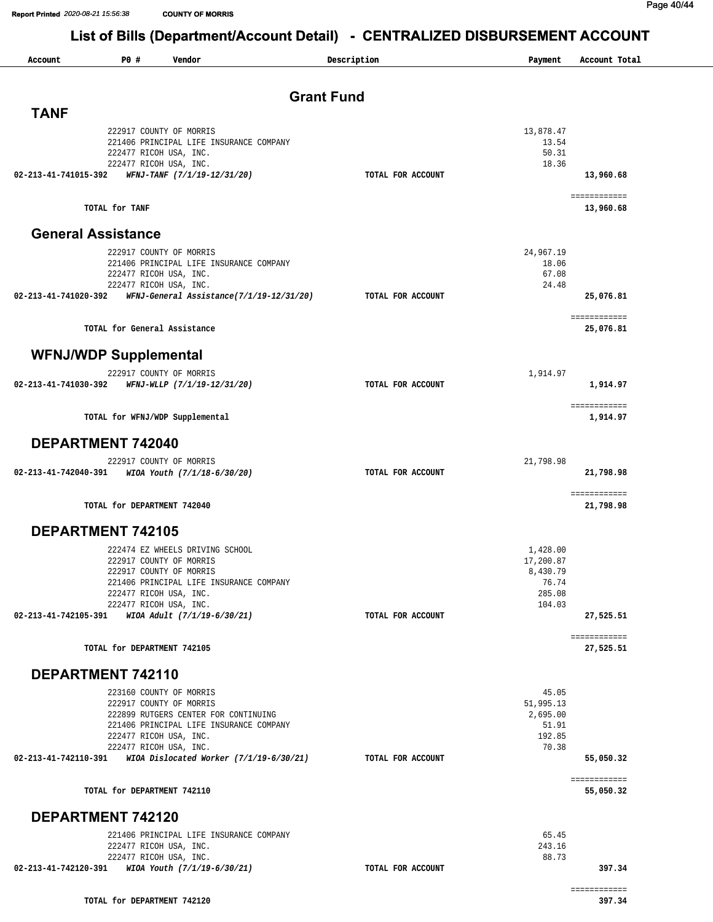# Report Printed 2020-08-21 15:56:38 COUNTING FORRIS<br>List of Bills (Department/Account Detail) - CENTRALIZED DISBURSEMENT ACCOUNT

| Account                   | P0 #<br>Vendor                                                             | Description       | Payment         | Account Total              |
|---------------------------|----------------------------------------------------------------------------|-------------------|-----------------|----------------------------|
|                           |                                                                            |                   |                 |                            |
|                           |                                                                            | <b>Grant Fund</b> |                 |                            |
| <b>TANF</b>               |                                                                            |                   |                 |                            |
|                           | 222917 COUNTY OF MORRIS                                                    |                   | 13,878.47       |                            |
|                           | 221406 PRINCIPAL LIFE INSURANCE COMPANY                                    |                   | 13.54           |                            |
|                           | 222477 RICOH USA, INC.<br>222477 RICOH USA, INC.                           |                   | 50.31<br>18.36  |                            |
| 02-213-41-741015-392      | WFNJ-TANF (7/1/19-12/31/20)                                                | TOTAL FOR ACCOUNT |                 | 13,960.68                  |
|                           |                                                                            |                   |                 | ===== =======              |
|                           | TOTAL for TANF                                                             |                   |                 | 13,960.68                  |
| <b>General Assistance</b> |                                                                            |                   |                 |                            |
|                           | 222917 COUNTY OF MORRIS                                                    |                   | 24,967.19       |                            |
|                           | 221406 PRINCIPAL LIFE INSURANCE COMPANY                                    |                   | 18.06           |                            |
|                           | 222477 RICOH USA, INC.<br>222477 RICOH USA, INC.                           |                   | 67.08<br>24.48  |                            |
| 02-213-41-741020-392      | WFNJ-General Assistance(7/1/19-12/31/20)                                   | TOTAL FOR ACCOUNT |                 | 25,076.81                  |
|                           |                                                                            |                   |                 |                            |
|                           | TOTAL for General Assistance                                               |                   |                 | 25,076.81                  |
|                           |                                                                            |                   |                 |                            |
|                           | <b>WFNJ/WDP Supplemental</b>                                               |                   |                 |                            |
| 02-213-41-741030-392      | 222917 COUNTY OF MORRIS<br>WFNJ-WLLP (7/1/19-12/31/20)                     | TOTAL FOR ACCOUNT | 1,914.97        | 1,914.97                   |
|                           |                                                                            |                   |                 |                            |
|                           | TOTAL for WFNJ/WDP Supplemental                                            |                   |                 | 1,914.97                   |
|                           |                                                                            |                   |                 |                            |
|                           | DEPARTMENT 742040                                                          |                   |                 |                            |
|                           | 222917 COUNTY OF MORRIS                                                    |                   | 21,798.98       |                            |
| 02-213-41-742040-391      | WIOA Youth (7/1/18-6/30/20)                                                | TOTAL FOR ACCOUNT |                 | 21,798.98                  |
|                           | TOTAL for DEPARTMENT 742040                                                |                   |                 | ===== =======<br>21,798.98 |
|                           | <b>DEPARTMENT 742105</b>                                                   |                   |                 |                            |
|                           | 222474 EZ WHEELS DRIVING SCHOOL                                            |                   | 1,428.00        |                            |
|                           | 222917 COUNTY OF MORRIS                                                    |                   | 17,200.87       |                            |
|                           | 222917 COUNTY OF MORRIS                                                    |                   | 8,430.79        |                            |
|                           | 221406 PRINCIPAL LIFE INSURANCE COMPANY                                    |                   | 76.74<br>285.08 |                            |
|                           | 222477 RICOH USA, INC.<br>222477 RICOH USA, INC.                           |                   | 104.03          |                            |
|                           | 02-213-41-742105-391 WIOA Adult (7/1/19-6/30/21)                           | TOTAL FOR ACCOUNT |                 | 27,525.51                  |
|                           |                                                                            |                   |                 | ===== =======              |
|                           | TOTAL for DEPARTMENT 742105                                                |                   |                 | 27,525.51                  |
|                           | DEPARTMENT 742110                                                          |                   |                 |                            |
|                           | 223160 COUNTY OF MORRIS                                                    |                   | 45.05           |                            |
|                           | 222917 COUNTY OF MORRIS                                                    |                   | 51,995.13       |                            |
|                           | 222899 RUTGERS CENTER FOR CONTINUING                                       |                   | 2,695.00        |                            |
|                           | 221406 PRINCIPAL LIFE INSURANCE COMPANY<br>222477 RICOH USA, INC.          |                   | 51.91<br>192.85 |                            |
|                           | 222477 RICOH USA, INC.                                                     |                   | 70.38           |                            |
| 02-213-41-742110-391      | WIOA Dislocated Worker (7/1/19-6/30/21)                                    | TOTAL FOR ACCOUNT |                 | 55,050.32                  |
|                           |                                                                            |                   |                 | ===== =======              |
|                           | TOTAL for DEPARTMENT 742110                                                |                   |                 | 55,050.32                  |
|                           | DEPARTMENT 742120                                                          |                   |                 |                            |
|                           | 221406 PRINCIPAL LIFE INSURANCE COMPANY                                    |                   | 65.45           |                            |
|                           | 222477 RICOH USA, INC.                                                     |                   | 243.16          |                            |
|                           | 222477 RICOH USA, INC.<br>02-213-41-742120-391 WIOA Youth (7/1/19-6/30/21) | TOTAL FOR ACCOUNT | 88.73           | 397.34                     |
|                           |                                                                            |                   |                 |                            |
|                           | TOTAL for DEPARTMENT 742120                                                |                   |                 | 397.34                     |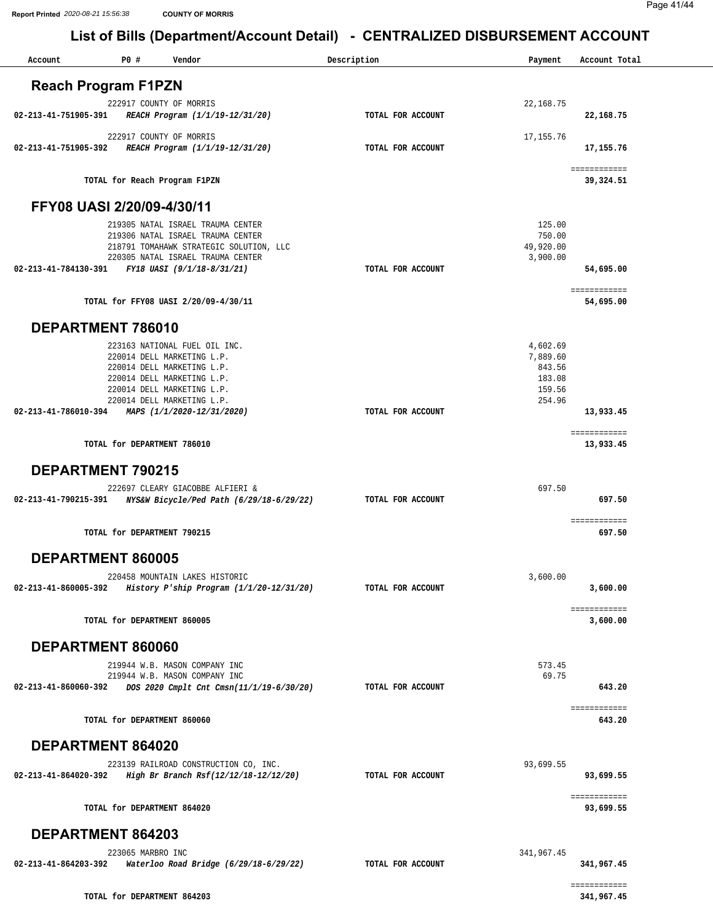| Account                    | P0 #              | Vendor                                                                                                                                                                                                            | Description       | Payment                                                      | Account Total              |
|----------------------------|-------------------|-------------------------------------------------------------------------------------------------------------------------------------------------------------------------------------------------------------------|-------------------|--------------------------------------------------------------|----------------------------|
| <b>Reach Program F1PZN</b> |                   |                                                                                                                                                                                                                   |                   |                                                              |                            |
|                            |                   |                                                                                                                                                                                                                   |                   |                                                              |                            |
| 02-213-41-751905-391       |                   | 222917 COUNTY OF MORRIS<br>REACH Program (1/1/19-12/31/20)                                                                                                                                                        | TOTAL FOR ACCOUNT | 22, 168.75                                                   | 22,168.75                  |
| 02-213-41-751905-392       |                   | 222917 COUNTY OF MORRIS<br>REACH Program (1/1/19-12/31/20)                                                                                                                                                        | TOTAL FOR ACCOUNT | 17, 155.76                                                   | 17,155.76                  |
|                            |                   | TOTAL for Reach Program F1PZN                                                                                                                                                                                     |                   |                                                              | ============<br>39,324.51  |
| FFY08 UASI 2/20/09-4/30/11 |                   |                                                                                                                                                                                                                   |                   |                                                              |                            |
|                            |                   | 219305 NATAL ISRAEL TRAUMA CENTER<br>219306 NATAL ISRAEL TRAUMA CENTER<br>218791 TOMAHAWK STRATEGIC SOLUTION, LLC<br>220305 NATAL ISRAEL TRAUMA CENTER                                                            |                   | 125.00<br>750.00<br>49,920.00<br>3,900.00                    |                            |
| 02-213-41-784130-391       |                   | FY18 UASI (9/1/18-8/31/21)                                                                                                                                                                                        | TOTAL FOR ACCOUNT |                                                              | 54,695.00                  |
|                            |                   | TOTAL for FFY08 UASI 2/20/09-4/30/11                                                                                                                                                                              |                   |                                                              | ============<br>54,695.00  |
| DEPARTMENT 786010          |                   |                                                                                                                                                                                                                   |                   |                                                              |                            |
| 02-213-41-786010-394       |                   | 223163 NATIONAL FUEL OIL INC.<br>220014 DELL MARKETING L.P.<br>220014 DELL MARKETING L.P.<br>220014 DELL MARKETING L.P.<br>220014 DELL MARKETING L.P.<br>220014 DELL MARKETING L.P.<br>MAPS (1/1/2020-12/31/2020) | TOTAL FOR ACCOUNT | 4,602.69<br>7,889.60<br>843.56<br>183.08<br>159.56<br>254.96 | 13,933.45                  |
|                            |                   |                                                                                                                                                                                                                   |                   |                                                              | ============               |
|                            |                   | TOTAL for DEPARTMENT 786010                                                                                                                                                                                       |                   |                                                              | 13,933.45                  |
| <b>DEPARTMENT 790215</b>   |                   |                                                                                                                                                                                                                   |                   |                                                              |                            |
| 02-213-41-790215-391       |                   | 222697 CLEARY GIACOBBE ALFIERI &<br>NYS&W Bicycle/Ped Path (6/29/18-6/29/22)                                                                                                                                      | TOTAL FOR ACCOUNT | 697.50                                                       | 697.50                     |
|                            |                   | TOTAL for DEPARTMENT 790215                                                                                                                                                                                       |                   |                                                              | ============<br>697.50     |
| DEPARTMENT 860005          |                   |                                                                                                                                                                                                                   |                   |                                                              |                            |
| 02-213-41-860005-392       |                   | 220458 MOUNTAIN LAKES HISTORIC<br>History P'ship Program $(1/1/20-12/31/20)$                                                                                                                                      | TOTAL FOR ACCOUNT | 3,600.00                                                     | 3,600.00                   |
|                            |                   | TOTAL for DEPARTMENT 860005                                                                                                                                                                                       |                   |                                                              | ============<br>3,600.00   |
| DEPARTMENT 860060          |                   |                                                                                                                                                                                                                   |                   |                                                              |                            |
| 02-213-41-860060-392       |                   | 219944 W.B. MASON COMPANY INC<br>219944 W.B. MASON COMPANY INC<br>DOS 2020 Cmplt Cnt Cmsn(11/1/19-6/30/20)                                                                                                        | TOTAL FOR ACCOUNT | 573.45<br>69.75                                              | 643.20                     |
|                            |                   | TOTAL for DEPARTMENT 860060                                                                                                                                                                                       |                   |                                                              | ============<br>643.20     |
| DEPARTMENT 864020          |                   |                                                                                                                                                                                                                   |                   |                                                              |                            |
|                            |                   | 223139 RAILROAD CONSTRUCTION CO, INC.<br>02-213-41-864020-392 High Br Branch Rsf(12/12/18-12/12/20)                                                                                                               | TOTAL FOR ACCOUNT | 93,699.55                                                    | 93,699.55                  |
|                            |                   | TOTAL for DEPARTMENT 864020                                                                                                                                                                                       |                   |                                                              | ============<br>93,699.55  |
| DEPARTMENT 864203          |                   |                                                                                                                                                                                                                   |                   |                                                              |                            |
| 02-213-41-864203-392       | 223065 MARBRO INC | Waterloo Road Bridge (6/29/18-6/29/22)                                                                                                                                                                            | TOTAL FOR ACCOUNT | 341,967.45                                                   | 341,967.45                 |
|                            |                   | TOTAL for DEPARTMENT 864203                                                                                                                                                                                       |                   |                                                              | ============<br>341,967.45 |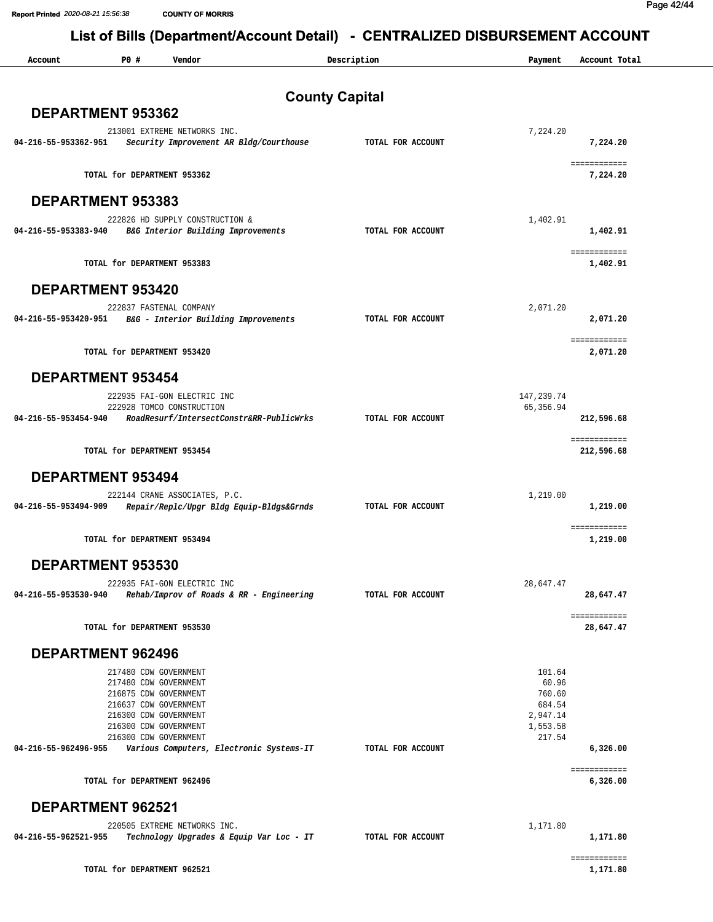# Report Printed 2020-08-21 15:56:38 COUNTING FORRIS<br>List of Bills (Department/Account Detail) - CENTRALIZED DISBURSEMENT ACCOUNT

| Account              | P0 #<br>Vendor                                                                                                                                                                                                          | Description           | Payment                                                               | Account Total               |
|----------------------|-------------------------------------------------------------------------------------------------------------------------------------------------------------------------------------------------------------------------|-----------------------|-----------------------------------------------------------------------|-----------------------------|
|                      |                                                                                                                                                                                                                         | <b>County Capital</b> |                                                                       |                             |
|                      | DEPARTMENT 953362                                                                                                                                                                                                       |                       |                                                                       |                             |
| 04-216-55-953362-951 | 213001 EXTREME NETWORKS INC.<br>Security Improvement AR Bldg/Courthouse                                                                                                                                                 | TOTAL FOR ACCOUNT     | 7,224.20                                                              | 7,224.20                    |
|                      | TOTAL for DEPARTMENT 953362                                                                                                                                                                                             |                       |                                                                       | 7,224.20                    |
|                      | <b>DEPARTMENT 953383</b>                                                                                                                                                                                                |                       |                                                                       |                             |
| 04-216-55-953383-940 | 222826 HD SUPPLY CONSTRUCTION &<br>B&G Interior Building Improvements                                                                                                                                                   | TOTAL FOR ACCOUNT     | 1,402.91                                                              | 1,402.91                    |
|                      | TOTAL for DEPARTMENT 953383                                                                                                                                                                                             |                       |                                                                       | 1,402.91                    |
|                      | <b>DEPARTMENT 953420</b>                                                                                                                                                                                                |                       |                                                                       |                             |
| 04-216-55-953420-951 | 222837 FASTENAL COMPANY<br>B&G - Interior Building Improvements                                                                                                                                                         | TOTAL FOR ACCOUNT     | 2,071.20                                                              | 2,071.20                    |
|                      | TOTAL for DEPARTMENT 953420                                                                                                                                                                                             |                       |                                                                       | ===== =======<br>2,071.20   |
|                      | <b>DEPARTMENT 953454</b>                                                                                                                                                                                                |                       |                                                                       |                             |
|                      | 222935 FAI-GON ELECTRIC INC<br>222928 TOMCO CONSTRUCTION                                                                                                                                                                |                       | 147,239.74<br>65, 356.94                                              |                             |
| 04-216-55-953454-940 | RoadResurf/IntersectConstr&RR-PublicWrks                                                                                                                                                                                | TOTAL FOR ACCOUNT     |                                                                       | 212,596.68                  |
|                      | TOTAL for DEPARTMENT 953454                                                                                                                                                                                             |                       |                                                                       | ===== =======<br>212,596.68 |
|                      | <b>DEPARTMENT 953494</b>                                                                                                                                                                                                |                       |                                                                       |                             |
| 04-216-55-953494-909 | 222144 CRANE ASSOCIATES, P.C.<br>Repair/Replc/Upgr Bldg Equip-Bldgs&Grnds                                                                                                                                               | TOTAL FOR ACCOUNT     | 1,219.00                                                              | 1,219.00                    |
|                      | TOTAL for DEPARTMENT 953494                                                                                                                                                                                             |                       |                                                                       | ===== =======<br>1,219.00   |
|                      | DEPARTMENT 953530                                                                                                                                                                                                       |                       |                                                                       |                             |
| 04-216-55-953530-940 | 222935 FAI-GON ELECTRIC INC<br>Rehab/Improv of Roads & RR - Engineering                                                                                                                                                 | TOTAL FOR ACCOUNT     | 28,647.47                                                             | 28,647.47                   |
|                      | TOTAL for DEPARTMENT 953530                                                                                                                                                                                             |                       |                                                                       | ===== =======<br>28,647.47  |
|                      | <b>DEPARTMENT 962496</b>                                                                                                                                                                                                |                       |                                                                       |                             |
| 04-216-55-962496-955 | 217480 CDW GOVERNMENT<br>217480 CDW GOVERNMENT<br>216875 CDW GOVERNMENT<br>216637 CDW GOVERNMENT<br>216300 CDW GOVERNMENT<br>216300 CDW GOVERNMENT<br>216300 CDW GOVERNMENT<br>Various Computers, Electronic Systems-IT | TOTAL FOR ACCOUNT     | 101.64<br>60.96<br>760.60<br>684.54<br>2,947.14<br>1,553.58<br>217.54 | 6,326.00                    |
|                      | TOTAL for DEPARTMENT 962496                                                                                                                                                                                             |                       |                                                                       | ===== =======<br>6,326.00   |
|                      | <b>DEPARTMENT 962521</b>                                                                                                                                                                                                |                       |                                                                       |                             |
| 04-216-55-962521-955 | 220505 EXTREME NETWORKS INC.<br>Technology Upgrades & Equip Var Loc - IT                                                                                                                                                | TOTAL FOR ACCOUNT     | 1,171.80                                                              | 1,171.80                    |
|                      | TOTAL for DEPARTMENT 962521                                                                                                                                                                                             |                       |                                                                       | 1,171.80                    |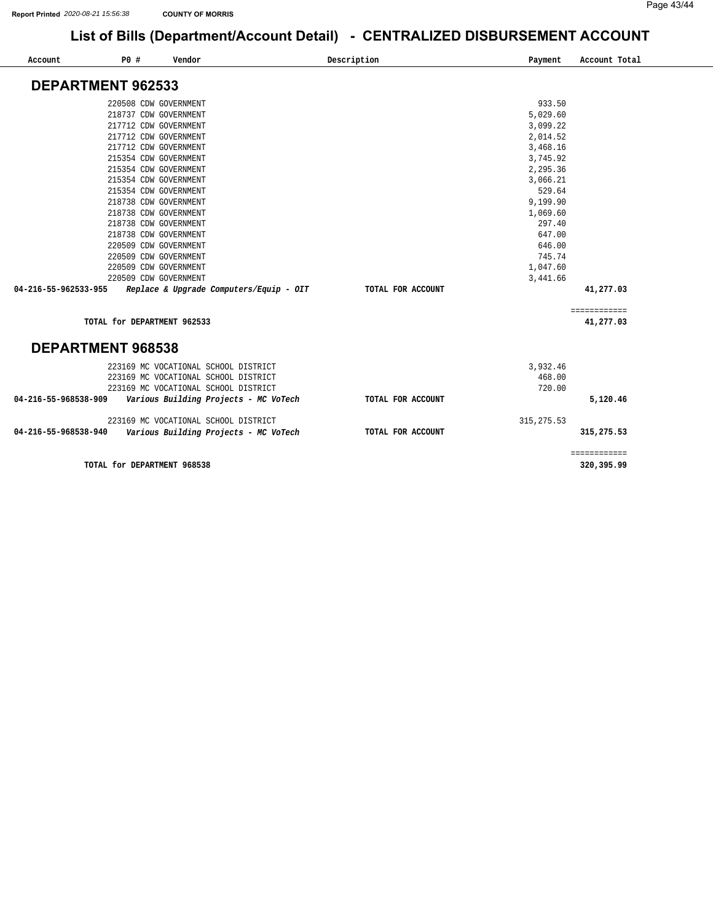| Account                  | P0 #<br>Vendor              |                                         | Description       | Payment     | Account Total              |
|--------------------------|-----------------------------|-----------------------------------------|-------------------|-------------|----------------------------|
| <b>DEPARTMENT 962533</b> |                             |                                         |                   |             |                            |
|                          |                             |                                         |                   |             |                            |
|                          | 220508 CDW GOVERNMENT       |                                         |                   | 933.50      |                            |
|                          | 218737 CDW GOVERNMENT       |                                         |                   | 5,029.60    |                            |
|                          | 217712 CDW GOVERNMENT       |                                         |                   | 3,099.22    |                            |
|                          | 217712 CDW GOVERNMENT       |                                         |                   | 2,014.52    |                            |
|                          | 217712 CDW GOVERNMENT       |                                         |                   | 3,468.16    |                            |
|                          | 215354 CDW GOVERNMENT       |                                         |                   | 3,745.92    |                            |
|                          | 215354 CDW GOVERNMENT       |                                         |                   | 2,295.36    |                            |
|                          | 215354 CDW GOVERNMENT       |                                         |                   | 3,066.21    |                            |
|                          | 215354 CDW GOVERNMENT       |                                         |                   | 529.64      |                            |
|                          | 218738 CDW GOVERNMENT       |                                         |                   | 9,199.90    |                            |
|                          | 218738 CDW GOVERNMENT       |                                         |                   | 1,069.60    |                            |
|                          | 218738 CDW GOVERNMENT       |                                         |                   | 297.40      |                            |
|                          | 218738 CDW GOVERNMENT       |                                         |                   | 647.00      |                            |
|                          | 220509 CDW GOVERNMENT       |                                         |                   | 646.00      |                            |
|                          | 220509 CDW GOVERNMENT       |                                         |                   | 745.74      |                            |
|                          | 220509 CDW GOVERNMENT       |                                         |                   | 1,047.60    |                            |
|                          | 220509 CDW GOVERNMENT       |                                         |                   | 3,441.66    |                            |
| 04-216-55-962533-955     |                             | Replace & Upgrade Computers/Equip - OIT | TOTAL FOR ACCOUNT |             | 41,277.03                  |
|                          |                             |                                         |                   |             | ============               |
|                          | TOTAL for DEPARTMENT 962533 |                                         |                   |             | 41,277.03                  |
| DEPARTMENT 968538        |                             |                                         |                   |             |                            |
|                          |                             | 223169 MC VOCATIONAL SCHOOL DISTRICT    |                   | 3,932.46    |                            |
|                          |                             | 223169 MC VOCATIONAL SCHOOL DISTRICT    |                   | 468.00      |                            |
|                          |                             | 223169 MC VOCATIONAL SCHOOL DISTRICT    |                   | 720.00      |                            |
| 04-216-55-968538-909     |                             | Various Building Projects - MC VoTech   | TOTAL FOR ACCOUNT |             | 5,120.46                   |
|                          |                             | 223169 MC VOCATIONAL SCHOOL DISTRICT    |                   | 315, 275.53 |                            |
| 04-216-55-968538-940     |                             | Various Building Projects - MC VoTech   | TOTAL FOR ACCOUNT |             | 315,275.53                 |
|                          | TOTAL for DEPARTMENT 968538 |                                         |                   |             | ============<br>320,395.99 |

**[320,395.99](https://320,395.99)**